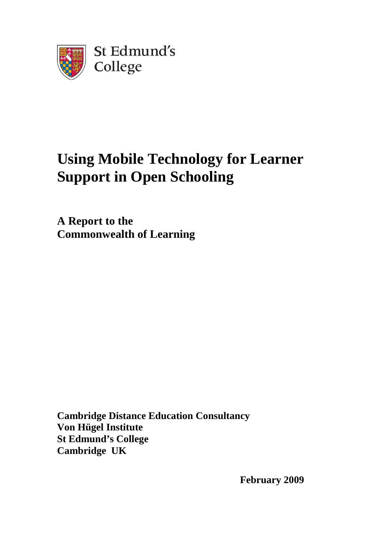

# **Using Mobile Technology for Learner Support in Open Schooling**

**A Report to the Commonwealth of Learning** 

**Cambridge Distance Education Consultancy Von Hügel Institute St Edmund's College Cambridge UK** 

**February 2009**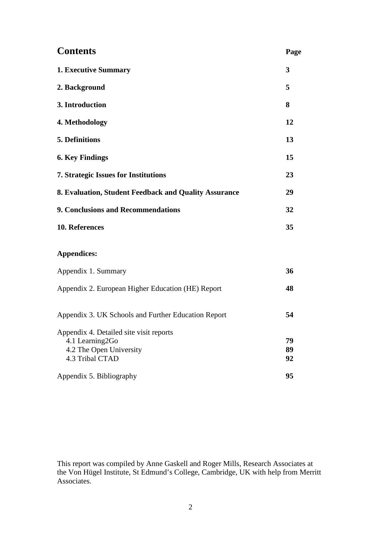| <b>Contents</b>                                       | Page |
|-------------------------------------------------------|------|
| <b>1. Executive Summary</b>                           | 3    |
| 2. Background                                         | 5    |
| 3. Introduction                                       | 8    |
| 4. Methodology                                        | 12   |
| <b>5. Definitions</b>                                 | 13   |
| <b>6. Key Findings</b>                                | 15   |
| <b>7. Strategic Issues for Institutions</b>           | 23   |
| 8. Evaluation, Student Feedback and Quality Assurance | 29   |
| 9. Conclusions and Recommendations                    | 32   |
| 10. References                                        | 35   |

### **Appendices:**

| 48 |
|----|
| 54 |
|    |
| 79 |
| 89 |
| 92 |
| 95 |
|    |

This report was compiled by Anne Gaskell and Roger Mills, Research Associates at the Von Hügel Institute, St Edmund's College, Cambridge, UK with help from Merritt Associates.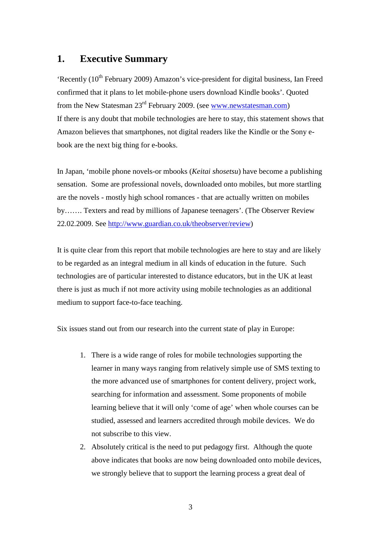## **1. Executive Summary**

'Recently  $(10<sup>th</sup>$  February 2009) Amazon's vice-president for digital business, Ian Freed confirmed that it plans to let mobile-phone users download Kindle books'. Quoted from the New Statesman 23rd February 2009. (see www.newstatesman.com) If there is any doubt that mobile technologies are here to stay, this statement shows that Amazon believes that smartphones, not digital readers like the Kindle or the Sony ebook are the next big thing for e-books.

In Japan, 'mobile phone novels-or mbooks (*Keitai shosetsu*) have become a publishing sensation. Some are professional novels, downloaded onto mobiles, but more startling are the novels - mostly high school romances - that are actually written on mobiles by……. Texters and read by millions of Japanese teenagers'. (The Observer Review 22.02.2009. See http://www.guardian.co.uk/theobserver/review)

It is quite clear from this report that mobile technologies are here to stay and are likely to be regarded as an integral medium in all kinds of education in the future. Such technologies are of particular interested to distance educators, but in the UK at least there is just as much if not more activity using mobile technologies as an additional medium to support face-to-face teaching.

Six issues stand out from our research into the current state of play in Europe:

- 1. There is a wide range of roles for mobile technologies supporting the learner in many ways ranging from relatively simple use of SMS texting to the more advanced use of smartphones for content delivery, project work, searching for information and assessment. Some proponents of mobile learning believe that it will only 'come of age' when whole courses can be studied, assessed and learners accredited through mobile devices. We do not subscribe to this view.
- 2. Absolutely critical is the need to put pedagogy first. Although the quote above indicates that books are now being downloaded onto mobile devices, we strongly believe that to support the learning process a great deal of

3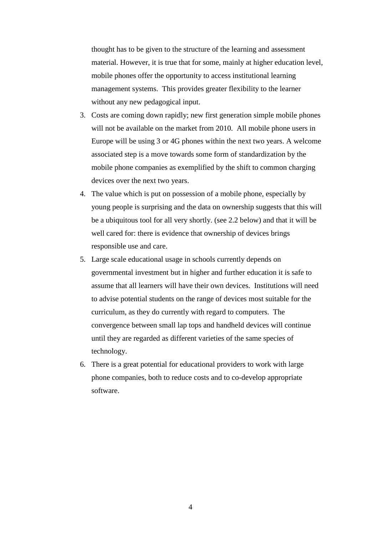thought has to be given to the structure of the learning and assessment material. However, it is true that for some, mainly at higher education level, mobile phones offer the opportunity to access institutional learning management systems. This provides greater flexibility to the learner without any new pedagogical input.

- 3. Costs are coming down rapidly; new first generation simple mobile phones will not be available on the market from 2010. All mobile phone users in Europe will be using 3 or 4G phones within the next two years. A welcome associated step is a move towards some form of standardization by the mobile phone companies as exemplified by the shift to common charging devices over the next two years.
- 4. The value which is put on possession of a mobile phone, especially by young people is surprising and the data on ownership suggests that this will be a ubiquitous tool for all very shortly. (see 2.2 below) and that it will be well cared for: there is evidence that ownership of devices brings responsible use and care.
- 5. Large scale educational usage in schools currently depends on governmental investment but in higher and further education it is safe to assume that all learners will have their own devices. Institutions will need to advise potential students on the range of devices most suitable for the curriculum, as they do currently with regard to computers. The convergence between small lap tops and handheld devices will continue until they are regarded as different varieties of the same species of technology.
- 6. There is a great potential for educational providers to work with large phone companies, both to reduce costs and to co-develop appropriate software.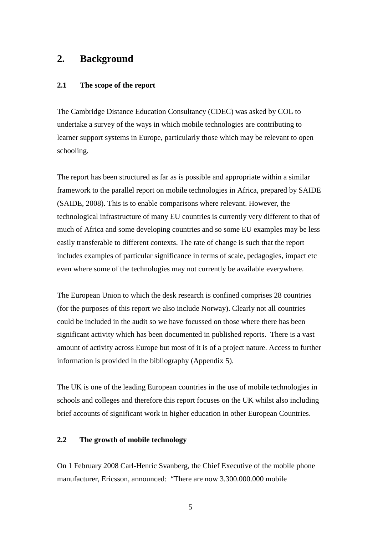## **2. Background**

#### **2.1 The scope of the report**

The Cambridge Distance Education Consultancy (CDEC) was asked by COL to undertake a survey of the ways in which mobile technologies are contributing to learner support systems in Europe, particularly those which may be relevant to open schooling.

The report has been structured as far as is possible and appropriate within a similar framework to the parallel report on mobile technologies in Africa, prepared by SAIDE (SAIDE, 2008). This is to enable comparisons where relevant. However, the technological infrastructure of many EU countries is currently very different to that of much of Africa and some developing countries and so some EU examples may be less easily transferable to different contexts. The rate of change is such that the report includes examples of particular significance in terms of scale, pedagogies, impact etc even where some of the technologies may not currently be available everywhere.

The European Union to which the desk research is confined comprises 28 countries (for the purposes of this report we also include Norway). Clearly not all countries could be included in the audit so we have focussed on those where there has been significant activity which has been documented in published reports. There is a vast amount of activity across Europe but most of it is of a project nature. Access to further information is provided in the bibliography (Appendix 5).

The UK is one of the leading European countries in the use of mobile technologies in schools and colleges and therefore this report focuses on the UK whilst also including brief accounts of significant work in higher education in other European Countries.

#### **2.2 The growth of mobile technology**

On 1 February 2008 Carl-Henric Svanberg, the Chief Executive of the mobile phone manufacturer, Ericsson, announced: "There are now 3.300.000.000 mobile

5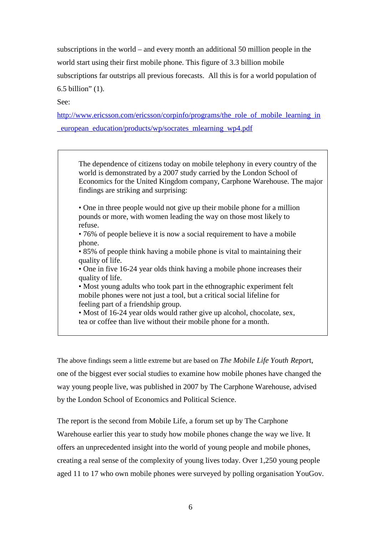subscriptions in the world – and every month an additional 50 million people in the world start using their first mobile phone. This figure of 3.3 billion mobile subscriptions far outstrips all previous forecasts. All this is for a world population of 6.5 billion" (1).

See:

http://www.ericsson.com/ericsson/corpinfo/programs/the\_role\_of\_mobile\_learning\_in \_european\_education/products/wp/socrates\_mlearning\_wp4.pdf

The dependence of citizens today on mobile telephony in every country of the world is demonstrated by a 2007 study carried by the London School of Economics for the United Kingdom company, Carphone Warehouse. The major findings are striking and surprising:

• One in three people would not give up their mobile phone for a million pounds or more, with women leading the way on those most likely to refuse.

• 76% of people believe it is now a social requirement to have a mobile phone.

• 85% of people think having a mobile phone is vital to maintaining their quality of life.

• One in five 16-24 year olds think having a mobile phone increases their quality of life.

• Most young adults who took part in the ethnographic experiment felt mobile phones were not just a tool, but a critical social lifeline for feeling part of a friendship group.

• Most of 16-24 year olds would rather give up alcohol, chocolate, sex, tea or coffee than live without their mobile phone for a month.

The above findings seem a little extreme but are based on *The Mobile Life Youth Repor*t, one of the biggest ever social studies to examine how mobile phones have changed the way young people live, was published in 2007 by The Carphone Warehouse, advised by the London School of Economics and Political Science.

The report is the second from Mobile Life, a forum set up by The Carphone Warehouse earlier this year to study how mobile phones change the way we live. It offers an unprecedented insight into the world of young people and mobile phones, creating a real sense of the complexity of young lives today. Over 1,250 young people aged 11 to 17 who own mobile phones were surveyed by polling organisation YouGov.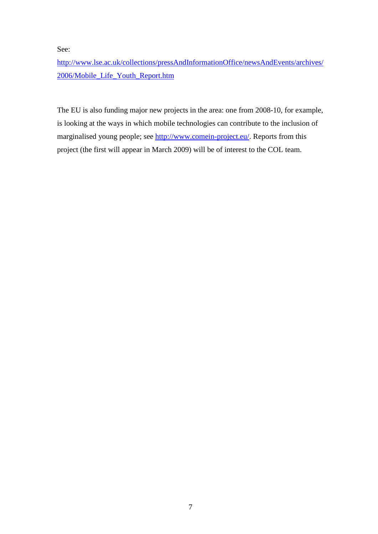See:

http://www.lse.ac.uk/collections/pressAndInformationOffice/newsAndEvents/archives/ 2006/Mobile\_Life\_Youth\_Report.htm

The EU is also funding major new projects in the area: one from 2008-10, for example, is looking at the ways in which mobile technologies can contribute to the inclusion of marginalised young people; see http://www.comein-project.eu/. Reports from this project (the first will appear in March 2009) will be of interest to the COL team.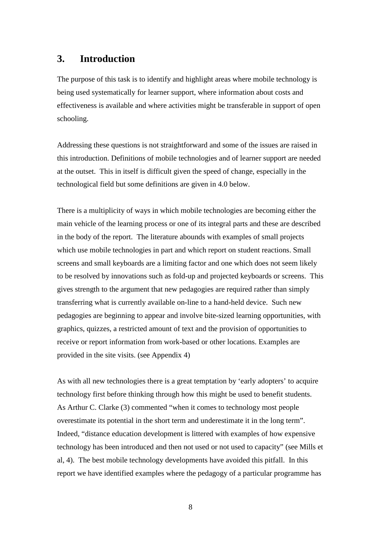## **3. Introduction**

The purpose of this task is to identify and highlight areas where mobile technology is being used systematically for learner support, where information about costs and effectiveness is available and where activities might be transferable in support of open schooling.

Addressing these questions is not straightforward and some of the issues are raised in this introduction. Definitions of mobile technologies and of learner support are needed at the outset. This in itself is difficult given the speed of change, especially in the technological field but some definitions are given in 4.0 below.

There is a multiplicity of ways in which mobile technologies are becoming either the main vehicle of the learning process or one of its integral parts and these are described in the body of the report. The literature abounds with examples of small projects which use mobile technologies in part and which report on student reactions. Small screens and small keyboards are a limiting factor and one which does not seem likely to be resolved by innovations such as fold-up and projected keyboards or screens. This gives strength to the argument that new pedagogies are required rather than simply transferring what is currently available on-line to a hand-held device. Such new pedagogies are beginning to appear and involve bite-sized learning opportunities, with graphics, quizzes, a restricted amount of text and the provision of opportunities to receive or report information from work-based or other locations. Examples are provided in the site visits. (see Appendix 4)

As with all new technologies there is a great temptation by 'early adopters' to acquire technology first before thinking through how this might be used to benefit students. As Arthur C. Clarke (3) commented "when it comes to technology most people overestimate its potential in the short term and underestimate it in the long term". Indeed, "distance education development is littered with examples of how expensive technology has been introduced and then not used or not used to capacity" (see Mills et al, 4).The best mobile technology developments have avoided this pitfall. In this report we have identified examples where the pedagogy of a particular programme has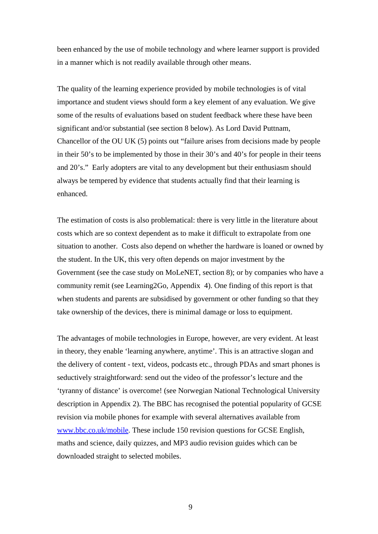been enhanced by the use of mobile technology and where learner support is provided in a manner which is not readily available through other means.

The quality of the learning experience provided by mobile technologies is of vital importance and student views should form a key element of any evaluation. We give some of the results of evaluations based on student feedback where these have been significant and/or substantial (see section 8 below). As Lord David Puttnam, Chancellor of the OU UK (5) points out "failure arises from decisions made by people in their 50's to be implemented by those in their 30's and 40's for people in their teens and 20's." Early adopters are vital to any development but their enthusiasm should always be tempered by evidence that students actually find that their learning is enhanced.

The estimation of costs is also problematical: there is very little in the literature about costs which are so context dependent as to make it difficult to extrapolate from one situation to another. Costs also depend on whether the hardware is loaned or owned by the student. In the UK, this very often depends on major investment by the Government (see the case study on MoLeNET, section 8); or by companies who have a community remit (see Learning2Go, Appendix 4). One finding of this report is that when students and parents are subsidised by government or other funding so that they take ownership of the devices, there is minimal damage or loss to equipment.

The advantages of mobile technologies in Europe, however, are very evident. At least in theory, they enable 'learning anywhere, anytime'. This is an attractive slogan and the delivery of content - text, videos, podcasts etc., through PDAs and smart phones is seductively straightforward: send out the video of the professor's lecture and the 'tyranny of distance' is overcome! (see Norwegian National Technological University description in Appendix 2). The BBC has recognised the potential popularity of GCSE revision via mobile phones for example with several alternatives available from www.bbc.co.uk/mobile. These include 150 revision questions for GCSE English, maths and science, daily quizzes, and MP3 audio revision guides which can be downloaded straight to selected mobiles.

9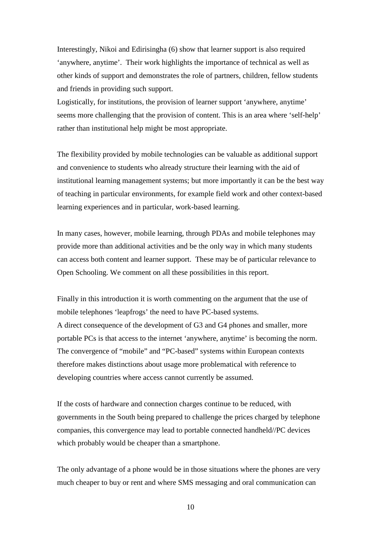Interestingly, Nikoi and Edirisingha (6) show that learner support is also required 'anywhere, anytime'. Their work highlights the importance of technical as well as other kinds of support and demonstrates the role of partners, children, fellow students and friends in providing such support.

Logistically, for institutions, the provision of learner support 'anywhere, anytime' seems more challenging that the provision of content. This is an area where 'self-help' rather than institutional help might be most appropriate.

The flexibility provided by mobile technologies can be valuable as additional support and convenience to students who already structure their learning with the aid of institutional learning management systems; but more importantly it can be the best way of teaching in particular environments, for example field work and other context-based learning experiences and in particular, work-based learning.

In many cases, however, mobile learning, through PDAs and mobile telephones may provide more than additional activities and be the only way in which many students can access both content and learner support. These may be of particular relevance to Open Schooling. We comment on all these possibilities in this report.

Finally in this introduction it is worth commenting on the argument that the use of mobile telephones 'leapfrogs' the need to have PC-based systems. A direct consequence of the development of G3 and G4 phones and smaller, more portable PCs is that access to the internet 'anywhere, anytime' is becoming the norm. The convergence of "mobile" and "PC-based" systems within European contexts therefore makes distinctions about usage more problematical with reference to developing countries where access cannot currently be assumed.

If the costs of hardware and connection charges continue to be reduced, with governments in the South being prepared to challenge the prices charged by telephone companies, this convergence may lead to portable connected handheld//PC devices which probably would be cheaper than a smartphone.

The only advantage of a phone would be in those situations where the phones are very much cheaper to buy or rent and where SMS messaging and oral communication can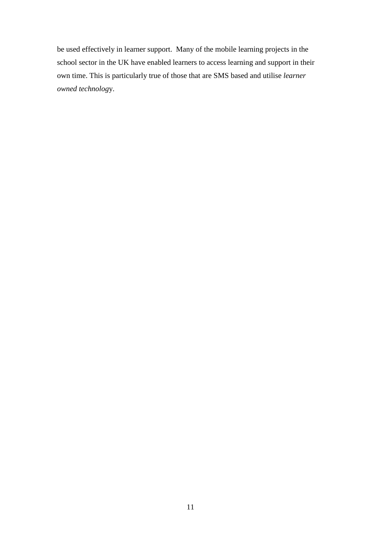be used effectively in learner support. Many of the mobile learning projects in the school sector in the UK have enabled learners to access learning and support in their own time. This is particularly true of those that are SMS based and utilise *learner owned technolog*y.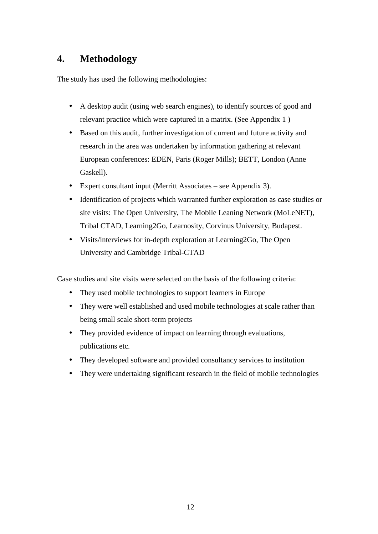## **4. Methodology**

The study has used the following methodologies:

- A desktop audit (using web search engines), to identify sources of good and relevant practice which were captured in a matrix. (See Appendix 1 )
- Based on this audit, further investigation of current and future activity and research in the area was undertaken by information gathering at relevant European conferences: EDEN, Paris (Roger Mills); BETT, London (Anne Gaskell).
- Expert consultant input (Merritt Associates see Appendix 3).
- Identification of projects which warranted further exploration as case studies or site visits: The Open University, The Mobile Leaning Network (MoLeNET), Tribal CTAD, Learning2Go, Learnosity, Corvinus University, Budapest.
- Visits/interviews for in-depth exploration at Learning2Go, The Open University and Cambridge Tribal-CTAD

Case studies and site visits were selected on the basis of the following criteria:

- They used mobile technologies to support learners in Europe
- They were well established and used mobile technologies at scale rather than being small scale short-term projects
- They provided evidence of impact on learning through evaluations, publications etc.
- They developed software and provided consultancy services to institution
- They were undertaking significant research in the field of mobile technologies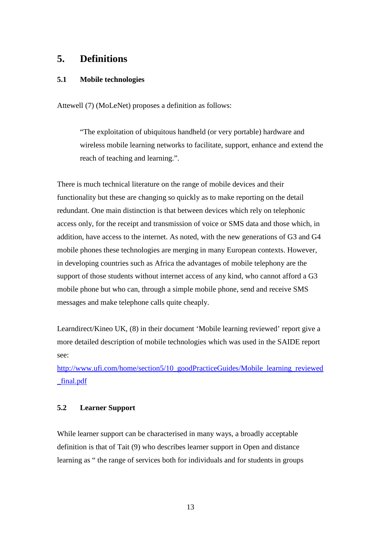## **5. Definitions**

#### **5.1 Mobile technologies**

Attewell (7) (MoLeNet) proposes a definition as follows:

"The exploitation of ubiquitous handheld (or very portable) hardware and wireless mobile learning networks to facilitate, support, enhance and extend the reach of teaching and learning.".

There is much technical literature on the range of mobile devices and their functionality but these are changing so quickly as to make reporting on the detail redundant. One main distinction is that between devices which rely on telephonic access only, for the receipt and transmission of voice or SMS data and those which, in addition, have access to the internet. As noted, with the new generations of G3 and G4 mobile phones these technologies are merging in many European contexts. However, in developing countries such as Africa the advantages of mobile telephony are the support of those students without internet access of any kind, who cannot afford a G3 mobile phone but who can, through a simple mobile phone, send and receive SMS messages and make telephone calls quite cheaply.

Learndirect/Kineo UK, (8) in their document 'Mobile learning reviewed' report give a more detailed description of mobile technologies which was used in the SAIDE report see:

http://www.ufi.com/home/section5/10\_goodPracticeGuides/Mobile\_learning\_reviewed \_final.pdf

#### **5.2 Learner Support**

While learner support can be characterised in many ways, a broadly acceptable definition is that of Tait (9) who describes learner support in Open and distance learning as " the range of services both for individuals and for students in groups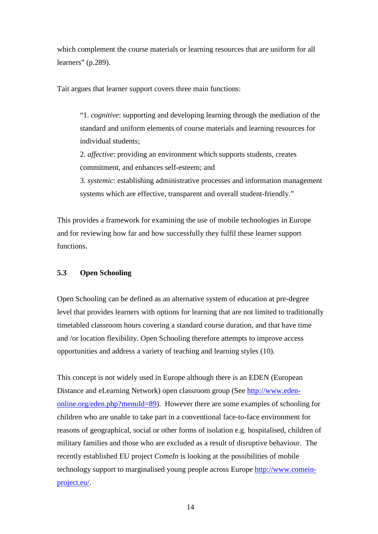which complement the course materials or learning resources that are uniform for all learners" (p.289).

Tait argues that learner support covers three main functions:

 "1. *cognitive*: supporting and developing learning through the mediation of the standard and uniform elements of course materials and learning resources for individual students;

2. *affective*: providing an environment which supports students, creates commitment, and enhances self-esteem; and

3. *systemic*: establishing administrative processes and information management systems which are effective, transparent and overall student-friendly."

This provides a framework for examining the use of mobile technologies in Europe and for reviewing how far and how successfully they fulfil these learner support functions.

#### **5.3 Open Schooling**

Open Schooling can be defined as an alternative system of education at pre-degree level that provides learners with options for learning that are not limited to traditionally timetabled classroom hours covering a standard course duration, and that have time and /or location flexibility. Open Schooling therefore attempts to improve access opportunities and address a variety of teaching and learning styles (10).

This concept is not widely used in Europe although there is an EDEN (European Distance and eLearning Network) open classroom group (See http://www.edenonline.org/eden.php?menuId=89). However there are some examples of schooling for children who are unable to take part in a conventional face-to-face environment for reasons of geographical, social or other forms of isolation e.g. hospitalised, children of military families and those who are excluded as a result of disruptive behaviour. The recently established EU project *ComeIn* is looking at the possibilities of mobile technology support to marginalised young people across Europe http://www.comeinproject.eu/.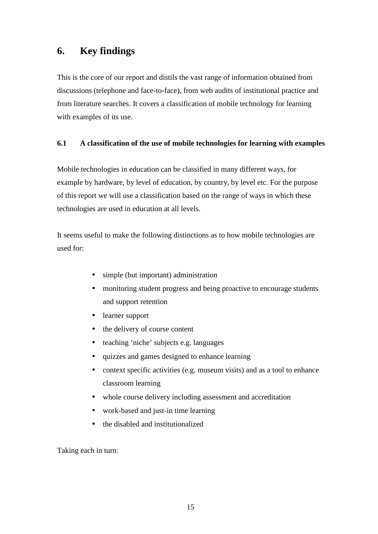## **6. Key findings**

This is the core of our report and distils the vast range of information obtained from discussions (telephone and face-to-face), from web audits of institutional practice and from literature searches. It covers a classification of mobile technology for learning with examples of its use.

#### **6.1 A classification of the use of mobile technologies for learning with examples**

Mobile technologies in education can be classified in many different ways, for example by hardware, by level of education, by country, by level etc. For the purpose of this report we will use a classification based on the range of ways in which these technologies are used in education at all levels.

It seems useful to make the following distinctions as to how mobile technologies are used for:

- simple (but important) administration
- monitoring student progress and being proactive to encourage students and support retention
- learner support
- the delivery of course content
- teaching 'niche' subjects e.g. languages
- quizzes and games designed to enhance learning
- context specific activities (e.g. museum visits) and as a tool to enhance classroom learning
- whole course delivery including assessment and accreditation
- work-based and just-in time learning
- the disabled and institutionalized

Taking each in turn: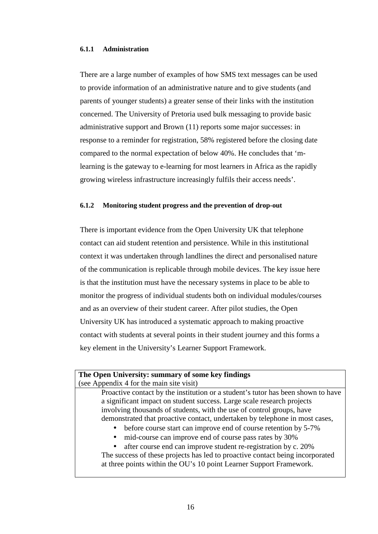#### **6.1.1 Administration**

There are a large number of examples of how SMS text messages can be used to provide information of an administrative nature and to give students (and parents of younger students) a greater sense of their links with the institution concerned. The University of Pretoria used bulk messaging to provide basic administrative support and Brown (11) reports some major successes: in response to a reminder for registration, 58% registered before the closing date compared to the normal expectation of below 40%. He concludes that 'mlearning is the gateway to e-learning for most learners in Africa as the rapidly growing wireless infrastructure increasingly fulfils their access needs'.

#### **6.1.2 Monitoring student progress and the prevention of drop-out**

There is important evidence from the Open University UK that telephone contact can aid student retention and persistence. While in this institutional context it was undertaken through landlines the direct and personalised nature of the communication is replicable through mobile devices. The key issue here is that the institution must have the necessary systems in place to be able to monitor the progress of individual students both on individual modules/courses and as an overview of their student career. After pilot studies, the Open University UK has introduced a systematic approach to making proactive contact with students at several points in their student journey and this forms a key element in the University's Learner Support Framework.

#### **The Open University: summary of some key findings**  (see Appendix 4 for the main site visit)

Proactive contact by the institution or a student's tutor has been shown to have a significant impact on student success. Large scale research projects involving thousands of students, with the use of control groups, have demonstrated that proactive contact, undertaken by telephone in most cases,

- before course start can improve end of course retention by 5-7%
- mid-course can improve end of course pass rates by 30%

• after course end can improve student re-registration by c. 20% The success of these projects has led to proactive contact being incorporated at three points within the OU's 10 point Learner Support Framework.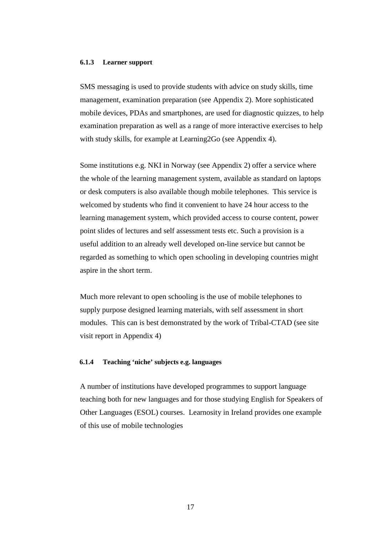#### **6.1.3 Learner support**

SMS messaging is used to provide students with advice on study skills, time management, examination preparation (see Appendix 2). More sophisticated mobile devices, PDAs and smartphones, are used for diagnostic quizzes, to help examination preparation as well as a range of more interactive exercises to help with study skills, for example at Learning2Go (see Appendix 4).

Some institutions e.g. NKI in Norway (see Appendix 2) offer a service where the whole of the learning management system, available as standard on laptops or desk computers is also available though mobile telephones. This service is welcomed by students who find it convenient to have 24 hour access to the learning management system, which provided access to course content, power point slides of lectures and self assessment tests etc. Such a provision is a useful addition to an already well developed on-line service but cannot be regarded as something to which open schooling in developing countries might aspire in the short term.

Much more relevant to open schooling is the use of mobile telephones to supply purpose designed learning materials, with self assessment in short modules. This can is best demonstrated by the work of Tribal-CTAD (see site visit report in Appendix 4)

#### **6.1.4 Teaching 'niche' subjects e.g. languages**

A number of institutions have developed programmes to support language teaching both for new languages and for those studying English for Speakers of Other Languages (ESOL) courses. Learnosity in Ireland provides one example of this use of mobile technologies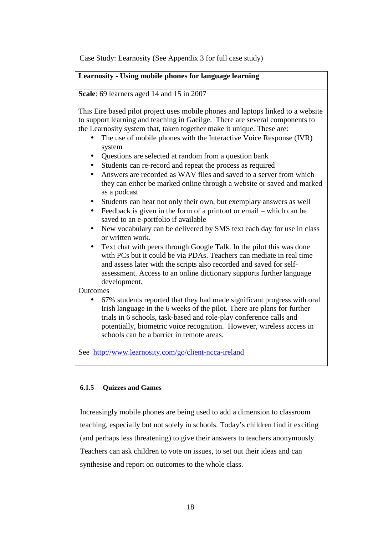Case Study: Learnosity (See Appendix 3 for full case study)

#### **Learnosity - Using mobile phones for language learning**

**Scale**: 69 learners aged 14 and 15 in 2007

This Eire based pilot project uses mobile phones and laptops linked to a website to support learning and teaching in Gaeilge. There are several components to the Learnosity system that, taken together make it unique. These are:

- The use of mobile phones with the Interactive Voice Response (IVR) system
- Questions are selected at random from a question bank
- Students can re-record and repeat the process as required
- Answers are recorded as WAV files and saved to a server from which they can either be marked online through a website or saved and marked as a podcast
- Students can hear not only their own, but exemplary answers as well
- Feedback is given in the form of a printout or email which can be saved to an e-portfolio if available
- New vocabulary can be delivered by SMS text each day for use in class or written work.
- Text chat with peers through Google Talk. In the pilot this was done with PCs but it could be via PDAs. Teachers can mediate in real time and assess later with the scripts also recorded and saved for selfassessment. Access to an online dictionary supports further language development.

**Outcomes** 

• 67% students reported that they had made significant progress with oral Irish language in the 6 weeks of the pilot. There are plans for further trials in 6 schools, task-based and role-play conference calls and potentially, biometric voice recognition. However, wireless access in schools can be a barrier in remote areas.

See http://www.learnosity.com/go/client-ncca-ireland

#### **6.1.5 Quizzes and Games**

Increasingly mobile phones are being used to add a dimension to classroom teaching, especially but not solely in schools. Today's children find it exciting (and perhaps less threatening) to give their answers to teachers anonymously. Teachers can ask children to vote on issues, to set out their ideas and can synthesise and report on outcomes to the whole class.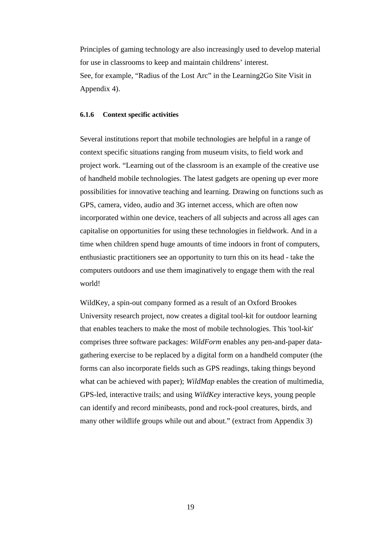Principles of gaming technology are also increasingly used to develop material for use in classrooms to keep and maintain childrens' interest. See, for example, "Radius of the Lost Arc" in the Learning2Go Site Visit in Appendix 4).

#### **6.1.6 Context specific activities**

Several institutions report that mobile technologies are helpful in a range of context specific situations ranging from museum visits, to field work and project work. "Learning out of the classroom is an example of the creative use of handheld mobile technologies. The latest gadgets are opening up ever more possibilities for innovative teaching and learning. Drawing on functions such as GPS, camera, video, audio and 3G internet access, which are often now incorporated within one device, teachers of all subjects and across all ages can capitalise on opportunities for using these technologies in fieldwork. And in a time when children spend huge amounts of time indoors in front of computers, enthusiastic practitioners see an opportunity to turn this on its head - take the computers outdoors and use them imaginatively to engage them with the real world!

WildKey, a spin-out company formed as a result of an Oxford Brookes University research project, now creates a digital tool-kit for outdoor learning that enables teachers to make the most of mobile technologies. This 'tool-kit' comprises three software packages: *WildForm* enables any pen-and-paper datagathering exercise to be replaced by a digital form on a handheld computer (the forms can also incorporate fields such as GPS readings, taking things beyond what can be achieved with paper); *WildMap* enables the creation of multimedia, GPS-led, interactive trails; and using *WildKey* interactive keys, young people can identify and record minibeasts, pond and rock-pool creatures, birds, and many other wildlife groups while out and about." (extract from Appendix 3)

19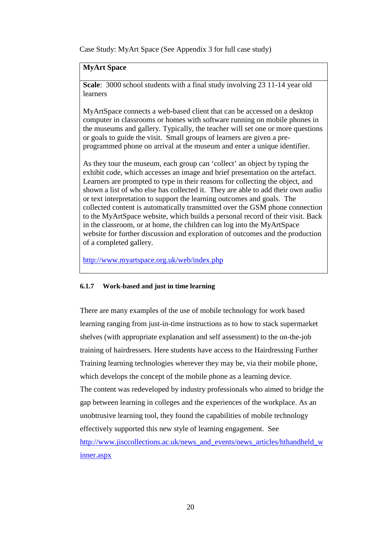Case Study: MyArt Space (See Appendix 3 for full case study)

#### **MyArt Space**

**Scale**: 3000 school students with a final study involving 23 11-14 year old learners

MyArtSpace connects a web-based client that can be accessed on a desktop computer in classrooms or homes with software running on mobile phones in the museums and gallery. Typically, the teacher will set one or more questions or goals to guide the visit. Small groups of learners are given a preprogrammed phone on arrival at the museum and enter a unique identifier.

As they tour the museum, each group can 'collect' an object by typing the exhibit code, which accesses an image and brief presentation on the artefact. Learners are prompted to type in their reasons for collecting the object, and shown a list of who else has collected it. They are able to add their own audio or text interpretation to support the learning outcomes and goals. The collected content is automatically transmitted over the GSM phone connection to the MyArtSpace website, which builds a personal record of their visit. Back in the classroom, or at home, the children can log into the MyArtSpace website for further discussion and exploration of outcomes and the production of a completed gallery.

http://www.myartspace.org.uk/web/index.php

#### **6.1.7 Work-based and just in time learning**

There are many examples of the use of mobile technology for work based learning ranging from just-in-time instructions as to how to stack supermarket shelves (with appropriate explanation and self assessment) to the on-the-job training of hairdressers. Here students have access to the Hairdressing Further Training learning technologies wherever they may be, via their mobile phone, which develops the concept of the mobile phone as a learning device. The content was redeveloped by industry professionals who aimed to bridge the gap between learning in colleges and the experiences of the workplace. As an unobtrusive learning tool, they found the capabilities of mobile technology effectively supported this new style of learning engagement. See http://www.jisccollections.ac.uk/news\_and\_events/news\_articles/hthandheld\_w inner.aspx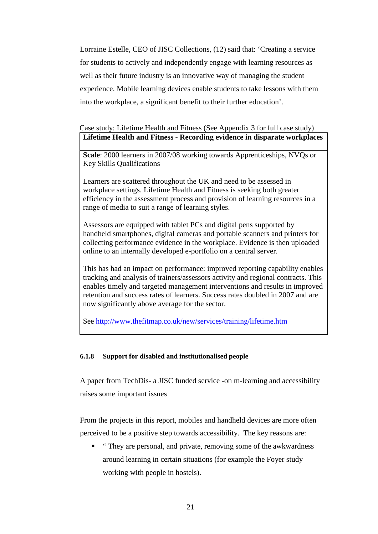Lorraine Estelle, CEO of JISC Collections, (12) said that: 'Creating a service for students to actively and independently engage with learning resources as well as their future industry is an innovative way of managing the student experience. Mobile learning devices enable students to take lessons with them into the workplace, a significant benefit to their further education'.

### Case study: Lifetime Health and Fitness (See Appendix 3 for full case study) **Lifetime Health and Fitness - Recording evidence in disparate workplaces**

**Scale**: 2000 learners in 2007/08 working towards Apprenticeships, NVQs or Key Skills Qualifications

Learners are scattered throughout the UK and need to be assessed in workplace settings. Lifetime Health and Fitness is seeking both greater efficiency in the assessment process and provision of learning resources in a range of media to suit a range of learning styles.

Assessors are equipped with tablet PCs and digital pens supported by handheld smartphones, digital cameras and portable scanners and printers for collecting performance evidence in the workplace. Evidence is then uploaded online to an internally developed e-portfolio on a central server.

This has had an impact on performance: improved reporting capability enables tracking and analysis of trainers/assessors activity and regional contracts. This enables timely and targeted management interventions and results in improved retention and success rates of learners. Success rates doubled in 2007 and are now significantly above average for the sector.

See http://www.thefitmap.co.uk/new/services/training/lifetime.htm

#### **6.1.8 Support for disabled and institutionalised people**

A paper from TechDis- a JISC funded service -on m-learning and accessibility raises some important issues

From the projects in this report, mobiles and handheld devices are more often perceived to be a positive step towards accessibility. The key reasons are:

■ "They are personal, and private, removing some of the awkwardness around learning in certain situations (for example the Foyer study working with people in hostels).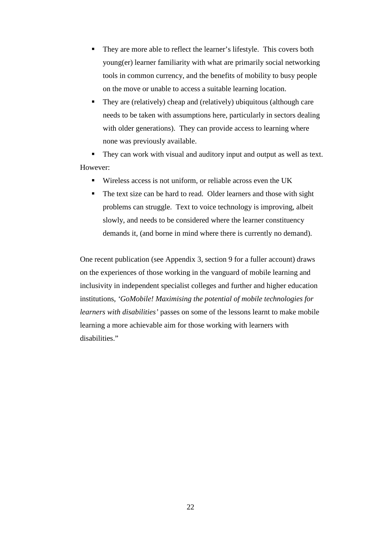- They are more able to reflect the learner's lifestyle. This covers both young(er) learner familiarity with what are primarily social networking tools in common currency, and the benefits of mobility to busy people on the move or unable to access a suitable learning location.
- They are (relatively) cheap and (relatively) ubiquitous (although care needs to be taken with assumptions here, particularly in sectors dealing with older generations). They can provide access to learning where none was previously available.

They can work with visual and auditory input and output as well as text. However:

- Wireless access is not uniform, or reliable across even the UK
- The text size can be hard to read. Older learners and those with sight problems can struggle. Text to voice technology is improving, albeit slowly, and needs to be considered where the learner constituency demands it, (and borne in mind where there is currently no demand).

One recent publication (see Appendix 3, section 9 for a fuller account) draws on the experiences of those working in the vanguard of mobile learning and inclusivity in independent specialist colleges and further and higher education institutions, *'GoMobile! Maximising the potential of mobile technologies for learners with disabilities'* passes on some of the lessons learnt to make mobile learning a more achievable aim for those working with learners with disabilities."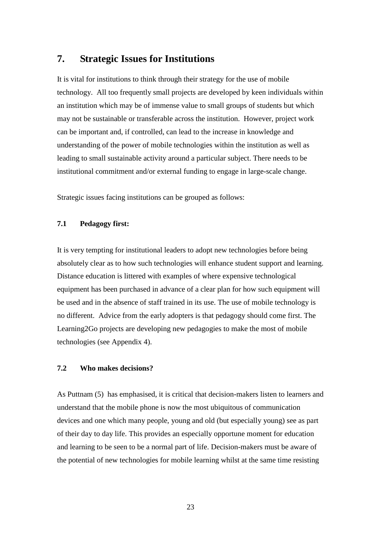## **7. Strategic Issues for Institutions**

It is vital for institutions to think through their strategy for the use of mobile technology. All too frequently small projects are developed by keen individuals within an institution which may be of immense value to small groups of students but which may not be sustainable or transferable across the institution. However, project work can be important and, if controlled, can lead to the increase in knowledge and understanding of the power of mobile technologies within the institution as well as leading to small sustainable activity around a particular subject. There needs to be institutional commitment and/or external funding to engage in large-scale change.

Strategic issues facing institutions can be grouped as follows:

#### **7.1 Pedagogy first:**

It is very tempting for institutional leaders to adopt new technologies before being absolutely clear as to how such technologies will enhance student support and learning. Distance education is littered with examples of where expensive technological equipment has been purchased in advance of a clear plan for how such equipment will be used and in the absence of staff trained in its use. The use of mobile technology is no different. Advice from the early adopters is that pedagogy should come first. The Learning2Go projects are developing new pedagogies to make the most of mobile technologies (see Appendix 4).

#### **7.2 Who makes decisions?**

As Puttnam (5) has emphasised, it is critical that decision-makers listen to learners and understand that the mobile phone is now the most ubiquitous of communication devices and one which many people, young and old (but especially young) see as part of their day to day life. This provides an especially opportune moment for education and learning to be seen to be a normal part of life. Decision-makers must be aware of the potential of new technologies for mobile learning whilst at the same time resisting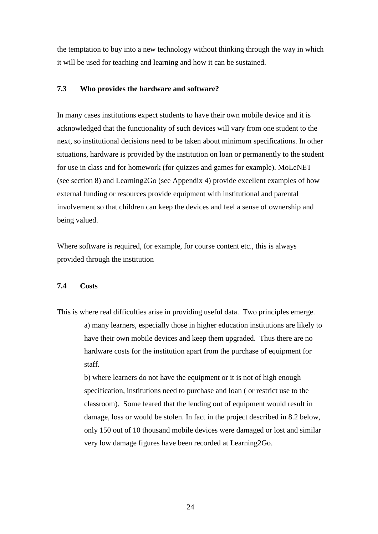the temptation to buy into a new technology without thinking through the way in which it will be used for teaching and learning and how it can be sustained.

#### **7.3 Who provides the hardware and software?**

In many cases institutions expect students to have their own mobile device and it is acknowledged that the functionality of such devices will vary from one student to the next, so institutional decisions need to be taken about minimum specifications. In other situations, hardware is provided by the institution on loan or permanently to the student for use in class and for homework (for quizzes and games for example). MoLeNET (see section 8) and Learning2Go (see Appendix 4) provide excellent examples of how external funding or resources provide equipment with institutional and parental involvement so that children can keep the devices and feel a sense of ownership and being valued.

Where software is required, for example, for course content etc., this is always provided through the institution

#### **7.4 Costs**

This is where real difficulties arise in providing useful data. Two principles emerge. a) many learners, especially those in higher education institutions are likely to have their own mobile devices and keep them upgraded. Thus there are no hardware costs for the institution apart from the purchase of equipment for staff.

> b) where learners do not have the equipment or it is not of high enough specification, institutions need to purchase and loan ( or restrict use to the classroom). Some feared that the lending out of equipment would result in damage, loss or would be stolen. In fact in the project described in 8.2 below, only 150 out of 10 thousand mobile devices were damaged or lost and similar very low damage figures have been recorded at Learning2Go.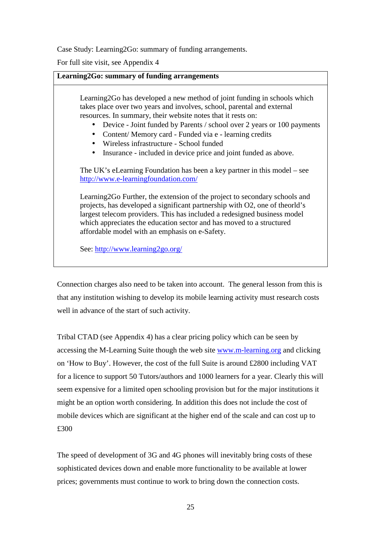Case Study: Learning2Go: summary of funding arrangements.

For full site visit, see Appendix 4

| Learning2Go: summary of funding arrangements                                                                                                                                                                                                                                                                                                                                                                                                                         |  |  |
|----------------------------------------------------------------------------------------------------------------------------------------------------------------------------------------------------------------------------------------------------------------------------------------------------------------------------------------------------------------------------------------------------------------------------------------------------------------------|--|--|
| Learning 2Go has developed a new method of joint funding in schools which<br>takes place over two years and involves, school, parental and external<br>resources. In summary, their website notes that it rests on:<br>Device - Joint funded by Parents / school over 2 years or 100 payments<br>Content/Memory card - Funded via e - learning credits<br>Wireless infrastructure - School funded<br>Insurance - included in device price and joint funded as above. |  |  |
| The UK's eLearning Foundation has been a key partner in this model – see<br>http://www.e-learningfoundation.com/                                                                                                                                                                                                                                                                                                                                                     |  |  |
| Learning 2Go Further, the extension of the project to secondary schools and<br>projects, has developed a significant partnership with O2, one of theorld's<br>largest telecom providers. This has included a redesigned business model<br>which appreciates the education sector and has moved to a structured<br>affordable model with an emphasis on e-Safety.                                                                                                     |  |  |
| See: http://www.learning2go.org/                                                                                                                                                                                                                                                                                                                                                                                                                                     |  |  |

Connection charges also need to be taken into account. The general lesson from this is that any institution wishing to develop its mobile learning activity must research costs well in advance of the start of such activity.

Tribal CTAD (see Appendix 4) has a clear pricing policy which can be seen by accessing the M-Learning Suite though the web site www.m-learning.org and clicking on 'How to Buy'. However, the cost of the full Suite is around £2800 including VAT for a licence to support 50 Tutors/authors and 1000 learners for a year. Clearly this will seem expensive for a limited open schooling provision but for the major institutions it might be an option worth considering. In addition this does not include the cost of mobile devices which are significant at the higher end of the scale and can cost up to £300

The speed of development of 3G and 4G phones will inevitably bring costs of these sophisticated devices down and enable more functionality to be available at lower prices; governments must continue to work to bring down the connection costs.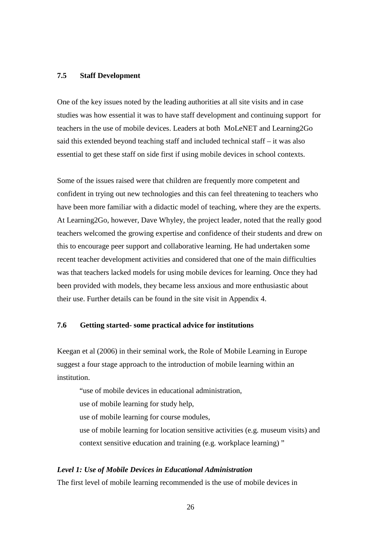#### **7.5 Staff Development**

One of the key issues noted by the leading authorities at all site visits and in case studies was how essential it was to have staff development and continuing support for teachers in the use of mobile devices. Leaders at both MoLeNET and Learning2Go said this extended beyond teaching staff and included technical staff – it was also essential to get these staff on side first if using mobile devices in school contexts.

Some of the issues raised were that children are frequently more competent and confident in trying out new technologies and this can feel threatening to teachers who have been more familiar with a didactic model of teaching, where they are the experts. At Learning2Go, however, Dave Whyley, the project leader, noted that the really good teachers welcomed the growing expertise and confidence of their students and drew on this to encourage peer support and collaborative learning. He had undertaken some recent teacher development activities and considered that one of the main difficulties was that teachers lacked models for using mobile devices for learning. Once they had been provided with models, they became less anxious and more enthusiastic about their use. Further details can be found in the site visit in Appendix 4.

#### **7.6 Getting started- some practical advice for institutions**

Keegan et al (2006) in their seminal work, the Role of Mobile Learning in Europe suggest a four stage approach to the introduction of mobile learning within an **institution** 

"use of mobile devices in educational administration, use of mobile learning for study help, use of mobile learning for course modules, use of mobile learning for location sensitive activities (e.g. museum visits) and context sensitive education and training (e.g. workplace learning) "

#### *Level 1: Use of Mobile Devices in Educational Administration*

The first level of mobile learning recommended is the use of mobile devices in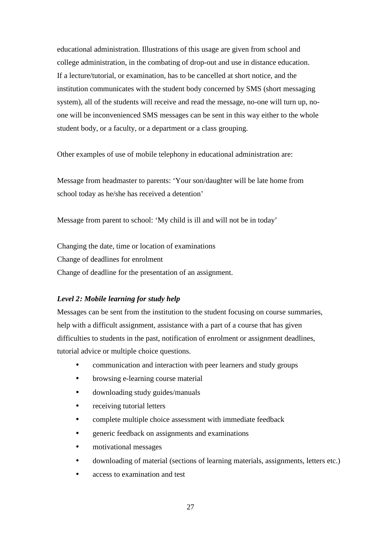educational administration. Illustrations of this usage are given from school and college administration, in the combating of drop-out and use in distance education. If a lecture/tutorial, or examination, has to be cancelled at short notice, and the institution communicates with the student body concerned by SMS (short messaging system), all of the students will receive and read the message, no-one will turn up, noone will be inconvenienced SMS messages can be sent in this way either to the whole student body, or a faculty, or a department or a class grouping.

Other examples of use of mobile telephony in educational administration are:

Message from headmaster to parents: 'Your son/daughter will be late home from school today as he/she has received a detention'

Message from parent to school: 'My child is ill and will not be in today'

Changing the date, time or location of examinations Change of deadlines for enrolment Change of deadline for the presentation of an assignment.

#### *Level 2: Mobile learning for study help*

Messages can be sent from the institution to the student focusing on course summaries, help with a difficult assignment, assistance with a part of a course that has given difficulties to students in the past, notification of enrolment or assignment deadlines, tutorial advice or multiple choice questions.

- communication and interaction with peer learners and study groups
- browsing e-learning course material
- downloading study guides/manuals
- receiving tutorial letters
- complete multiple choice assessment with immediate feedback
- generic feedback on assignments and examinations
- motivational messages
- downloading of material (sections of learning materials, assignments, letters etc.)
- access to examination and test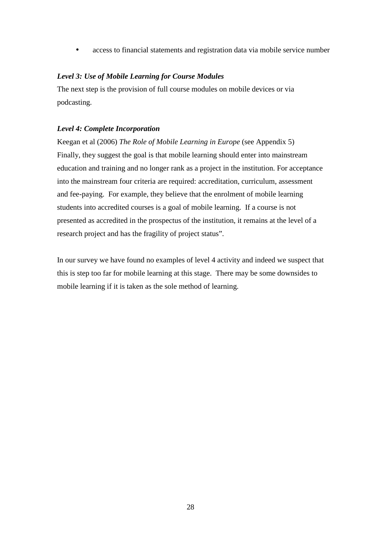• access to financial statements and registration data via mobile service number

#### *Level 3: Use of Mobile Learning for Course Modules*

The next step is the provision of full course modules on mobile devices or via podcasting.

#### *Level 4: Complete Incorporation*

Keegan et al (2006) *The Role of Mobile Learning in Europe* (see Appendix 5) Finally, they suggest the goal is that mobile learning should enter into mainstream education and training and no longer rank as a project in the institution. For acceptance into the mainstream four criteria are required: accreditation, curriculum, assessment and fee-paying. For example, they believe that the enrolment of mobile learning students into accredited courses is a goal of mobile learning. If a course is not presented as accredited in the prospectus of the institution, it remains at the level of a research project and has the fragility of project status".

In our survey we have found no examples of level 4 activity and indeed we suspect that this is step too far for mobile learning at this stage. There may be some downsides to mobile learning if it is taken as the sole method of learning.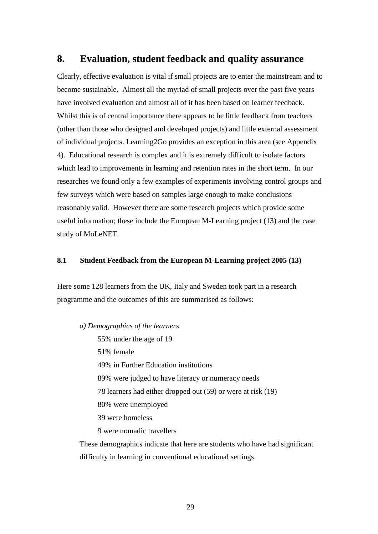### **8. Evaluation, student feedback and quality assurance**

Clearly, effective evaluation is vital if small projects are to enter the mainstream and to become sustainable. Almost all the myriad of small projects over the past five years have involved evaluation and almost all of it has been based on learner feedback. Whilst this is of central importance there appears to be little feedback from teachers (other than those who designed and developed projects) and little external assessment of individual projects. Learning2Go provides an exception in this area (see Appendix 4). Educational research is complex and it is extremely difficult to isolate factors which lead to improvements in learning and retention rates in the short term. In our researches we found only a few examples of experiments involving control groups and few surveys which were based on samples large enough to make conclusions reasonably valid. However there are some research projects which provide some useful information; these include the European M-Learning project (13) and the case study of MoLeNET.

#### **8.1 Student Feedback from the European M-Learning project 2005 (13)**

Here some 128 learners from the UK, Italy and Sweden took part in a research programme and the outcomes of this are summarised as follows:

*a) Demographics of the learners* 55% under the age of 19 51% female 49% in Further Education institutions 89% were judged to have literacy or numeracy needs 78 learners had either dropped out (59) or were at risk (19) 80% were unemployed 39 were homeless 9 were nomadic travellers

These demographics indicate that here are students who have had significant difficulty in learning in conventional educational settings.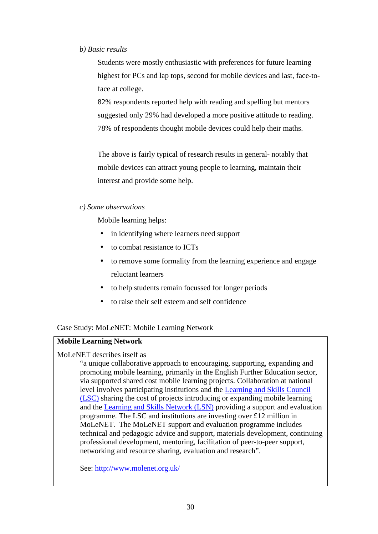#### *b) Basic results*

Students were mostly enthusiastic with preferences for future learning highest for PCs and lap tops, second for mobile devices and last, face-toface at college.

82% respondents reported help with reading and spelling but mentors suggested only 29% had developed a more positive attitude to reading. 78% of respondents thought mobile devices could help their maths.

The above is fairly typical of research results in general- notably that mobile devices can attract young people to learning, maintain their interest and provide some help.

#### *c) Some observations*

Mobile learning helps:

- in identifying where learners need support
- to combat resistance to ICTs
- to remove some formality from the learning experience and engage reluctant learners
- to help students remain focussed for longer periods
- to raise their self esteem and self confidence

Case Study: MoLeNET: Mobile Learning Network

#### **Mobile Learning Network**

#### MoLeNET describes itself as

"a unique collaborative approach to encouraging, supporting, expanding and promoting mobile learning, primarily in the English Further Education sector, via supported shared cost mobile learning projects. Collaboration at national level involves participating institutions and the Learning and Skills Council (LSC) sharing the cost of projects introducing or expanding mobile learning and the Learning and Skills Network (LSN) providing a support and evaluation programme. The LSC and institutions are investing over £12 million in MoLeNET. The MoLeNET support and evaluation programme includes technical and pedagogic advice and support, materials development, continuing professional development, mentoring, facilitation of peer-to-peer support, networking and resource sharing, evaluation and research".

See: http://www.molenet.org.uk/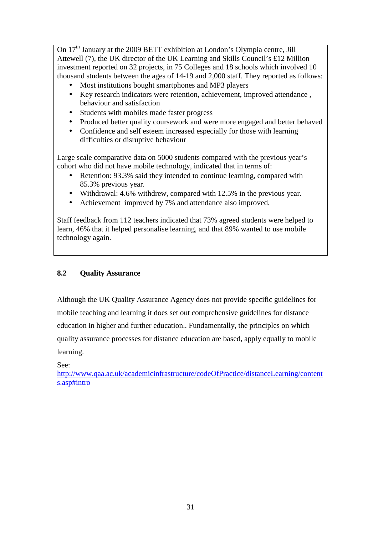On 17<sup>th</sup> January at the 2009 BETT exhibition at London's Olympia centre, Jill Attewell (7), the UK director of the UK Learning and Skills Council's £12 Million investment reported on 32 projects, in 75 Colleges and 18 schools which involved 10 thousand students between the ages of 14-19 and 2,000 staff. They reported as follows:

- Most institutions bought smartphones and MP3 players
- Key research indicators were retention, achievement, improved attendance , behaviour and satisfaction
- Students with mobiles made faster progress
- Produced better quality coursework and were more engaged and better behaved
- Confidence and self esteem increased especially for those with learning difficulties or disruptive behaviour

Large scale comparative data on 5000 students compared with the previous year's cohort who did not have mobile technology, indicated that in terms of:

- Retention: 93.3% said they intended to continue learning, compared with 85.3% previous year.
- Withdrawal: 4.6% withdrew, compared with 12.5% in the previous year.
- Achievement improved by 7% and attendance also improved.

Staff feedback from 112 teachers indicated that 73% agreed students were helped to learn, 46% that it helped personalise learning, and that 89% wanted to use mobile technology again.

#### **8.2 Quality Assurance**

Although the UK Quality Assurance Agency does not provide specific guidelines for mobile teaching and learning it does set out comprehensive guidelines for distance education in higher and further education.. Fundamentally, the principles on which quality assurance processes for distance education are based, apply equally to mobile learning.

See:

http://www.qaa.ac.uk/academicinfrastructure/codeOfPractice/distanceLearning/content s.asp#intro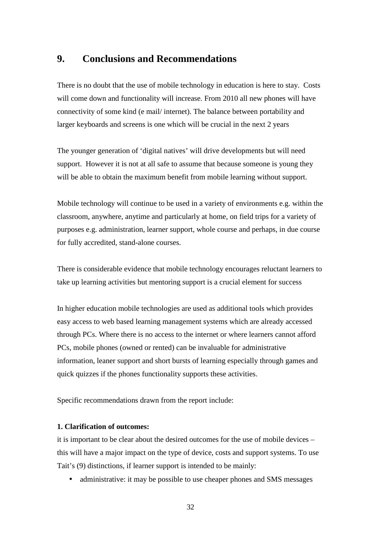## **9. Conclusions and Recommendations**

There is no doubt that the use of mobile technology in education is here to stay. Costs will come down and functionality will increase. From 2010 all new phones will have connectivity of some kind (e mail/ internet). The balance between portability and larger keyboards and screens is one which will be crucial in the next 2 years

The younger generation of 'digital natives' will drive developments but will need support. However it is not at all safe to assume that because someone is young they will be able to obtain the maximum benefit from mobile learning without support.

Mobile technology will continue to be used in a variety of environments e.g. within the classroom, anywhere, anytime and particularly at home, on field trips for a variety of purposes e.g. administration, learner support, whole course and perhaps, in due course for fully accredited, stand-alone courses.

There is considerable evidence that mobile technology encourages reluctant learners to take up learning activities but mentoring support is a crucial element for success

In higher education mobile technologies are used as additional tools which provides easy access to web based learning management systems which are already accessed through PCs. Where there is no access to the internet or where learners cannot afford PCs, mobile phones (owned or rented) can be invaluable for administrative information, leaner support and short bursts of learning especially through games and quick quizzes if the phones functionality supports these activities.

Specific recommendations drawn from the report include:

#### **1. Clarification of outcomes:**

it is important to be clear about the desired outcomes for the use of mobile devices – this will have a major impact on the type of device, costs and support systems. To use Tait's (9) distinctions, if learner support is intended to be mainly:

• administrative: it may be possible to use cheaper phones and SMS messages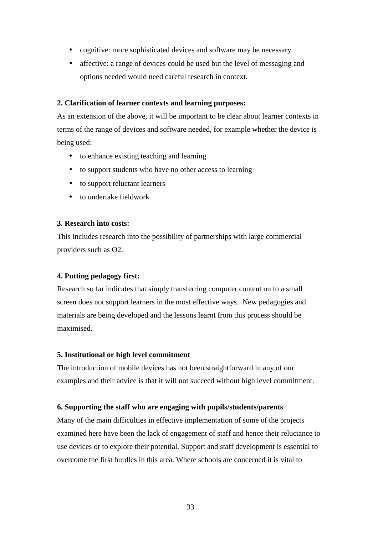- cognitive: more sophisticated devices and software may be necessary
- affective: a range of devices could be used but the level of messaging and options needed would need careful research in context.

#### **2. Clarification of learner contexts and learning purposes:**

As an extension of the above, it will be important to be clear about learner contexts in terms of the range of devices and software needed, for example whether the device is being used:

- to enhance existing teaching and learning
- to support students who have no other access to learning
- to support reluctant learners
- to undertake fieldwork

#### **3. Research into costs:**

This includes research into the possibility of partnerships with large commercial providers such as O2.

#### **4. Putting pedagogy first:**

Research so far indicates that simply transferring computer content on to a small screen does not support learners in the most effective ways. New pedagogies and materials are being developed and the lessons learnt from this process should be maximised.

#### **5. Institutional or high level commitment**

The introduction of mobile devices has not been straightforward in any of our examples and their advice is that it will not succeed without high level commitment.

#### **6. Supporting the staff who are engaging with pupils/students/parents**

Many of the main difficulties in effective implementation of some of the projects examined here have been the lack of engagement of staff and hence their reluctance to use devices or to explore their potential. Support and staff development is essential to overcome the first hurdles in this area. Where schools are concerned it is vital to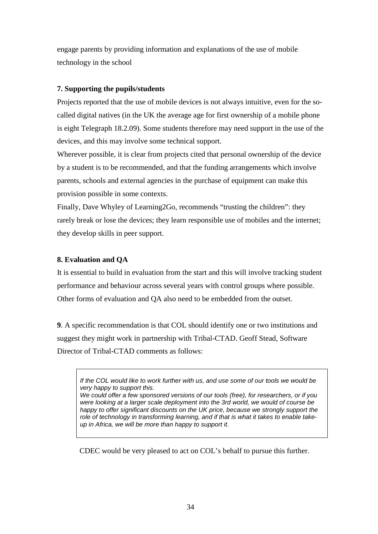engage parents by providing information and explanations of the use of mobile technology in the school

#### **7. Supporting the pupils/students**

Projects reported that the use of mobile devices is not always intuitive, even for the socalled digital natives (in the UK the average age for first ownership of a mobile phone is eight Telegraph 18.2.09). Some students therefore may need support in the use of the devices, and this may involve some technical support.

Wherever possible, it is clear from projects cited that personal ownership of the device by a student is to be recommended, and that the funding arrangements which involve parents, schools and external agencies in the purchase of equipment can make this provision possible in some contexts.

Finally, Dave Whyley of Learning2Go, recommends "trusting the children": they rarely break or lose the devices; they learn responsible use of mobiles and the internet; they develop skills in peer support.

#### **8. Evaluation and QA**

It is essential to build in evaluation from the start and this will involve tracking student performance and behaviour across several years with control groups where possible. Other forms of evaluation and QA also need to be embedded from the outset.

**9**. A specific recommendation is that COL should identify one or two institutions and suggest they might work in partnership with Tribal-CTAD. Geoff Stead, Software Director of Tribal-CTAD comments as follows:

If the COL would like to work further with us, and use some of our tools we would be very happy to support this.

We could offer a few sponsored versions of our tools (free), for researchers, or if you were looking at a larger scale deployment into the 3rd world, we would of course be happy to offer significant discounts on the UK price, because we strongly support the role of technology in transforming learning, and if that is what it takes to enable takeup in Africa, we will be more than happy to support it.

CDEC would be very pleased to act on COL's behalf to pursue this further.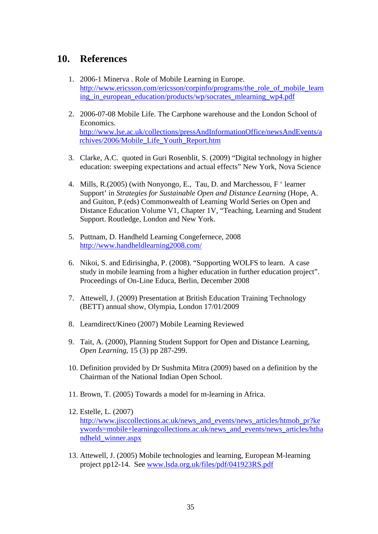## **10. References**

- 1. 2006-1 Minerva . Role of Mobile Learning in Europe. http://www.ericsson.com/ericsson/corpinfo/programs/the\_role\_of\_mobile\_learn ing in european education/products/wp/socrates mlearning wp4.pdf
- 2. 2006-07-08 Mobile Life. The Carphone warehouse and the London School of Economics. http://www.lse.ac.uk/collections/pressAndInformationOffice/newsAndEvents/a rchives/2006/Mobile\_Life\_Youth\_Report.htm
- 3. Clarke, A.C. quoted in Guri Rosenblit, S. (2009) "Digital technology in higher education: sweeping expectations and actual effects" New York, Nova Science
- 4. Mills, R.(2005) (with Nonyongo, E., Tau, D. and Marchessou, F ' learner Support' in *Strategies for Sustainable Open and Distance Learning* (Hope, A. and Guiton, P.(eds) Commonwealth of Learning World Series on Open and Distance Education Volume V1, Chapter 1V, "Teaching, Learning and Student Support. Routledge, London and New York.
- 5. Puttnam, D. Handheld Learning Congefernece, 2008 http://www.handheldlearning2008.com/
- 6. Nikoi, S. and Edirisingha, P. (2008). "Supporting WOLFS to learn. A case study in mobile learning from a higher education in further education project". Proceedings of On-Line Educa, Berlin, December 2008
- 7. Attewell, J. (2009) Presentation at British Education Training Technology (BETT) annual show, Olympia, London 17/01/2009
- 8. Learndirect/Kineo (2007) Mobile Learning Reviewed
- 9. Tait, A. (2000), Planning Student Support for Open and Distance Learning, *Open Learning*, 15 (3) pp 287-299.
- 10. Definition provided by Dr Sushmita Mitra (2009) based on a definition by the Chairman of the National Indian Open School.
- 11. Brown, T. (2005) Towards a model for m-learning in Africa.
- 12. Estelle, L. (2007) http://www.jisccollections.ac.uk/news\_and\_events/news\_articles/htmob\_pr?ke ywords=mobile+learningcollections.ac.uk/news\_and\_events/news\_articles/htha ndheld\_winner.aspx
- 13. Attewell, J. (2005) Mobile technologies and learning, European M-learning project pp12-14. See www.lsda.org.uk/files/pdf/041923RS.pdf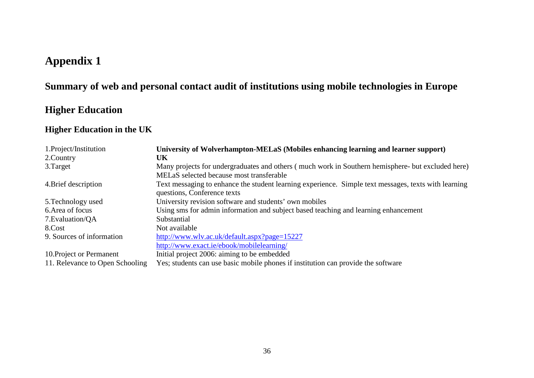## **Appendix 1**

## **Summary of web and personal contact audit of institutions using mobile technologies in Europe**

## **Higher Education**

## **Higher Education in the UK**

| 1. Project/Institution          | University of Wolverhampton-MELaS (Mobiles enhancing learning and learner support)                                                            |
|---------------------------------|-----------------------------------------------------------------------------------------------------------------------------------------------|
| 2. Country                      | UK                                                                                                                                            |
| 3. Target                       | Many projects for undergraduates and others (much work in Southern hemisphere- but excluded here)<br>MELaS selected because most transferable |
| 4. Brief description            | Text messaging to enhance the student learning experience. Simple text messages, texts with learning<br>questions, Conference texts           |
| 5. Technology used              | University revision software and students' own mobiles                                                                                        |
| 6. Area of focus                | Using sms for admin information and subject based teaching and learning enhancement                                                           |
| 7. Evaluation/QA                | Substantial                                                                                                                                   |
| 8.Cost                          | Not available                                                                                                                                 |
| 9. Sources of information       | http://www.wlv.ac.uk/default.aspx?page=15227                                                                                                  |
|                                 | http://www.exact.ie/ebook/mobilelearning/                                                                                                     |
| 10. Project or Permanent        | Initial project 2006: aiming to be embedded                                                                                                   |
| 11. Relevance to Open Schooling | Yes; students can use basic mobile phones if institution can provide the software                                                             |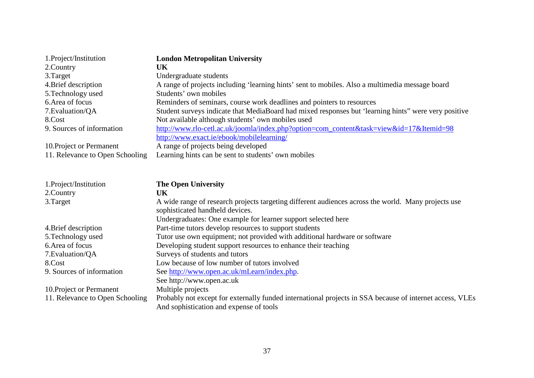| 1. Project/Institution          | <b>London Metropolitan University</b>                                                                                                               |
|---------------------------------|-----------------------------------------------------------------------------------------------------------------------------------------------------|
| 2. Country                      | UK                                                                                                                                                  |
| 3.Target                        | Undergraduate students                                                                                                                              |
| 4. Brief description            | A range of projects including 'learning hints' sent to mobiles. Also a multimedia message board                                                     |
| 5. Technology used              | Students' own mobiles                                                                                                                               |
| 6. Area of focus                | Reminders of seminars, course work deadlines and pointers to resources                                                                              |
| 7. Evaluation/QA                | Student surveys indicate that MediaBoard had mixed responses but 'learning hints'' were very positive                                               |
| 8.Cost                          | Not available although students' own mobiles used                                                                                                   |
| 9. Sources of information       | http://www.rlo-cetl.ac.uk/joomla/index.php?option=com_content&task=view&id=17&Itemid=98                                                             |
|                                 | http://www.exact.ie/ebook/mobilelearning/                                                                                                           |
| 10. Project or Permanent        | A range of projects being developed                                                                                                                 |
| 11. Relevance to Open Schooling | Learning hints can be sent to students' own mobiles                                                                                                 |
|                                 |                                                                                                                                                     |
| 1.Project/Institution           | <b>The Open University</b>                                                                                                                          |
| 2.Country                       | UK                                                                                                                                                  |
| 3.Target                        | A wide range of research projects targeting different audiences across the world. Many projects use<br>sophisticated handheld devices.              |
|                                 | Undergraduates: One example for learner support selected here                                                                                       |
| 4. Brief description            | Part-time tutors develop resources to support students                                                                                              |
| 5. Technology used              | Tutor use own equipment; not provided with additional hardware or software                                                                          |
| 6. Area of focus                | Developing student support resources to enhance their teaching                                                                                      |
| 7. Evaluation/QA                | Surveys of students and tutors                                                                                                                      |
| 8.Cost                          | Low because of low number of tutors involved                                                                                                        |
| 9. Sources of information       | See http://www.open.ac.uk/mLearn/index.php.                                                                                                         |
|                                 | See http://www.open.ac.uk                                                                                                                           |
| 10. Project or Permanent        | Multiple projects                                                                                                                                   |
| 11. Relevance to Open Schooling | Probably not except for externally funded international projects in SSA because of internet access, VLEs<br>And sophistication and expense of tools |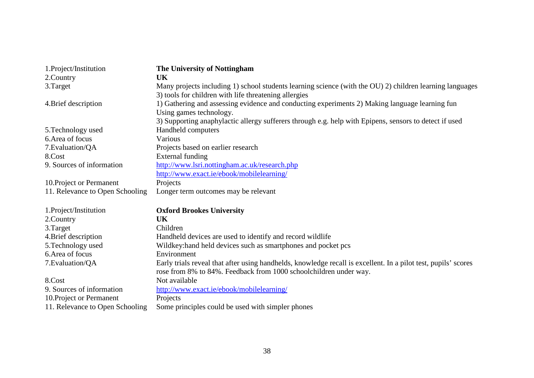| 1.Project/Institution           | The University of Nottingham                                                                                                                                      |
|---------------------------------|-------------------------------------------------------------------------------------------------------------------------------------------------------------------|
| 2.Country                       | UK                                                                                                                                                                |
| 3.Target                        | Many projects including 1) school students learning science (with the OU) 2) children learning languages<br>3) tools for children with life threatening allergies |
| 4. Brief description            | 1) Gathering and assessing evidence and conducting experiments 2) Making language learning fun<br>Using games technology.                                         |
|                                 | 3) Supporting anaphylactic allergy sufferers through e.g. help with Epipens, sensors to detect if used                                                            |
| 5. Technology used              | Handheld computers                                                                                                                                                |
| 6. Area of focus                | Various                                                                                                                                                           |
| 7. Evaluation/QA                | Projects based on earlier research                                                                                                                                |
| 8.Cost                          | External funding                                                                                                                                                  |
| 9. Sources of information       | http://www.lsri.nottingham.ac.uk/research.php                                                                                                                     |
|                                 | http://www.exact.ie/ebook/mobilelearning/                                                                                                                         |
| 10. Project or Permanent        | Projects                                                                                                                                                          |
| 11. Relevance to Open Schooling | Longer term outcomes may be relevant                                                                                                                              |
| 1.Project/Institution           | <b>Oxford Brookes University</b>                                                                                                                                  |
| 2.Country                       | <b>UK</b>                                                                                                                                                         |
| 3.Target                        | Children                                                                                                                                                          |
| 4. Brief description            | Handheld devices are used to identify and record wildlife                                                                                                         |
| 5. Technology used              | Wildkey: hand held devices such as smartphones and pocket pcs                                                                                                     |
| 6. Area of focus                | Environment                                                                                                                                                       |
| 7. Evaluation/QA                | Early trials reveal that after using handhelds, knowledge recall is excellent. In a pilot test, pupils' scores                                                    |
|                                 | rose from 8% to 84%. Feedback from 1000 schoolchildren under way.                                                                                                 |
| 8.Cost                          | Not available                                                                                                                                                     |
| 9. Sources of information       | http://www.exact.ie/ebook/mobilelearning/                                                                                                                         |
| 10. Project or Permanent        | Projects                                                                                                                                                          |
| 11. Relevance to Open Schooling | Some principles could be used with simpler phones                                                                                                                 |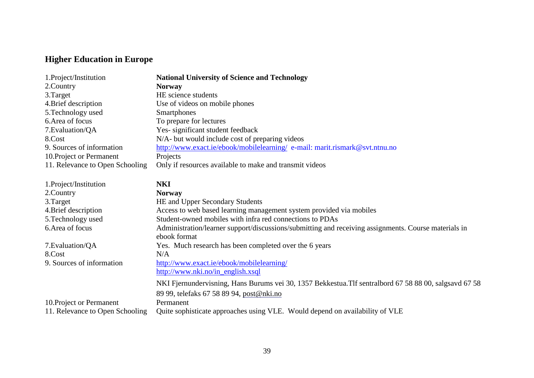# **Higher Education in Europe**

| 1.Project/Institution           | <b>National University of Science and Technology</b>                                                   |
|---------------------------------|--------------------------------------------------------------------------------------------------------|
| 2. Country                      | <b>Norway</b>                                                                                          |
| 3. Target                       | HE science students                                                                                    |
| 4. Brief description            | Use of videos on mobile phones                                                                         |
| 5. Technology used              | <b>Smartphones</b>                                                                                     |
| 6. Area of focus                | To prepare for lectures                                                                                |
| 7. Evaluation/QA                | Yes-significant student feedback                                                                       |
| 8.Cost                          | N/A- but would include cost of preparing videos                                                        |
| 9. Sources of information       | http://www.exact.ie/ebook/mobilelearning/e-mail: marit.rismark@svt.ntnu.no                             |
| 10. Project or Permanent        | Projects                                                                                               |
| 11. Relevance to Open Schooling | Only if resources available to make and transmit videos                                                |
|                                 |                                                                                                        |
| 1.Project/Institution           | <b>NKI</b>                                                                                             |
| 2. Country                      | <b>Norway</b>                                                                                          |
| 3.Target                        | HE and Upper Secondary Students                                                                        |
| 4. Brief description            | Access to web based learning management system provided via mobiles                                    |
| 5. Technology used              | Student-owned mobiles with infra red connections to PDAs                                               |
| 6. Area of focus                | Administration/learner support/discussions/submitting and receiving assignments. Course materials in   |
|                                 | ebook format                                                                                           |
| 7. Evaluation/QA                | Yes. Much research has been completed over the 6 years                                                 |
| 8.Cost                          | N/A                                                                                                    |
| 9. Sources of information       | http://www.exact.ie/ebook/mobilelearning/                                                              |
|                                 | http://www.nki.no/in_english.xsql                                                                      |
|                                 | NKI Fjernundervisning, Hans Burums vei 30, 1357 Bekkestua. Tlf sentralbord 67 58 88 00, salgsavd 67 58 |
|                                 | 89 99, telefaks 67 58 89 94, post@nki.no                                                               |
| 10. Project or Permanent        | Permanent                                                                                              |
| 11. Relevance to Open Schooling | Quite sophisticate approaches using VLE. Would depend on availability of VLE                           |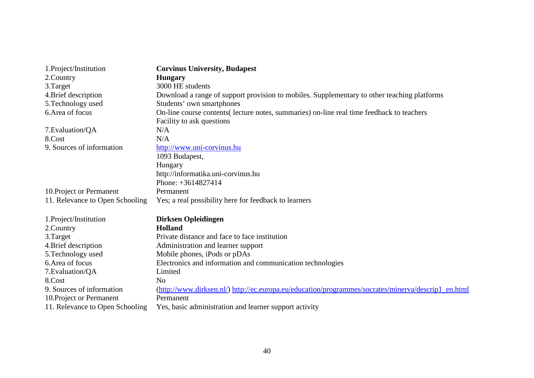| 1.Project/Institution           | <b>Corvinus University, Budapest</b>                                                                |
|---------------------------------|-----------------------------------------------------------------------------------------------------|
| 2.Country                       | <b>Hungary</b>                                                                                      |
| 3.Target                        | 3000 HE students                                                                                    |
| 4. Brief description            | Download a range of support provision to mobiles. Supplementary to other teaching platforms         |
| 5. Technology used              | Students' own smartphones                                                                           |
| 6. Area of focus                | On-line course contents (lecture notes, summaries) on-line real time feedback to teachers           |
|                                 | Facility to ask questions                                                                           |
| 7. Evaluation/QA                | N/A                                                                                                 |
| 8.Cost                          | N/A                                                                                                 |
| 9. Sources of information       | http://www.uni-corvinus.hu                                                                          |
|                                 | 1093 Budapest,                                                                                      |
|                                 | Hungary                                                                                             |
|                                 | http://informatika.uni-corvinus.hu                                                                  |
|                                 | Phone: $+3614827414$                                                                                |
| 10. Project or Permanent        | Permanent                                                                                           |
| 11. Relevance to Open Schooling | Yes; a real possibility here for feedback to learners                                               |
| 1.Project/Institution           | <b>Dirksen Opleidingen</b>                                                                          |
| 2.Country                       | Holland                                                                                             |
| 3.Target                        | Private distance and face to face institution                                                       |
| 4. Brief description            | Administration and learner support                                                                  |
| 5. Technology used              | Mobile phones, iPods or pDAs                                                                        |
| 6. Area of focus                | Electronics and information and communication technologies                                          |
| 7. Evaluation/QA                | Limited                                                                                             |
| 8.Cost                          | N <sub>0</sub>                                                                                      |
| 9. Sources of information       | (http://www.dirksen.nl/) http://ec.europa.eu/education/programmes/socrates/minerva/descrip1_en.html |
| 10. Project or Permanent        | Permanent                                                                                           |
| 11. Relevance to Open Schooling | Yes, basic administration and learner support activity                                              |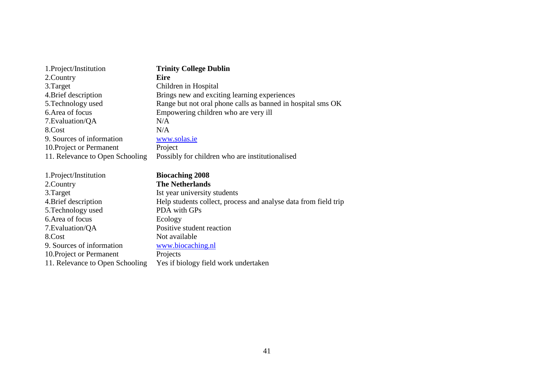| 1. Project/Institution          | <b>Trinity College Dublin</b>                                   |
|---------------------------------|-----------------------------------------------------------------|
| 2. Country                      | <b>Eire</b>                                                     |
| 3. Target                       | Children in Hospital                                            |
| 4. Brief description            | Brings new and exciting learning experiences                    |
| 5. Technology used              | Range but not oral phone calls as banned in hospital sms OK     |
| 6. Area of focus                | Empowering children who are very ill                            |
| 7. Evaluation/QA                | N/A                                                             |
| 8.Cost                          | N/A                                                             |
| 9. Sources of information       | www.solas.ie                                                    |
| 10. Project or Permanent        | Project                                                         |
| 11. Relevance to Open Schooling | Possibly for children who are institutionalised                 |
|                                 |                                                                 |
|                                 |                                                                 |
| 1.Project/Institution           | <b>Biocaching 2008</b>                                          |
| 2. Country                      | <b>The Netherlands</b>                                          |
| 3. Target                       | Ist year university students                                    |
| 4. Brief description            | Help students collect, process and analyse data from field trip |
| 5. Technology used              | PDA with GPs                                                    |
| 6. Area of focus                | Ecology                                                         |
| 7. Evaluation/QA                | Positive student reaction                                       |
| 8.Cost                          | Not available                                                   |
| 9. Sources of information       | www.biocaching.nl                                               |
| 10. Project or Permanent        | Projects                                                        |
| 11. Relevance to Open Schooling | Yes if biology field work undertaken                            |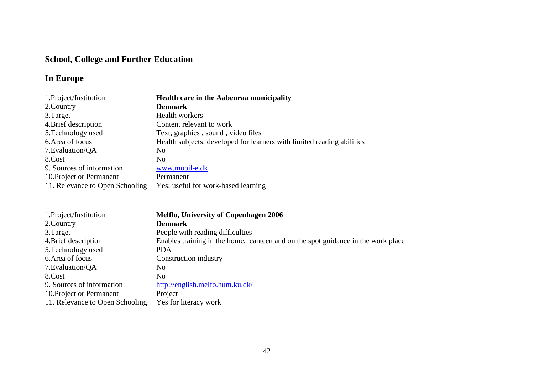# **School, College and Further Education**

# **In Europe**

| 1. Project/Institution          | <b>Health care in the Aabenraa municipality</b>                        |
|---------------------------------|------------------------------------------------------------------------|
| 2.Country                       | <b>Denmark</b>                                                         |
| 3. Target                       | <b>Health workers</b>                                                  |
| 4. Brief description            | Content relevant to work                                               |
| 5. Technology used              | Text, graphics, sound, video files                                     |
| 6. Area of focus                | Health subjects: developed for learners with limited reading abilities |
| 7. Evaluation/QA                | N <sub>0</sub>                                                         |
| 8.Cost                          | N <sub>0</sub>                                                         |
| 9. Sources of information       | www.mobil-e.dk                                                         |
| 10. Project or Permanent        | Permanent                                                              |
| 11. Relevance to Open Schooling | Yes; useful for work-based learning                                    |

| 1. Project/Institution          | <b>Melflo, University of Copenhagen 2006</b>                                     |
|---------------------------------|----------------------------------------------------------------------------------|
| 2. Country                      | <b>Denmark</b>                                                                   |
| 3. Target                       | People with reading difficulties                                                 |
| 4. Brief description            | Enables training in the home, canteen and on the spot guidance in the work place |
| 5. Technology used              | <b>PDA</b>                                                                       |
| 6. Area of focus                | Construction industry                                                            |
| 7. Evaluation/QA                | N <sub>0</sub>                                                                   |
| 8.Cost                          | N <sub>0</sub>                                                                   |
| 9. Sources of information       | http://english.melfo.hum.ku.dk/                                                  |
| 10. Project or Permanent        | Project                                                                          |
| 11. Relevance to Open Schooling | Yes for literacy work                                                            |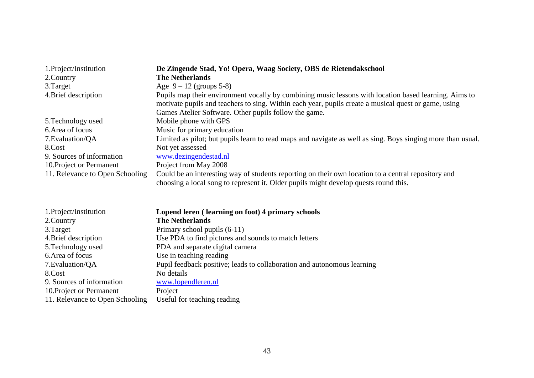| 1. Project/Institution          | De Zingende Stad, Yo! Opera, Waag Society, OBS de Rietendakschool                                                                                                                                             |
|---------------------------------|---------------------------------------------------------------------------------------------------------------------------------------------------------------------------------------------------------------|
| 2. Country                      | <b>The Netherlands</b>                                                                                                                                                                                        |
| 3. Target                       | Age $9 - 12$ (groups 5-8)                                                                                                                                                                                     |
| 4. Brief description            | Pupils map their environment vocally by combining music lessons with location based learning. Aims to<br>motivate pupils and teachers to sing. Within each year, pupils create a musical quest or game, using |
|                                 | Games Atelier Software. Other pupils follow the game.                                                                                                                                                         |
| 5. Technology used              | Mobile phone with GPS                                                                                                                                                                                         |
| 6. Area of focus                | Music for primary education                                                                                                                                                                                   |
| 7. Evaluation/QA                | Limited as pilot; but pupils learn to read maps and navigate as well as sing. Boys singing more than usual.                                                                                                   |
| 8.Cost                          | Not yet assessed                                                                                                                                                                                              |
| 9. Sources of information       | www.dezingendestad.nl                                                                                                                                                                                         |
| 10. Project or Permanent        | Project from May 2008                                                                                                                                                                                         |
| 11. Relevance to Open Schooling | Could be an interesting way of students reporting on their own location to a central repository and<br>choosing a local song to represent it. Older pupils might develop quests round this.                   |

| 1.Project/Institution           | Lopend leren (learning on foot) 4 primary schools                       |
|---------------------------------|-------------------------------------------------------------------------|
| 2.Country                       | <b>The Netherlands</b>                                                  |
| 3. Target                       | Primary school pupils (6-11)                                            |
| 4. Brief description            | Use PDA to find pictures and sounds to match letters                    |
| 5. Technology used              | PDA and separate digital camera                                         |
| 6. Area of focus                | Use in teaching reading                                                 |
| 7. Evaluation/QA                | Pupil feedback positive; leads to collaboration and autonomous learning |
| 8.Cost                          | No details                                                              |
| 9. Sources of information       | www.lopendleren.nl                                                      |
| 10. Project or Permanent        | Project                                                                 |
| 11. Relevance to Open Schooling | Useful for teaching reading                                             |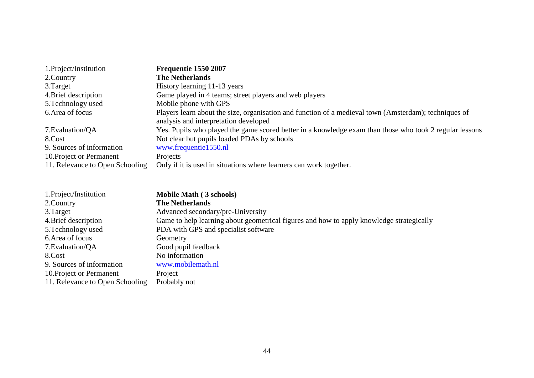| 1. Project/Institution          | Frequentie 1550 2007                                                                                    |
|---------------------------------|---------------------------------------------------------------------------------------------------------|
| 2. Country                      | <b>The Netherlands</b>                                                                                  |
| 3. Target                       | History learning 11-13 years                                                                            |
| 4. Brief description            | Game played in 4 teams; street players and web players                                                  |
| 5. Technology used              | Mobile phone with GPS                                                                                   |
| 6. Area of focus                | Players learn about the size, organisation and function of a medieval town (Amsterdam); techniques of   |
|                                 | analysis and interpretation developed                                                                   |
| 7. Evaluation/QA                | Yes. Pupils who played the game scored better in a knowledge exam than those who took 2 regular lessons |
| 8.Cost                          | Not clear but pupils loaded PDAs by schools                                                             |
| 9. Sources of information       | www.frequentie1550.nl                                                                                   |
| 10. Project or Permanent        | Projects                                                                                                |
| 11. Relevance to Open Schooling | Only if it is used in situations where learners can work together.                                      |

| 1. Project/Institution          | Mobile Math (3 schools)                                                                  |
|---------------------------------|------------------------------------------------------------------------------------------|
| 2.Country                       | <b>The Netherlands</b>                                                                   |
| 3. Target                       | Advanced secondary/pre-University                                                        |
| 4. Brief description            | Game to help learning about geometrical figures and how to apply knowledge strategically |
| 5. Technology used              | PDA with GPS and specialist software                                                     |
| 6. Area of focus                | Geometry                                                                                 |
| 7. Evaluation/QA                | Good pupil feedback                                                                      |
| 8.Cost                          | No information                                                                           |
| 9. Sources of information       | www.mobilemath.nl                                                                        |
| 10. Project or Permanent        | Project                                                                                  |
| 11. Relevance to Open Schooling | Probably not                                                                             |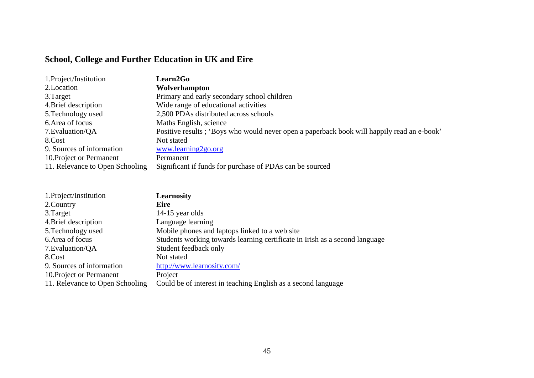# **School, College and Further Education in UK and Eire**

| 1. Project/Institution          | <b>Learn2Go</b>                                                                            |
|---------------------------------|--------------------------------------------------------------------------------------------|
| 2. Location                     | Wolverhampton                                                                              |
| 3. Target                       | Primary and early secondary school children                                                |
| 4. Brief description            | Wide range of educational activities                                                       |
| 5. Technology used              | 2,500 PDAs distributed across schools                                                      |
| 6. Area of focus                | Maths English, science                                                                     |
| 7. Evaluation/QA                | Positive results; 'Boys who would never open a paperback book will happily read an e-book' |
| 8.Cost                          | Not stated                                                                                 |
| 9. Sources of information       | www.learning2go.org                                                                        |
| 10. Project or Permanent        | Permanent                                                                                  |
| 11. Relevance to Open Schooling | Significant if funds for purchase of PDAs can be sourced                                   |

| 1.Project/Institution           | <b>Learnosity</b>                                                           |
|---------------------------------|-----------------------------------------------------------------------------|
| 2. Country                      | <b>Eire</b>                                                                 |
| 3. Target                       | $14-15$ year olds                                                           |
| 4. Brief description            | Language learning                                                           |
| 5. Technology used              | Mobile phones and laptops linked to a web site                              |
| 6. Area of focus                | Students working towards learning certificate in Irish as a second language |
| 7. Evaluation/QA                | Student feedback only                                                       |
| 8.Cost                          | Not stated                                                                  |
| 9. Sources of information       | http://www.learnosity.com/                                                  |
| 10. Project or Permanent        | Project                                                                     |
| 11. Relevance to Open Schooling | Could be of interest in teaching English as a second language               |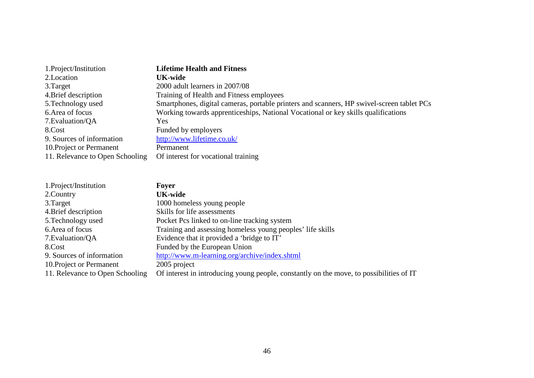| 1. Project/Institution          | <b>Lifetime Health and Fitness</b>                                                        |
|---------------------------------|-------------------------------------------------------------------------------------------|
| 2. Location                     | <b>UK-wide</b>                                                                            |
| 3. Target                       | 2000 adult learners in 2007/08                                                            |
| 4. Brief description            | Training of Health and Fitness employees                                                  |
| 5. Technology used              | Smartphones, digital cameras, portable printers and scanners, HP swivel-screen tablet PCs |
| 6. Area of focus                | Working towards apprenticeships, National Vocational or key skills qualifications         |
| 7. Evaluation/QA                | Yes                                                                                       |
| 8.Cost                          | Funded by employers                                                                       |
| 9. Sources of information       | http://www.lifetime.co.uk/                                                                |
| 10. Project or Permanent        | Permanent                                                                                 |
| 11. Relevance to Open Schooling | Of interest for vocational training                                                       |

| 1.Project/Institution           | Fover                                                                                   |
|---------------------------------|-----------------------------------------------------------------------------------------|
| 2. Country                      | <b>UK-wide</b>                                                                          |
| 3. Target                       | 1000 homeless young people                                                              |
| 4. Brief description            | Skills for life assessments                                                             |
| 5. Technology used              | Pocket Pcs linked to on-line tracking system                                            |
| 6. Area of focus                | Training and assessing homeless young peoples' life skills                              |
| 7. Evaluation/QA                | Evidence that it provided a 'bridge to IT'                                              |
| 8.Cost                          | Funded by the European Union                                                            |
| 9. Sources of information       | http://www.m-learning.org/archive/index.shtml                                           |
| 10. Project or Permanent        | 2005 project                                                                            |
| 11. Relevance to Open Schooling | Of interest in introducing young people, constantly on the move, to possibilities of IT |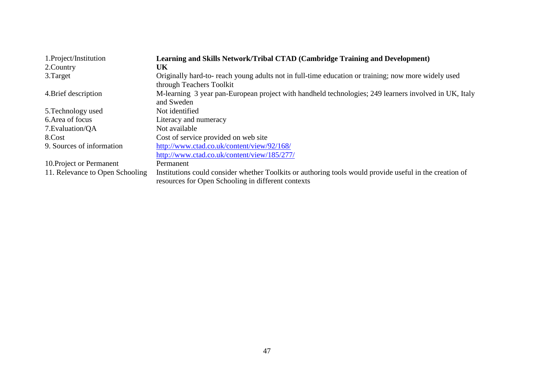| 1.Project/Institution           | Learning and Skills Network/Tribal CTAD (Cambridge Training and Development)                                                                                  |
|---------------------------------|---------------------------------------------------------------------------------------------------------------------------------------------------------------|
| 2.Country                       | UK                                                                                                                                                            |
| 3. Target                       | Originally hard-to- reach young adults not in full-time education or training; now more widely used                                                           |
|                                 | through Teachers Toolkit                                                                                                                                      |
| 4. Brief description            | M-learning 3 year pan-European project with handheld technologies; 249 learners involved in UK, Italy<br>and Sweden                                           |
| 5. Technology used              | Not identified                                                                                                                                                |
| 6. Area of focus                | Literacy and numeracy                                                                                                                                         |
| 7. Evaluation/QA                | Not available                                                                                                                                                 |
| 8.Cost                          | Cost of service provided on web site                                                                                                                          |
| 9. Sources of information       | http://www.ctad.co.uk/content/view/92/168/                                                                                                                    |
|                                 | http://www.ctad.co.uk/content/view/185/277/                                                                                                                   |
| 10. Project or Permanent        | Permanent                                                                                                                                                     |
| 11. Relevance to Open Schooling | Institutions could consider whether Toolkits or authoring tools would provide useful in the creation of<br>resources for Open Schooling in different contexts |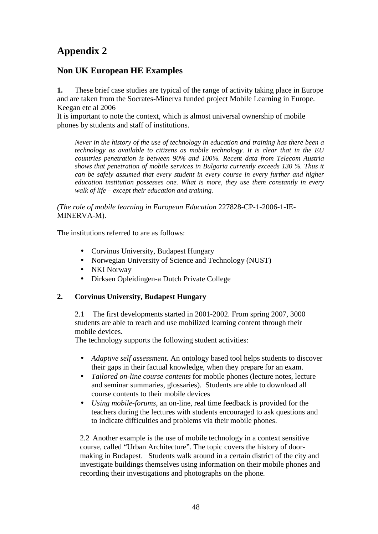# **Appendix 2**

# **Non UK European HE Examples**

**1.** These brief case studies are typical of the range of activity taking place in Europe and are taken from the Socrates-Minerva funded project Mobile Learning in Europe. Keegan etc al 2006

It is important to note the context, which is almost universal ownership of mobile phones by students and staff of institutions.

*Never in the history of the use of technology in education and training has there been a technology as available to citizens as mobile technology. It is clear that in the EU countries penetration is between 90% and 100%. Recent data from Telecom Austria shows that penetration of mobile services in Bulgaria currently exceeds 130 %. Thus it can be safely assumed that every student in every course in every further and higher education institution possesses one. What is more, they use them constantly in every walk of life – except their education and training.* 

*(The role of mobile learning in European Education* 227828-CP-1-2006-1-IE-MINERVA-M).

The institutions referred to are as follows:

- Corvinus University, Budapest Hungary
- Norwegian University of Science and Technology (NUST)
- NKI Norway
- Dirksen Opleidingen-a Dutch Private College

#### **2. Corvinus University, Budapest Hungary**

2.1 The first developments started in 2001-2002. From spring 2007, 3000 students are able to reach and use mobilized learning content through their mobile devices.

The technology supports the following student activities:

- *Adaptive self assessment.* An ontology based tool helps students to discover their gaps in their factual knowledge, when they prepare for an exam.
- *Tailored on-line course contents* for mobile phones (lecture notes, lecture and seminar summaries, glossaries). Students are able to download all course contents to their mobile devices
- *Using mobile-forums*, an on-line, real time feedback is provided for the teachers during the lectures with students encouraged to ask questions and to indicate difficulties and problems via their mobile phones.

2.2 Another example is the use of mobile technology in a context sensitive course, called "Urban Architecture". The topic covers the history of doormaking in Budapest. Students walk around in a certain district of the city and investigate buildings themselves using information on their mobile phones and recording their investigations and photographs on the phone.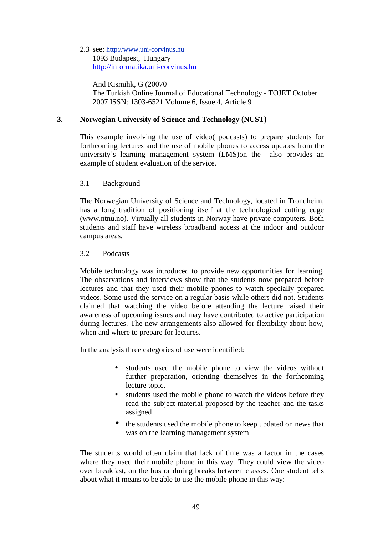#### 2.3 see: http://www.uni-corvinus.hu 1093 Budapest, Hungary http://informatika.uni-corvinus.hu

And Kismihk, G (20070 The Turkish Online Journal of Educational Technology - TOJET October 2007 ISSN: 1303-6521 Volume 6, Issue 4, Article 9

#### **3. Norwegian University of Science and Technology (NUST)**

This example involving the use of video( podcasts) to prepare students for forthcoming lectures and the use of mobile phones to access updates from the university's learning management system (LMS)on the also provides an example of student evaluation of the service.

#### 3.1 Background

The Norwegian University of Science and Technology, located in Trondheim, has a long tradition of positioning itself at the technological cutting edge (www.ntnu.no). Virtually all students in Norway have private computers. Both students and staff have wireless broadband access at the indoor and outdoor campus areas.

#### 3.2 Podcasts

Mobile technology was introduced to provide new opportunities for learning. The observations and interviews show that the students now prepared before lectures and that they used their mobile phones to watch specially prepared videos. Some used the service on a regular basis while others did not. Students claimed that watching the video before attending the lecture raised their awareness of upcoming issues and may have contributed to active participation during lectures. The new arrangements also allowed for flexibility about how, when and where to prepare for lectures.

In the analysis three categories of use were identified:

- students used the mobile phone to view the videos without further preparation, orienting themselves in the forthcoming lecture topic.
- students used the mobile phone to watch the videos before they read the subject material proposed by the teacher and the tasks assigned
- the students used the mobile phone to keep updated on news that was on the learning management system

The students would often claim that lack of time was a factor in the cases where they used their mobile phone in this way. They could view the video over breakfast, on the bus or during breaks between classes. One student tells about what it means to be able to use the mobile phone in this way: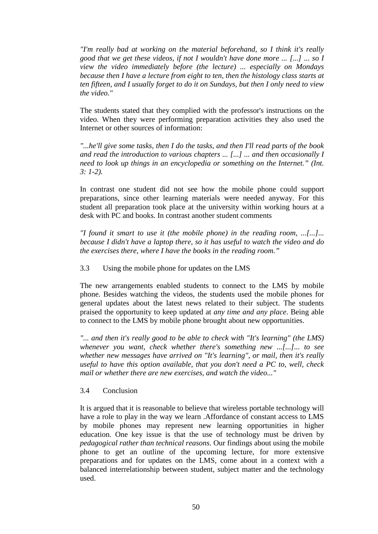*"I'm really bad at working on the material beforehand, so I think it's really good that we get these videos, if not I wouldn't have done more ... [...] ... so I view the video immediately before (the lecture) ... especially on Mondays because then I have a lecture from eight to ten, then the histology class starts at ten fifteen, and I usually forget to do it on Sundays, but then I only need to view the video."* 

The students stated that they complied with the professor's instructions on the video. When they were performing preparation activities they also used the Internet or other sources of information:

*"...he'll give some tasks, then I do the tasks, and then I'll read parts of the book and read the introduction to various chapters ... [...] ... and then occasionally I need to look up things in an encyclopedia or something on the Internet." (Int. 3: 1-2).* 

In contrast one student did not see how the mobile phone could support preparations, since other learning materials were needed anyway. For this student all preparation took place at the university within working hours at a desk with PC and books. In contrast another student comments

*"I found it smart to use it (the mobile phone) in the reading room, ...[...]... because I didn't have a laptop there, so it has useful to watch the video and do the exercises there, where I have the books in the reading room."* 

3.3 Using the mobile phone for updates on the LMS

The new arrangements enabled students to connect to the LMS by mobile phone. Besides watching the videos, the students used the mobile phones for general updates about the latest news related to their subject. The students praised the opportunity to keep updated at *any time and any place*. Being able to connect to the LMS by mobile phone brought about new opportunities.

*"... and then it's really good to be able to check with "It's learning" (the LMS)*" *whenever you want, check whether there's something new ...[...]... to see whether new messages have arrived on "It's learning", or mail, then it's really useful to have this option available, that you don't need a PC to, well, check mail or whether there are new exercises, and watch the video..."* 

#### 3.4 Conclusion

It is argued that it is reasonable to believe that wireless portable technology will have a role to play in the way we learn .Affordance of constant access to LMS by mobile phones may represent new learning opportunities in higher education. One key issue is that the use of technology must be driven by *pedagogical rather than technical reasons*. Our findings about using the mobile phone to get an outline of the upcoming lecture, for more extensive preparations and for updates on the LMS, come about in a context with a balanced interrelationship between student, subject matter and the technology used.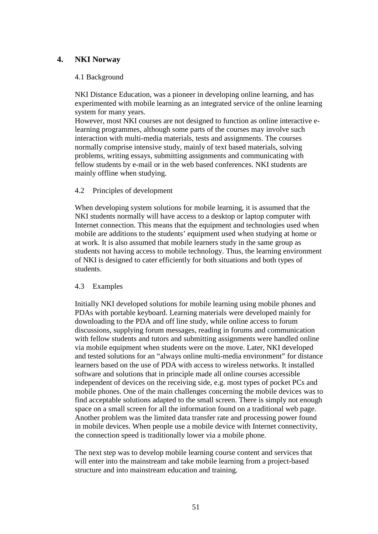# **4. NKI Norway**

#### 4.1 Background

NKI Distance Education, was a pioneer in developing online learning, and has experimented with mobile learning as an integrated service of the online learning system for many years.

However, most NKI courses are not designed to function as online interactive elearning programmes, although some parts of the courses may involve such interaction with multi-media materials, tests and assignments. The courses normally comprise intensive study, mainly of text based materials, solving problems, writing essays, submitting assignments and communicating with fellow students by e-mail or in the web based conferences. NKI students are mainly offline when studying.

#### 4.2 Principles of development

When developing system solutions for mobile learning, it is assumed that the NKI students normally will have access to a desktop or laptop computer with Internet connection. This means that the equipment and technologies used when mobile are additions to the students' equipment used when studying at home or at work. It is also assumed that mobile learners study in the same group as students not having access to mobile technology. Thus, the learning environment of NKI is designed to cater efficiently for both situations and both types of students.

#### 4.3 Examples

Initially NKI developed solutions for mobile learning using mobile phones and PDAs with portable keyboard. Learning materials were developed mainly for downloading to the PDA and off line study, while online access to forum discussions, supplying forum messages, reading in forums and communication with fellow students and tutors and submitting assignments were handled online via mobile equipment when students were on the move. Later, NKI developed and tested solutions for an "always online multi-media environment" for distance learners based on the use of PDA with access to wireless networks. It installed software and solutions that in principle made all online courses accessible independent of devices on the receiving side, e.g. most types of pocket PCs and mobile phones. One of the main challenges concerning the mobile devices was to find acceptable solutions adapted to the small screen. There is simply not enough space on a small screen for all the information found on a traditional web page. Another problem was the limited data transfer rate and processing power found in mobile devices. When people use a mobile device with Internet connectivity, the connection speed is traditionally lower via a mobile phone.

The next step was to develop mobile learning course content and services that will enter into the mainstream and take mobile learning from a project-based structure and into mainstream education and training.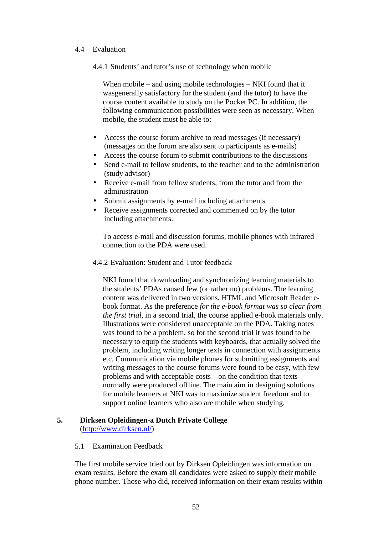#### 4.4 Evaluation

4.4.1 Students' and tutor's use of technology when mobile

When mobile – and using mobile technologies – NKI found that it wasgenerally satisfactory for the student (and the tutor) to have the course content available to study on the Pocket PC. In addition, the following communication possibilities were seen as necessary. When mobile, the student must be able to:

- Access the course forum archive to read messages (if necessary) (messages on the forum are also sent to participants as e-mails)
- Access the course forum to submit contributions to the discussions
- Send e-mail to fellow students, to the teacher and to the administration (study advisor)
- Receive e-mail from fellow students, from the tutor and from the administration
- Submit assignments by e-mail including attachments
- Receive assignments corrected and commented on by the tutor including attachments.

To access e-mail and discussion forums, mobile phones with infrared connection to the PDA were used.

4.4.2 Evaluation: Student and Tutor feedback

NKI found that downloading and synchronizing learning materials to the students' PDAs caused few (or rather no) problems. The learning content was delivered in two versions, HTML and Microsoft Reader ebook format. As the preference *for the e-book format was so clear from the first trial*, in a second trial, the course applied e-book materials only. Illustrations were considered unacceptable on the PDA. Taking notes was found to be a problem, so for the second trial it was found to be necessary to equip the students with keyboards, that actually solved the problem, including writing longer texts in connection with assignments etc. Communication via mobile phones for submitting assignments and writing messages to the course forums were found to be easy, with few problems and with acceptable costs – on the condition that texts normally were produced offline. The main aim in designing solutions for mobile learners at NKI was to maximize student freedom and to support online learners who also are mobile when studying.

#### **5. Dirksen Opleidingen-a Dutch Private College**  (http://www.dirksen.nl/)

5.1 Examination Feedback

The first mobile service tried out by Dirksen Opleidingen was information on exam results. Before the exam all candidates were asked to supply their mobile phone number. Those who did, received information on their exam results within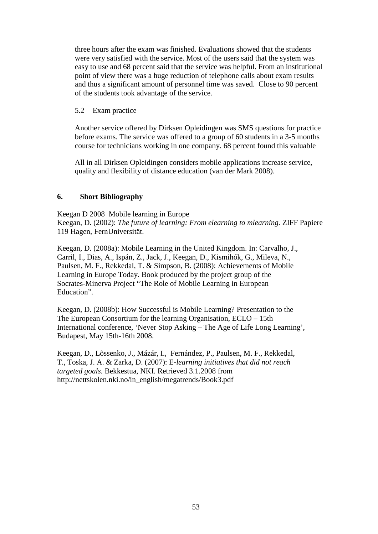three hours after the exam was finished. Evaluations showed that the students were very satisfied with the service. Most of the users said that the system was easy to use and 68 percent said that the service was helpful. From an institutional point of view there was a huge reduction of telephone calls about exam results and thus a significant amount of personnel time was saved. Close to 90 percent of the students took advantage of the service.

#### 5.2 Exam practice

Another service offered by Dirksen Opleidingen was SMS questions for practice before exams. The service was offered to a group of 60 students in a 3-5 months course for technicians working in one company. 68 percent found this valuable

All in all Dirksen Opleidingen considers mobile applications increase service, quality and flexibility of distance education (van der Mark 2008).

#### **6. Short Bibliography**

Keegan D 2008 Mobile learning in Europe Keegan, D. (2002): *The future of learning: From elearning to mlearning.* ZIFF Papiere 119 Hagen, FernUniversität.

Keegan, D. (2008a): Mobile Learning in the United Kingdom. In: Carvalho, J., Carril, I., Dias, A., Ispán, Z., Jack, J., Keegan, D., Kismihók, G., Mileva, N., Paulsen, M. F., Rekkedal, T. & Simpson, B. (2008): Achievements of Mobile Learning in Europe Today. Book produced by the project group of the Socrates-Minerva Project "The Role of Mobile Learning in European Education".

Keegan, D. (2008b): How Successful is Mobile Learning? Presentation to the The European Consortium for the learning Organisation, ECLO – 15th International conference, 'Never Stop Asking – The Age of Life Long Learning', Budapest, May 15th-16th 2008.

Keegan, D., Lõssenko, J., Mázár, I., Fernández, P., Paulsen, M. F., Rekkedal, T., Toska, J. A. & Zarka, D. (2007): E*-learning initiatives that did not reach targeted goals.* Bekkestua, NKI. Retrieved 3.1.2008 from http://nettskolen.nki.no/in\_english/megatrends/Book3.pdf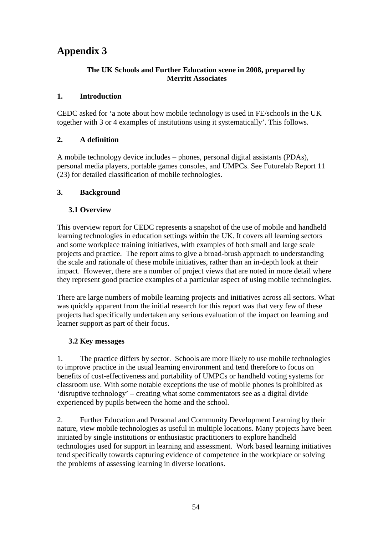# **Appendix 3**

# **The UK Schools and Further Education scene in 2008, prepared by Merritt Associates**

# **1. Introduction**

CEDC asked for 'a note about how mobile technology is used in FE/schools in the UK together with 3 or 4 examples of institutions using it systematically'. This follows.

# **2. A definition**

A mobile technology device includes – phones, personal digital assistants (PDAs), personal media players, portable games consoles, and UMPCs. See Futurelab Report 11 (23) for detailed classification of mobile technologies.

# **3. Background**

# **3.1 Overview**

This overview report for CEDC represents a snapshot of the use of mobile and handheld learning technologies in education settings within the UK. It covers all learning sectors and some workplace training initiatives, with examples of both small and large scale projects and practice. The report aims to give a broad-brush approach to understanding the scale and rationale of these mobile initiatives, rather than an in-depth look at their impact. However, there are a number of project views that are noted in more detail where they represent good practice examples of a particular aspect of using mobile technologies.

There are large numbers of mobile learning projects and initiatives across all sectors. What was quickly apparent from the initial research for this report was that very few of these projects had specifically undertaken any serious evaluation of the impact on learning and learner support as part of their focus.

#### **3.2 Key messages**

1. The practice differs by sector. Schools are more likely to use mobile technologies to improve practice in the usual learning environment and tend therefore to focus on benefits of cost-effectiveness and portability of UMPCs or handheld voting systems for classroom use. With some notable exceptions the use of mobile phones is prohibited as 'disruptive technology' – creating what some commentators see as a digital divide experienced by pupils between the home and the school.

2. Further Education and Personal and Community Development Learning by their nature, view mobile technologies as useful in multiple locations. Many projects have been initiated by single institutions or enthusiastic practitioners to explore handheld technologies used for support in learning and assessment. Work based learning initiatives tend specifically towards capturing evidence of competence in the workplace or solving the problems of assessing learning in diverse locations.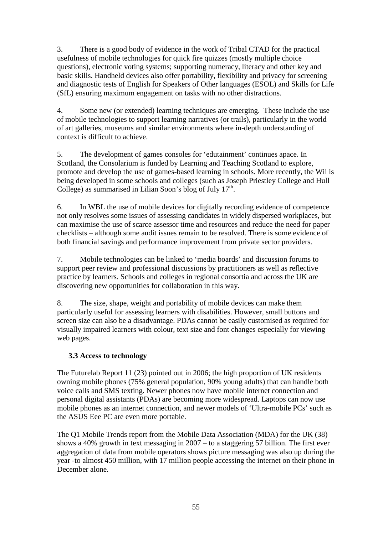3. There is a good body of evidence in the work of Tribal CTAD for the practical usefulness of mobile technologies for quick fire quizzes (mostly multiple choice questions), electronic voting systems; supporting numeracy, literacy and other key and basic skills. Handheld devices also offer portability, flexibility and privacy for screening and diagnostic tests of English for Speakers of Other languages (ESOL) and Skills for Life (SfL) ensuring maximum engagement on tasks with no other distractions.

4. Some new (or extended) learning techniques are emerging. These include the use of mobile technologies to support learning narratives (or trails), particularly in the world of art galleries, museums and similar environments where in-depth understanding of context is difficult to achieve.

5. The development of games consoles for 'edutainment' continues apace. In Scotland, the Consolarium is funded by Learning and Teaching Scotland to explore, promote and develop the use of games-based learning in schools. More recently, the Wii is being developed in some schools and colleges (such as Joseph Priestley College and Hull College) as summarised in Lilian Soon's blog of July  $17<sup>th</sup>$ .

6. In WBL the use of mobile devices for digitally recording evidence of competence not only resolves some issues of assessing candidates in widely dispersed workplaces, but can maximise the use of scarce assessor time and resources and reduce the need for paper checklists – although some audit issues remain to be resolved. There is some evidence of both financial savings and performance improvement from private sector providers.

7. Mobile technologies can be linked to 'media boards' and discussion forums to support peer review and professional discussions by practitioners as well as reflective practice by learners. Schools and colleges in regional consortia and across the UK are discovering new opportunities for collaboration in this way.

8. The size, shape, weight and portability of mobile devices can make them particularly useful for assessing learners with disabilities. However, small buttons and screen size can also be a disadvantage. PDAs cannot be easily customised as required for visually impaired learners with colour, text size and font changes especially for viewing web pages.

# **3.3 Access to technology**

The Futurelab Report 11 (23) pointed out in 2006; the high proportion of UK residents owning mobile phones (75% general population, 90% young adults) that can handle both voice calls and SMS texting. Newer phones now have mobile internet connection and personal digital assistants (PDAs) are becoming more widespread. Laptops can now use mobile phones as an internet connection, and newer models of 'Ultra-mobile PCs' such as the ASUS Eee PC are even more portable.

The Q1 Mobile Trends report from the Mobile Data Association (MDA) for the UK (38) shows a 40% growth in text messaging in 2007 – to a staggering 57 billion. The first ever aggregation of data from mobile operators shows picture messaging was also up during the year -to almost 450 million, with 17 million people accessing the internet on their phone in December alone.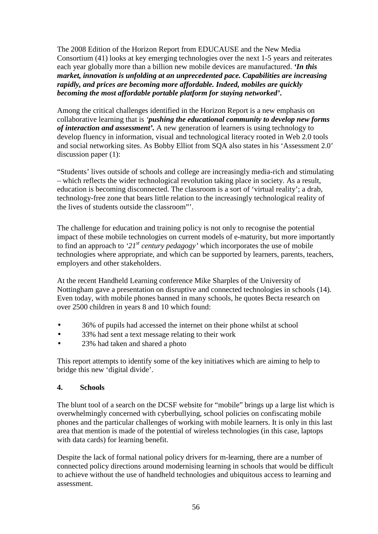The 2008 Edition of the Horizon Report from EDUCAUSE and the New Media Consortium (41) looks at key emerging technologies over the next 1-5 years and reiterates each year globally more than a billion new mobile devices are manufactured. *'In this market, innovation is unfolding at an unprecedented pace. Capabilities are increasing rapidly, and prices are becoming more affordable. Indeed, mobiles are quickly becoming the most affordable portable platform for staying networked'***.** 

Among the critical challenges identified in the Horizon Report is a new emphasis on collaborative learning that is *'pushing the educational community to develop new forms of interaction and assessment'.* A new generation of learners is using technology to develop fluency in information, visual and technological literacy rooted in Web 2.0 tools and social networking sites. As Bobby Elliot from SQA also states in his 'Assessment 2.0' discussion paper (1):

"Students' lives outside of schools and college are increasingly media-rich and stimulating – which reflects the wider technological revolution taking place in society. As a result, education is becoming disconnected. The classroom is a sort of 'virtual reality'; a drab, technology-free zone that bears little relation to the increasingly technological reality of the lives of students outside the classroom"'.

The challenge for education and training policy is not only to recognise the potential impact of these mobile technologies on current models of e-maturity, but more importantly to find an approach to *'21st century pedagogy'* which incorporates the use of mobile technologies where appropriate, and which can be supported by learners, parents, teachers, employers and other stakeholders.

At the recent Handheld Learning conference Mike Sharples of the University of Nottingham gave a presentation on disruptive and connected technologies in schools (14). Even today, with mobile phones banned in many schools, he quotes Becta research on over 2500 children in years 8 and 10 which found:

- 36% of pupils had accessed the internet on their phone whilst at school
- 33% had sent a text message relating to their work
- 23% had taken and shared a photo

This report attempts to identify some of the key initiatives which are aiming to help to bridge this new 'digital divide'.

#### **4. Schools**

The blunt tool of a search on the DCSF website for "mobile" brings up a large list which is overwhelmingly concerned with cyberbullying, school policies on confiscating mobile phones and the particular challenges of working with mobile learners. It is only in this last area that mention is made of the potential of wireless technologies (in this case, laptops with data cards) for learning benefit.

Despite the lack of formal national policy drivers for m-learning, there are a number of connected policy directions around modernising learning in schools that would be difficult to achieve without the use of handheld technologies and ubiquitous access to learning and assessment.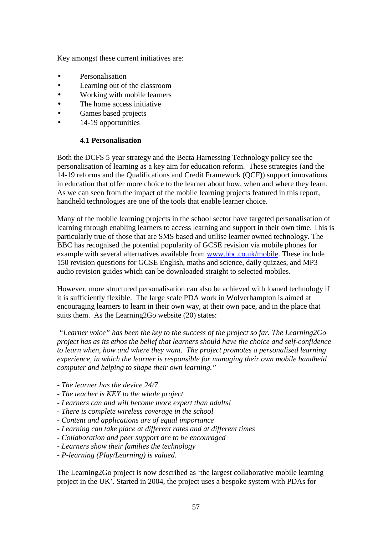Key amongst these current initiatives are:

- Personalisation
- Learning out of the classroom
- Working with mobile learners
- The home access initiative
- Games based projects
- 14-19 opportunities

#### **4.1 Personalisation**

Both the DCFS 5 year strategy and the Becta Harnessing Technology policy see the personalisation of learning as a key aim for education reform. These strategies (and the 14-19 reforms and the Qualifications and Credit Framework (QCF)) support innovations in education that offer more choice to the learner about how, when and where they learn. As we can seen from the impact of the mobile learning projects featured in this report, handheld technologies are one of the tools that enable learner choice.

Many of the mobile learning projects in the school sector have targeted personalisation of learning through enabling learners to access learning and support in their own time. This is particularly true of those that are SMS based and utilise learner owned technology. The BBC has recognised the potential popularity of GCSE revision via mobile phones for example with several alternatives available from www.bbc.co.uk/mobile. These include 150 revision questions for GCSE English, maths and science, daily quizzes, and MP3 audio revision guides which can be downloaded straight to selected mobiles.

However, more structured personalisation can also be achieved with loaned technology if it is sufficiently flexible. The large scale PDA work in Wolverhampton is aimed at encouraging learners to learn in their own way, at their own pace, and in the place that suits them. As the Learning2Go website (20) states:

*"Learner voice" has been the key to the success of the project so far. The Learning2Go project has as its ethos the belief that learners should have the choice and self-confidence to learn when, how and where they want. The project promotes a personalised learning experience, in which the learner is responsible for managing their own mobile handheld computer and helping to shape their own learning."* 

- *The learner has the device 24/7*
- *The teacher is KEY to the whole project*
- *Learners can and will become more expert than adults!*
- *There is complete wireless coverage in the school*
- *Content and applications are of equal importance*
- *Learning can take place at different rates and at different times*
- *Collaboration and peer support are to be encouraged*
- *Learners show their families the technology*
- *P-learning (Play/Learning) is valued.*

The Learning2Go project is now described as 'the largest collaborative mobile learning project in the UK'. Started in 2004, the project uses a bespoke system with PDAs for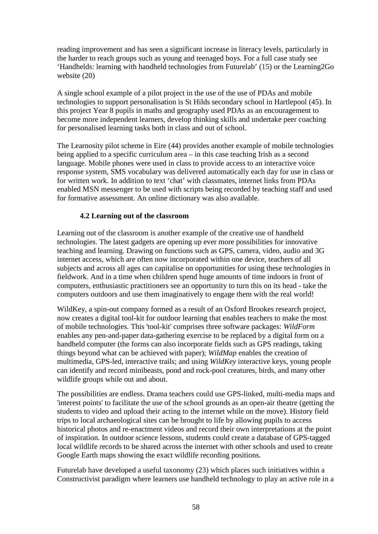reading improvement and has seen a significant increase in literacy levels, particularly in the harder to reach groups such as young and teenaged boys. For a full case study see 'Handhelds: learning with handheld technologies from Futurelab' (15) or the Learning2Go website (20)

A single school example of a pilot project in the use of the use of PDAs and mobile technologies to support personalisation is St Hilds secondary school in Hartlepool (45). In this project Year 8 pupils in maths and geography used PDAs as an encouragement to become more independent learners, develop thinking skills and undertake peer coaching for personalised learning tasks both in class and out of school.

The Learnosity pilot scheme in Eire (44) provides another example of mobile technologies being applied to a specific curriculum area – in this case teaching Irish as a second language. Mobile phones were used in class to provide access to an interactive voice response system, SMS vocabulary was delivered automatically each day for use in class or for written work. In addition to text 'chat' with classmates, internet links from PDAs enabled MSN messenger to be used with scripts being recorded by teaching staff and used for formative assessment. An online dictionary was also available.

#### **4.2 Learning out of the classroom**

Learning out of the classroom is another example of the creative use of handheld technologies. The latest gadgets are opening up ever more possibilities for innovative teaching and learning. Drawing on functions such as GPS, camera, video, audio and 3G internet access, which are often now incorporated within one device, teachers of all subjects and across all ages can capitalise on opportunities for using these technologies in fieldwork. And in a time when children spend huge amounts of time indoors in front of computers, enthusiastic practitioners see an opportunity to turn this on its head - take the computers outdoors and use them imaginatively to engage them with the real world!

WildKey, a spin-out company formed as a result of an Oxford Brookes research project, now creates a digital tool-kit for outdoor learning that enables teachers to make the most of mobile technologies. This 'tool-kit' comprises three software packages: *WildForm* enables any pen-and-paper data-gathering exercise to be replaced by a digital form on a handheld computer (the forms can also incorporate fields such as GPS readings, taking things beyond what can be achieved with paper); *WildMap* enables the creation of multimedia, GPS-led, interactive trails; and using *WildKey* interactive keys, young people can identify and record minibeasts, pond and rock-pool creatures, birds, and many other wildlife groups while out and about.

The possibilities are endless. Drama teachers could use GPS-linked, multi-media maps and 'interest points' to facilitate the use of the school grounds as an open-air theatre (getting the students to video and upload their acting to the internet while on the move). History field trips to local archaeological sites can be brought to life by allowing pupils to access historical photos and re-enactment videos and record their own interpretations at the point of inspiration. In outdoor science lessons, students could create a database of GPS-tagged local wildlife records to be shared across the internet with other schools and used to create Google Earth maps showing the exact wildlife recording positions.

Futurelab have developed a useful taxonomy (23) which places such initiatives within a Constructivist paradigm where learners use handheld technology to play an active role in a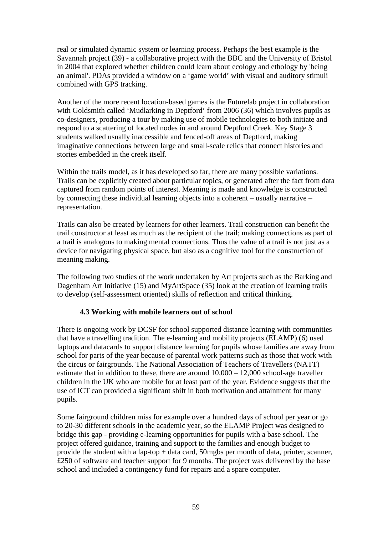real or simulated dynamic system or learning process. Perhaps the best example is the Savannah project (39) - a collaborative project with the BBC and the University of Bristol in 2004 that explored whether children could learn about ecology and ethology by 'being an animal'. PDAs provided a window on a 'game world' with visual and auditory stimuli combined with GPS tracking.

Another of the more recent location-based games is the Futurelab project in collaboration with Goldsmith called 'Mudlarking in Deptford' from 2006 (36) which involves pupils as co-designers, producing a tour by making use of mobile technologies to both initiate and respond to a scattering of located nodes in and around Deptford Creek. Key Stage 3 students walked usually inaccessible and fenced-off areas of Deptford, making imaginative connections between large and small-scale relics that connect histories and stories embedded in the creek itself.

Within the trails model, as it has developed so far, there are many possible variations. Trails can be explicitly created about particular topics, or generated after the fact from data captured from random points of interest. Meaning is made and knowledge is constructed by connecting these individual learning objects into a coherent – usually narrative – representation.

Trails can also be created by learners for other learners. Trail construction can benefit the trail constructor at least as much as the recipient of the trail; making connections as part of a trail is analogous to making mental connections. Thus the value of a trail is not just as a device for navigating physical space, but also as a cognitive tool for the construction of meaning making.

The following two studies of the work undertaken by Art projects such as the Barking and Dagenham Art Initiative (15) and MyArtSpace (35) look at the creation of learning trails to develop (self-assessment oriented) skills of reflection and critical thinking.

#### **4.3 Working with mobile learners out of school**

There is ongoing work by DCSF for school supported distance learning with communities that have a travelling tradition. The e-learning and mobility projects (ELAMP) (6) used laptops and datacards to support distance learning for pupils whose families are away from school for parts of the year because of parental work patterns such as those that work with the circus or fairgrounds. The National Association of Teachers of Travellers (NATT) estimate that in addition to these, there are around 10,000 – 12,000 school-age traveller children in the UK who are mobile for at least part of the year. Evidence suggests that the use of ICT can provided a significant shift in both motivation and attainment for many pupils.

Some fairground children miss for example over a hundred days of school per year or go to 20-30 different schools in the academic year, so the ELAMP Project was designed to bridge this gap - providing e-learning opportunities for pupils with a base school. The project offered guidance, training and support to the families and enough budget to provide the student with a lap-top + data card, 50mgbs per month of data, printer, scanner, £250 of software and teacher support for 9 months. The project was delivered by the base school and included a contingency fund for repairs and a spare computer.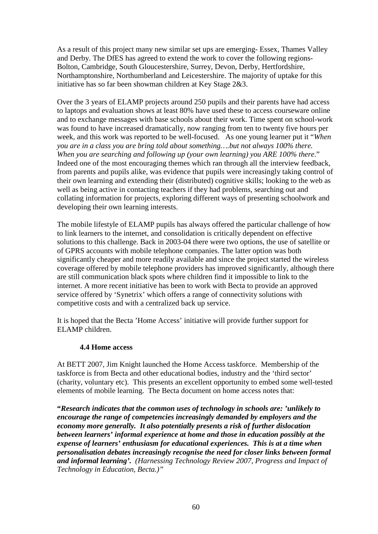As a result of this project many new similar set ups are emerging- Essex, Thames Valley and Derby. The DfES has agreed to extend the work to cover the following regions-Bolton, Cambridge, South Gloucestershire, Surrey, Devon, Derby, Hertfordshire, Northamptonshire, Northumberland and Leicestershire. The majority of uptake for this initiative has so far been showman children at Key Stage 2&3.

Over the 3 years of ELAMP projects around 250 pupils and their parents have had access to laptops and evaluation shows at least 80% have used these to access courseware online and to exchange messages with base schools about their work. Time spent on school-work was found to have increased dramatically, now ranging from ten to twenty five hours per week, and this work was reported to be well-focused. As one young learner put it "*When you are in a class you are bring told about something….but not always 100% there. When you are searching and following up (your own learning) you ARE 100% there*." Indeed one of the most encouraging themes which ran through all the interview feedback, from parents and pupils alike, was evidence that pupils were increasingly taking control of their own learning and extending their (distributed) cognitive skills; looking to the web as well as being active in contacting teachers if they had problems, searching out and collating information for projects, exploring different ways of presenting schoolwork and developing their own learning interests.

The mobile lifestyle of ELAMP pupils has always offered the particular challenge of how to link learners to the internet, and consolidation is critically dependent on effective solutions to this challenge. Back in 2003-04 there were two options, the use of satellite or of GPRS accounts with mobile telephone companies. The latter option was both significantly cheaper and more readily available and since the project started the wireless coverage offered by mobile telephone providers has improved significantly, although there are still communication black spots where children find it impossible to link to the internet. A more recent initiative has been to work with Becta to provide an approved service offered by 'Synetrix' which offers a range of connectivity solutions with competitive costs and with a centralized back up service.

It is hoped that the Becta 'Home Access' initiative will provide further support for ELAMP children.

#### **4.4 Home access**

At BETT 2007, Jim Knight launched the Home Access taskforce. Membership of the taskforce is from Becta and other educational bodies, industry and the 'third sector' (charity, voluntary etc). This presents an excellent opportunity to embed some well-tested elements of mobile learning. The Becta document on home access notes that:

**"***Research indicates that the common uses of technology in schools are: 'unlikely to encourage the range of competencies increasingly demanded by employers and the economy more generally. It also potentially presents a risk of further dislocation between learners' informal experience at home and those in education possibly at the expense of learners' enthusiasm for educational experiences. This is at a time when personalisation debates increasingly recognise the need for closer links between formal and informal learning'. (Harnessing Technology Review 2007, Progress and Impact of Technology in Education, Becta.)"*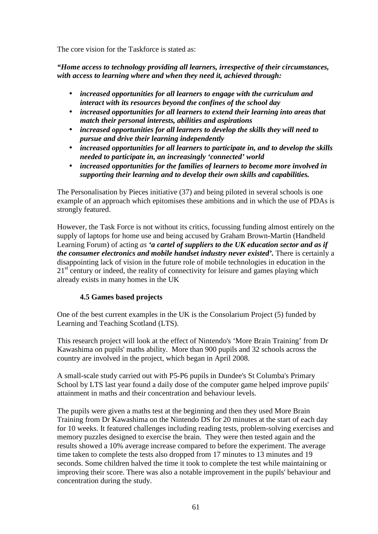The core vision for the Taskforce is stated as:

*"Home access to technology providing all learners, irrespective of their circumstances, with access to learning where and when they need it, achieved through:* 

- *increased opportunities for all learners to engage with the curriculum and interact with its resources beyond the confines of the school day*
- *increased opportunities for all learners to extend their learning into areas that match their personal interests, abilities and aspirations*
- *increased opportunities for all learners to develop the skills they will need to pursue and drive their learning independently*
- *increased opportunities for all learners to participate in, and to develop the skills needed to participate in, an increasingly 'connected' world*
- *increased opportunities for the families of learners to become more involved in supporting their learning and to develop their own skills and capabilities.*

The Personalisation by Pieces initiative (37) and being piloted in several schools is one example of an approach which epitomises these ambitions and in which the use of PDAs is strongly featured.

However, the Task Force is not without its critics, focussing funding almost entirely on the supply of laptops for home use and being accused by Graham Brown-Martin (Handheld Learning Forum) of acting *as 'a cartel of suppliers to the UK education sector and as if the consumer electronics and mobile handset industry never existed'.* There is certainly a disappointing lack of vision in the future role of mobile technologies in education in the  $21<sup>st</sup>$  century or indeed, the reality of connectivity for leisure and games playing which already exists in many homes in the UK

# **4.5 Games based projects**

One of the best current examples in the UK is the Consolarium Project (5) funded by Learning and Teaching Scotland (LTS).

This research project will look at the effect of Nintendo's 'More Brain Training' from Dr Kawashima on pupils' maths ability. More than 900 pupils and 32 schools across the country are involved in the project, which began in April 2008.

A small-scale study carried out with P5-P6 pupils in Dundee's St Columba's Primary School by LTS last year found a daily dose of the computer game helped improve pupils' attainment in maths and their concentration and behaviour levels.

The pupils were given a maths test at the beginning and then they used More Brain Training from Dr Kawashima on the Nintendo DS for 20 minutes at the start of each day for 10 weeks. It featured challenges including reading tests, problem-solving exercises and memory puzzles designed to exercise the brain. They were then tested again and the results showed a 10% average increase compared to before the experiment. The average time taken to complete the tests also dropped from 17 minutes to 13 minutes and 19 seconds. Some children halved the time it took to complete the test while maintaining or improving their score. There was also a notable improvement in the pupils' behaviour and concentration during the study.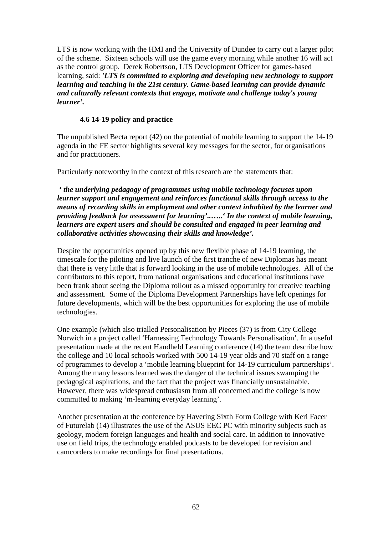LTS is now working with the HMI and the University of Dundee to carry out a larger pilot of the scheme. Sixteen schools will use the game every morning while another 16 will act as the control group. Derek Robertson, LTS Development Officer for games-based learning, said: *'LTS is committed to exploring and developing new technology to support learning and teaching in the 21st century. Game-based learning can provide dynamic and culturally relevant contexts that engage, motivate and challenge today's young learner'.*

#### **4.6 14-19 policy and practice**

The unpublished Becta report (42) on the potential of mobile learning to support the 14-19 agenda in the FE sector highlights several key messages for the sector, for organisations and for practitioners.

Particularly noteworthy in the context of this research are the statements that:

*' the underlying pedagogy of programmes using mobile technology focuses upon learner support and engagement and reinforces functional skills through access to the means of recording skills in employment and other context inhabited by the learner and providing feedback for assessment for learning'..***…..***' In the context of mobile learning, learners are expert users and should be consulted and engaged in peer learning and collaborative activities showcasing their skills and knowledge'.* 

Despite the opportunities opened up by this new flexible phase of 14-19 learning, the timescale for the piloting and live launch of the first tranche of new Diplomas has meant that there is very little that is forward looking in the use of mobile technologies. All of the contributors to this report, from national organisations and educational institutions have been frank about seeing the Diploma rollout as a missed opportunity for creative teaching and assessment. Some of the Diploma Development Partnerships have left openings for future developments, which will be the best opportunities for exploring the use of mobile technologies.

One example (which also trialled Personalisation by Pieces (37) is from City College Norwich in a project called 'Harnessing Technology Towards Personalisation'. In a useful presentation made at the recent Handheld Learning conference (14) the team describe how the college and 10 local schools worked with 500 14-19 year olds and 70 staff on a range of programmes to develop a 'mobile learning blueprint for 14-19 curriculum partnerships'. Among the many lessons learned was the danger of the technical issues swamping the pedagogical aspirations, and the fact that the project was financially unsustainable. However, there was widespread enthusiasm from all concerned and the college is now committed to making 'm-learning everyday learning'.

Another presentation at the conference by Havering Sixth Form College with Keri Facer of Futurelab (14) illustrates the use of the ASUS EEC PC with minority subjects such as geology, modern foreign languages and health and social care. In addition to innovative use on field trips, the technology enabled podcasts to be developed for revision and camcorders to make recordings for final presentations.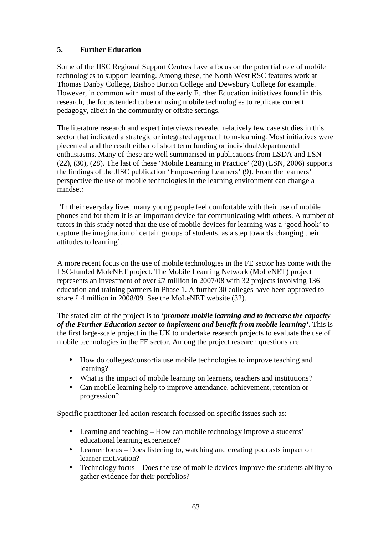# **5. Further Education**

Some of the JISC Regional Support Centres have a focus on the potential role of mobile technologies to support learning. Among these, the North West RSC features work at Thomas Danby College, Bishop Burton College and Dewsbury College for example. However, in common with most of the early Further Education initiatives found in this research, the focus tended to be on using mobile technologies to replicate current pedagogy, albeit in the community or offsite settings.

The literature research and expert interviews revealed relatively few case studies in this sector that indicated a strategic or integrated approach to m-learning. Most initiatives were piecemeal and the result either of short term funding or individual/departmental enthusiasms. Many of these are well summarised in publications from LSDA and LSN (22), (30), (28). The last of these 'Mobile Learning in Practice' (28) (LSN, 2006) supports the findings of the JISC publication 'Empowering Learners' (9). From the learners' perspective the use of mobile technologies in the learning environment can change a mindset*:* 

 'In their everyday lives, many young people feel comfortable with their use of mobile phones and for them it is an important device for communicating with others. A number of tutors in this study noted that the use of mobile devices for learning was a 'good hook' to capture the imagination of certain groups of students, as a step towards changing their attitudes to learning'.

A more recent focus on the use of mobile technologies in the FE sector has come with the LSC-funded MoleNET project. The Mobile Learning Network (MoLeNET) project represents an investment of over £7 million in 2007/08 with 32 projects involving 136 education and training partners in Phase 1. A further 30 colleges have been approved to share £ 4 million in 2008/09. See the MoLeNET website (32).

The stated aim of the project is to *'promote mobile learning and to increase the capacity of the Further Education sector to implement and benefit from mobile learning'***.** This is the first large-scale project in the UK to undertake research projects to evaluate the use of mobile technologies in the FE sector. Among the project research questions are:

- How do colleges/consortia use mobile technologies to improve teaching and learning?
- What is the impact of mobile learning on learners, teachers and institutions?
- Can mobile learning help to improve attendance, achievement, retention or progression?

Specific practitoner-led action research focussed on specific issues such as:

- Learning and teaching How can mobile technology improve a students' educational learning experience?
- Learner focus Does listening to, watching and creating podcasts impact on learner motivation?
- Technology focus Does the use of mobile devices improve the students ability to gather evidence for their portfolios?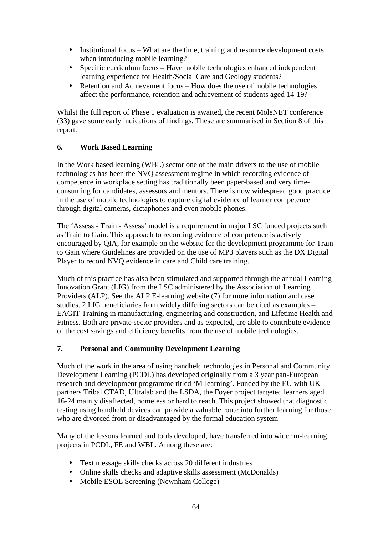- Institutional focus What are the time, training and resource development costs when introducing mobile learning?
- Specific curriculum focus Have mobile technologies enhanced independent learning experience for Health/Social Care and Geology students?
- Retention and Achievement focus How does the use of mobile technologies affect the performance, retention and achievement of students aged 14-19?

Whilst the full report of Phase 1 evaluation is awaited, the recent MoleNET conference (33) gave some early indications of findings. These are summarised in Section 8 of this report.

# **6. Work Based Learning**

In the Work based learning (WBL) sector one of the main drivers to the use of mobile technologies has been the NVQ assessment regime in which recording evidence of competence in workplace setting has traditionally been paper-based and very timeconsuming for candidates, assessors and mentors. There is now widespread good practice in the use of mobile technologies to capture digital evidence of learner competence through digital cameras, dictaphones and even mobile phones.

The 'Assess - Train - Assess' model is a requirement in major LSC funded projects such as Train to Gain. This approach to recording evidence of competence is actively encouraged by QIA, for example on the website for the development programme for Train to Gain where Guidelines are provided on the use of MP3 players such as the DX Digital Player to record NVQ evidence in care and Child care training.

Much of this practice has also been stimulated and supported through the annual Learning Innovation Grant (LIG) from the LSC administered by the Association of Learning Providers (ALP). See the ALP E-learning website (7) for more information and case studies. 2 LIG beneficiaries from widely differing sectors can be cited as examples – EAGIT Training in manufacturing, engineering and construction, and Lifetime Health and Fitness. Both are private sector providers and as expected, are able to contribute evidence of the cost savings and efficiency benefits from the use of mobile technologies.

# **7. Personal and Community Development Learning**

Much of the work in the area of using handheld technologies in Personal and Community Development Learning (PCDL) has developed originally from a 3 year pan-European research and development programme titled 'M-learning'. Funded by the EU with UK partners Tribal CTAD, Ultralab and the LSDA, the Foyer project targeted learners aged 16-24 mainly disaffected, homeless or hard to reach. This project showed that diagnostic testing using handheld devices can provide a valuable route into further learning for those who are divorced from or disadvantaged by the formal education system

Many of the lessons learned and tools developed, have transferred into wider m-learning projects in PCDL, FE and WBL. Among these are:

- Text message skills checks across 20 different industries
- Online skills checks and adaptive skills assessment (McDonalds)
- Mobile ESOL Screening (Newnham College)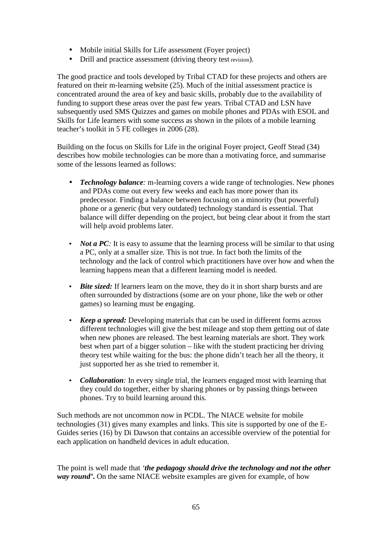- Mobile initial Skills for Life assessment (Foyer project)
- Drill and practice assessment (driving theory test revision).

The good practice and tools developed by Tribal CTAD for these projects and others are featured on their m-learning website (25). Much of the initial assessment practice is concentrated around the area of key and basic skills, probably due to the availability of funding to support these areas over the past few years. Tribal CTAD and LSN have subsequently used SMS Quizzes and games on mobile phones and PDAs with ESOL and Skills for Life learners with some success as shown in the pilots of a mobile learning teacher's toolkit in 5 FE colleges in 2006 (28).

Building on the focus on Skills for Life in the original Foyer project, Geoff Stead (34) describes how mobile technologies can be more than a motivating force, and summarise some of the lessons learned as follows:

- *Technology balance:* m-learning covers a wide range of technologies. New phones and PDAs come out every few weeks and each has more power than its predecessor. Finding a balance between focusing on a minority (but powerful) phone or a generic (but very outdated) technology standard is essential. That balance will differ depending on the project, but being clear about it from the start will help avoid problems later.
- *Not a PC*: It is easy to assume that the learning process will be similar to that using a PC, only at a smaller size. This is not true. In fact both the limits of the technology and the lack of control which practitioners have over how and when the learning happens mean that a different learning model is needed.
- *Bite sized:* If learners learn on the move, they do it in short sharp bursts and are often surrounded by distractions (some are on your phone, like the web or other games) so learning must be engaging.
- *Keep a spread:* Developing materials that can be used in different forms across different technologies will give the best mileage and stop them getting out of date when new phones are released. The best learning materials are short. They work best when part of a bigger solution – like with the student practicing her driving theory test while waiting for the bus: the phone didn't teach her all the theory, it just supported her as she tried to remember it.
- *Collaboration*: In every single trial, the learners engaged most with learning that they could do together, either by sharing phones or by passing things between phones. Try to build learning around this.

Such methods are not uncommon now in PCDL. The NIACE website for mobile technologies (31) gives many examples and links. This site is supported by one of the E-Guides series (16) by Di Dawson that contains an accessible overview of the potential for each application on handheld devices in adult education.

The point is well made that *'the pedagogy should drive the technology and not the other way round'***.** On the same NIACE website examples are given for example, of how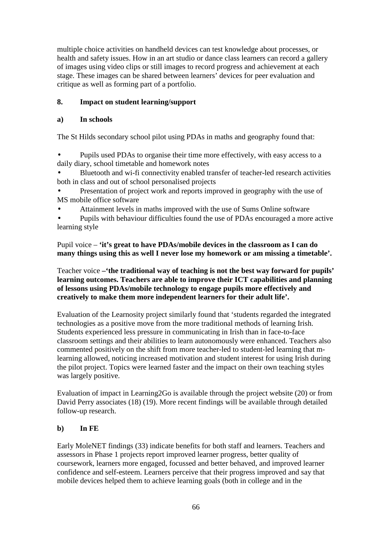multiple choice activities on handheld devices can test knowledge about processes, or health and safety issues. How in an art studio or dance class learners can record a gallery of images using video clips or still images to record progress and achievement at each stage. These images can be shared between learners' devices for peer evaluation and critique as well as forming part of a portfolio.

# **8. Impact on student learning/support**

# **a) In schools**

The St Hilds secondary school pilot using PDAs in maths and geography found that:

• Pupils used PDAs to organise their time more effectively, with easy access to a daily diary, school timetable and homework notes

• Bluetooth and wi-fi connectivity enabled transfer of teacher-led research activities both in class and out of school personalised projects

• Presentation of project work and reports improved in geography with the use of MS mobile office software

• Attainment levels in maths improved with the use of Sums Online software

• Pupils with behaviour difficulties found the use of PDAs encouraged a more active learning style

Pupil voice – **'it's great to have PDAs/mobile devices in the classroom as I can do many things using this as well I never lose my homework or am missing a timetable'.** 

Teacher voice **–'the traditional way of teaching is not the best way forward for pupils' learning outcomes. Teachers are able to improve their ICT capabilities and planning of lessons using PDAs/mobile technology to engage pupils more effectively and creatively to make them more independent learners for their adult life'.** 

Evaluation of the Learnosity project similarly found that 'students regarded the integrated technologies as a positive move from the more traditional methods of learning Irish. Students experienced less pressure in communicating in Irish than in face-to-face classroom settings and their abilities to learn autonomously were enhanced. Teachers also commented positively on the shift from more teacher-led to student-led learning that mlearning allowed, noticing increased motivation and student interest for using Irish during the pilot project. Topics were learned faster and the impact on their own teaching styles was largely positive.

Evaluation of impact in Learning2Go is available through the project website (20) or from David Perry associates (18) (19). More recent findings will be available through detailed follow-up research.

# **b) In FE**

Early MoleNET findings (33) indicate benefits for both staff and learners. Teachers and assessors in Phase 1 projects report improved learner progress, better quality of coursework, learners more engaged, focussed and better behaved, and improved learner confidence and self-esteem. Learners perceive that their progress improved and say that mobile devices helped them to achieve learning goals (both in college and in the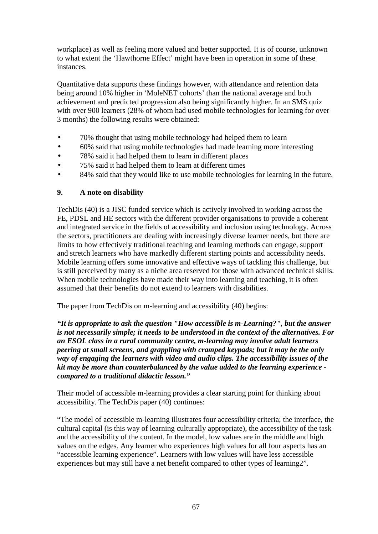workplace) as well as feeling more valued and better supported. It is of course, unknown to what extent the 'Hawthorne Effect' might have been in operation in some of these instances.

Quantitative data supports these findings however, with attendance and retention data being around 10% higher in 'MoleNET cohorts' than the national average and both achievement and predicted progression also being significantly higher. In an SMS quiz with over 900 learners (28% of whom had used mobile technologies for learning for over 3 months) the following results were obtained:

- 70% thought that using mobile technology had helped them to learn
- 60% said that using mobile technologies had made learning more interesting
- 78% said it had helped them to learn in different places
- 75% said it had helped them to learn at different times
- 84% said that they would like to use mobile technologies for learning in the future.

#### **9. A note on disability**

TechDis (40) is a JISC funded service which is actively involved in working across the FE, PDSL and HE sectors with the different provider organisations to provide a coherent and integrated service in the fields of accessibility and inclusion using technology. Across the sectors, practitioners are dealing with increasingly diverse learner needs, but there are limits to how effectively traditional teaching and learning methods can engage, support and stretch learners who have markedly different starting points and accessibility needs. Mobile learning offers some innovative and effective ways of tackling this challenge, but is still perceived by many as a niche area reserved for those with advanced technical skills. When mobile technologies have made their way into learning and teaching, it is often assumed that their benefits do not extend to learners with disabilities.

The paper from TechDis on m-learning and accessibility (40) begins:

*"It is appropriate to ask the question "How accessible is m-Learning?", but the answer is not necessarily simple; it needs to be understood in the context of the alternatives. For an ESOL class in a rural community centre, m-learning may involve adult learners peering at small screens, and grappling with cramped keypads; but it may be the only way of engaging the learners with video and audio clips. The accessibility issues of the kit may be more than counterbalanced by the value added to the learning experience compared to a traditional didactic lesson."* 

Their model of accessible m-learning provides a clear starting point for thinking about accessibility. The TechDis paper (40) continues:

"The model of accessible m-learning illustrates four accessibility criteria; the interface, the cultural capital (is this way of learning culturally appropriate), the accessibility of the task and the accessibility of the content. In the model, low values are in the middle and high values on the edges. Any learner who experiences high values for all four aspects has an "accessible learning experience". Learners with low values will have less accessible experiences but may still have a net benefit compared to other types of learning2".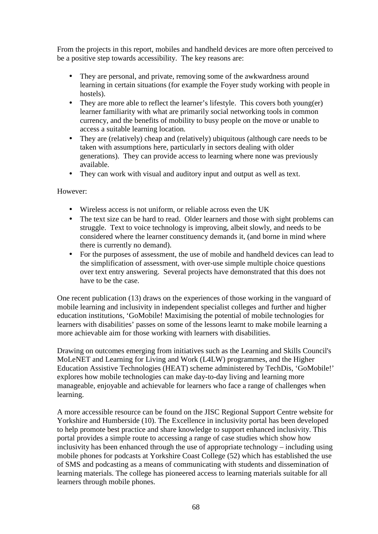From the projects in this report, mobiles and handheld devices are more often perceived to be a positive step towards accessibility. The key reasons are:

- They are personal, and private, removing some of the awkwardness around learning in certain situations (for example the Foyer study working with people in hostels).
- They are more able to reflect the learner's lifestyle. This covers both young(er) learner familiarity with what are primarily social networking tools in common currency, and the benefits of mobility to busy people on the move or unable to access a suitable learning location.
- They are (relatively) cheap and (relatively) ubiquitous (although care needs to be taken with assumptions here, particularly in sectors dealing with older generations). They can provide access to learning where none was previously available.
- They can work with visual and auditory input and output as well as text.

However:

- Wireless access is not uniform, or reliable across even the UK
- The text size can be hard to read. Older learners and those with sight problems can struggle. Text to voice technology is improving, albeit slowly, and needs to be considered where the learner constituency demands it, (and borne in mind where there is currently no demand).
- For the purposes of assessment, the use of mobile and handheld devices can lead to the simplification of assessment, with over-use simple multiple choice questions over text entry answering. Several projects have demonstrated that this does not have to be the case.

One recent publication (13) draws on the experiences of those working in the vanguard of mobile learning and inclusivity in independent specialist colleges and further and higher education institutions, 'GoMobile! Maximising the potential of mobile technologies for learners with disabilities' passes on some of the lessons learnt to make mobile learning a more achievable aim for those working with learners with disabilities.

Drawing on outcomes emerging from initiatives such as the Learning and Skills Council's MoLeNET and Learning for Living and Work (L4LW) programmes, and the Higher Education Assistive Technologies (HEAT) scheme administered by TechDis, 'GoMobile!' explores how mobile technologies can make day-to-day living and learning more manageable, enjoyable and achievable for learners who face a range of challenges when learning.

A more accessible resource can be found on the JISC Regional Support Centre website for Yorkshire and Humberside (10). The Excellence in inclusivity portal has been developed to help promote best practice and share knowledge to support enhanced inclusivity. This portal provides a simple route to accessing a range of case studies which show how inclusivity has been enhanced through the use of appropriate technology – including using mobile phones for podcasts at Yorkshire Coast College (52) which has established the use of SMS and podcasting as a means of communicating with students and dissemination of learning materials. The college has pioneered access to learning materials suitable for all learners through mobile phones.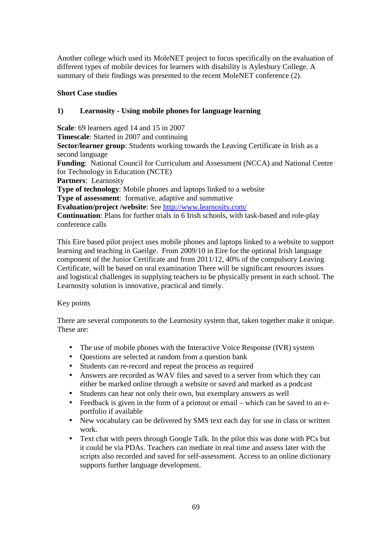Another college which used its MoleNET project to focus specifically on the evaluation of different types of mobile devices for learners with disability is Aylesbury College. A summary of their findings was presented to the recent MoleNET conference (2).

### **Short Case studies**

# **1) Learnosity - Using mobile phones for language learning**

**Scale**: 69 learners aged 14 and 15 in 2007 **Timescale**: Started in 2007 and continuing **Sector/learner group:** Students working towards the Leaving Certificate in Irish as a second language **Funding**: National Council for Curriculum and Assessment (NCCA) and National Centre for Technology in Education (NCTE) **Partners**: Learnosity **Type of technology**: Mobile phones and laptops linked to a website **Type of assessment:** formative, adaptive and summative **Evaluation/project /website**: See http://www.learnosity.com/ **Continuation**: Plans for further trials in 6 Irish schools, with task-based and role-play conference calls

This Eire based pilot project uses mobile phones and laptops linked to a website to support learning and teaching in Gaeilge. From 2009/10 in Eire for the optional Irish language component of the Junior Certificate and from 2011/12, 40% of the compulsory Leaving Certificate, will be based on oral examination There will be significant resources issues and logistical challenges in supplying teachers to be physically present in each school. The Learnosity solution is innovative, practical and timely.

#### Key points

There are several components to the Learnosity system that, taken together make it unique. These are:

- The use of mobile phones with the Interactive Voice Response (IVR) system
- Questions are selected at random from a question bank
- Students can re-record and repeat the process as required
- Answers are recorded as WAV files and saved to a server from which they can either be marked online through a website or saved and marked as a podcast
- Students can hear not only their own, but exemplary answers as well
- Feedback is given in the form of a printout or email which can be saved to an eportfolio if available
- New vocabulary can be delivered by SMS text each day for use in class or written work.
- Text chat with peers through Google Talk. In the pilot this was done with PCs but it could be via PDAs. Teachers can mediate in real time and assess later with the scripts also recorded and saved for self-assessment. Access to an online dictionary supports further language development.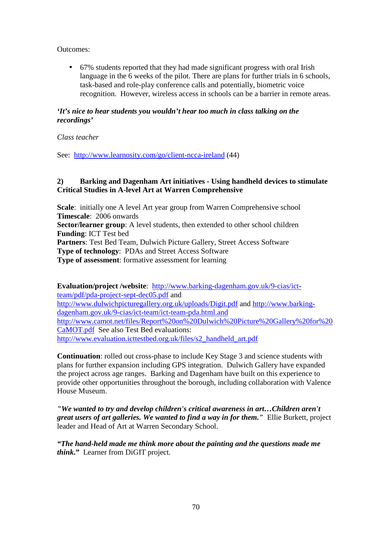Outcomes:

• 67% students reported that they had made significant progress with oral Irish language in the 6 weeks of the pilot. There are plans for further trials in 6 schools, task-based and role-play conference calls and potentially, biometric voice recognition. However, wireless access in schools can be a barrier in remote areas.

# *'It's nice to hear students you wouldn't hear too much in class talking on the recordings'*

#### *Class teacher*

See: http://www.learnosity.com/go/client-ncca-ireland (44)

#### **2) Barking and Dagenham Art initiatives - Using handheld devices to stimulate Critical Studies in A-level Art at Warren Comprehensive**

**Scale**: initially one A level Art year group from Warren Comprehensive school **Timescale**: 2006 onwards **Sector/learner group**: A level students, then extended to other school children **Funding**: ICT Test bed **Partners**: Test Bed Team, Dulwich Picture Gallery, Street Access Software **Type of technology**: PDAs and Street Access Software **Type of assessment**: formative assessment for learning

**Evaluation/project /website**: http://www.barking-dagenham.gov.uk/9-cias/ictteam/pdf/pda-project-sept-dec05.pdf and http://www.dulwichpicturegallery.org.uk/uploads/Digit.pdf and http://www.barkingdagenham.gov.uk/9-cias/ict-team/ict-team-pda.html.and http://www.camot.net/files/Report%20on%20Dulwich%20Picture%20Gallery%20for%20 CaMOT.pdf See also Test Bed evaluations: http://www.evaluation.icttestbed.org.uk/files/s2\_handheld\_art.pdf

**Continuation**: rolled out cross-phase to include Key Stage 3 and science students with plans for further expansion including GPS integration. Dulwich Gallery have expanded the project across age ranges. Barking and Dagenham have built on this experience to provide other opportunities throughout the borough, including collaboration with Valence House Museum.

*"We wanted to try and develop children's critical awareness in art…Children aren't great users of art galleries. We wanted to find a way in for them."* Ellie Burkett, project leader and Head of Art at Warren Secondary School.

*"The hand-held made me think more about the painting and the questions made me think***."** Learner from DiGIT project*.*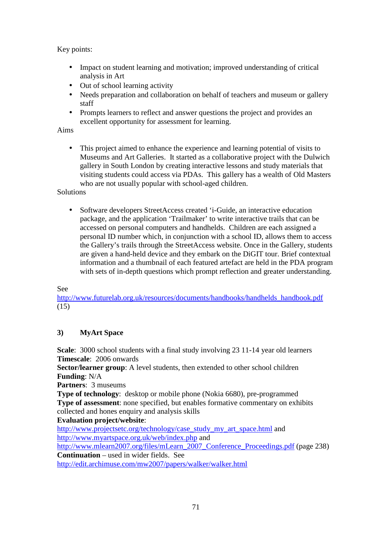Key points:

- Impact on student learning and motivation; improved understanding of critical analysis in Art
- Out of school learning activity
- Needs preparation and collaboration on behalf of teachers and museum or gallery staff
- Prompts learners to reflect and answer questions the project and provides an excellent opportunity for assessment for learning.

#### Aims

• This project aimed to enhance the experience and learning potential of visits to Museums and Art Galleries. It started as a collaborative project with the Dulwich gallery in South London by creating interactive lessons and study materials that visiting students could access via PDAs. This gallery has a wealth of Old Masters who are not usually popular with school-aged children.

Solutions

• Software developers StreetAccess created 'i-Guide, an interactive education package, and the application 'Trailmaker' to write interactive trails that can be accessed on personal computers and handhelds. Children are each assigned a personal ID number which, in conjunction with a school ID, allows them to access the Gallery's trails through the StreetAccess website. Once in the Gallery, students are given a hand-held device and they embark on the DiGIT tour. Brief contextual information and a thumbnail of each featured artefact are held in the PDA program with sets of in-depth questions which prompt reflection and greater understanding.

See

http://www.futurelab.org.uk/resources/documents/handbooks/handhelds\_handbook.pdf (15)

#### **3) MyArt Space**

**Scale**: 3000 school students with a final study involving 23 11-14 year old learners **Timescale**: 2006 onwards

**Sector/learner group**: A level students, then extended to other school children **Funding**: N/A

**Partners**: 3 museums

**Type of technology**: desktop or mobile phone (Nokia 6680), pre-programmed **Type of assessment**: none specified, but enables formative commentary on exhibits collected and hones enquiry and analysis skills

#### **Evaluation project/website**:

http://www.projectsetc.org/technology/case\_study\_my\_art\_space.html and http://www.myartspace.org.uk/web/index.php and

http://www.mlearn2007.org/files/mLearn\_2007\_Conference\_Proceedings.pdf (page 238) **Continuation** – used in wider fields. See

http://edit.archimuse.com/mw2007/papers/walker/walker.html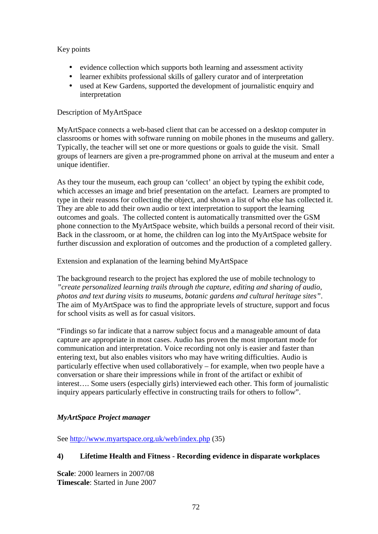Key points

- evidence collection which supports both learning and assessment activity
- learner exhibits professional skills of gallery curator and of interpretation
- used at Kew Gardens, supported the development of journalistic enquiry and interpretation

# Description of MyArtSpace

MyArtSpace connects a web-based client that can be accessed on a desktop computer in classrooms or homes with software running on mobile phones in the museums and gallery. Typically, the teacher will set one or more questions or goals to guide the visit. Small groups of learners are given a pre-programmed phone on arrival at the museum and enter a unique identifier.

As they tour the museum, each group can 'collect' an object by typing the exhibit code, which accesses an image and brief presentation on the artefact. Learners are prompted to type in their reasons for collecting the object, and shown a list of who else has collected it. They are able to add their own audio or text interpretation to support the learning outcomes and goals. The collected content is automatically transmitted over the GSM phone connection to the MyArtSpace website, which builds a personal record of their visit. Back in the classroom, or at home, the children can log into the MyArtSpace website for further discussion and exploration of outcomes and the production of a completed gallery.

#### Extension and explanation of the learning behind MyArtSpace

The background research to the project has explored the use of mobile technology to *"create personalized learning trails through the capture, editing and sharing of audio, photos and text during visits to museums, botanic gardens and cultural heritage sites"*. The aim of MyArtSpace was to find the appropriate levels of structure, support and focus for school visits as well as for casual visitors.

"Findings so far indicate that a narrow subject focus and a manageable amount of data capture are appropriate in most cases. Audio has proven the most important mode for communication and interpretation. Voice recording not only is easier and faster than entering text, but also enables visitors who may have writing difficulties. Audio is particularly effective when used collaboratively – for example, when two people have a conversation or share their impressions while in front of the artifact or exhibit of interest…. Some users (especially girls) interviewed each other. This form of journalistic inquiry appears particularly effective in constructing trails for others to follow".

# *MyArtSpace Project manager*

See http://www.myartspace.org.uk/web/index.php (35)

# **4) Lifetime Health and Fitness - Recording evidence in disparate workplaces**

**Scale**: 2000 learners in 2007/08 **Timescale**: Started in June 2007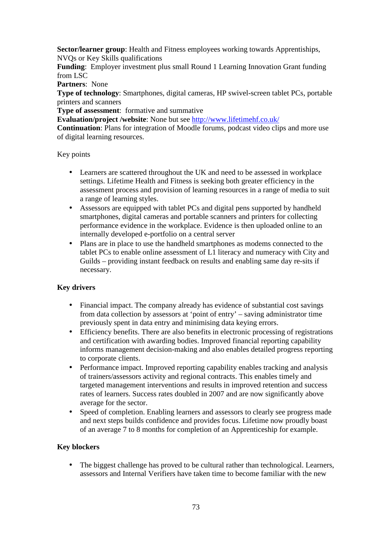**Sector/learner group**: Health and Fitness employees working towards Apprentiships, NVQs or Key Skills qualifications

**Funding**: Employer investment plus small Round 1 Learning Innovation Grant funding from LSC

**Partners**: None

**Type of technology**: Smartphones, digital cameras, HP swivel-screen tablet PCs, portable printers and scanners

**Type of assessment**: formative and summative

**Evaluation/project /website**: None but see http://www.lifetimehf.co.uk/

**Continuation**: Plans for integration of Moodle forums, podcast video clips and more use of digital learning resources.

Key points

- Learners are scattered throughout the UK and need to be assessed in workplace settings. Lifetime Health and Fitness is seeking both greater efficiency in the assessment process and provision of learning resources in a range of media to suit a range of learning styles.
- Assessors are equipped with tablet PCs and digital pens supported by handheld smartphones, digital cameras and portable scanners and printers for collecting performance evidence in the workplace. Evidence is then uploaded online to an internally developed e-portfolio on a central server
- Plans are in place to use the handheld smartphones as modems connected to the tablet PCs to enable online assessment of L1 literacy and numeracy with City and Guilds – providing instant feedback on results and enabling same day re-sits if necessary.

## **Key drivers**

- Financial impact. The company already has evidence of substantial cost savings from data collection by assessors at 'point of entry' – saving administrator time previously spent in data entry and minimising data keying errors.
- Efficiency benefits. There are also benefits in electronic processing of registrations and certification with awarding bodies. Improved financial reporting capability informs management decision-making and also enables detailed progress reporting to corporate clients.
- Performance impact. Improved reporting capability enables tracking and analysis of trainers/assessors activity and regional contracts. This enables timely and targeted management interventions and results in improved retention and success rates of learners. Success rates doubled in 2007 and are now significantly above average for the sector.
- Speed of completion. Enabling learners and assessors to clearly see progress made and next steps builds confidence and provides focus. Lifetime now proudly boast of an average 7 to 8 months for completion of an Apprenticeship for example.

## **Key blockers**

• The biggest challenge has proved to be cultural rather than technological. Learners, assessors and Internal Verifiers have taken time to become familiar with the new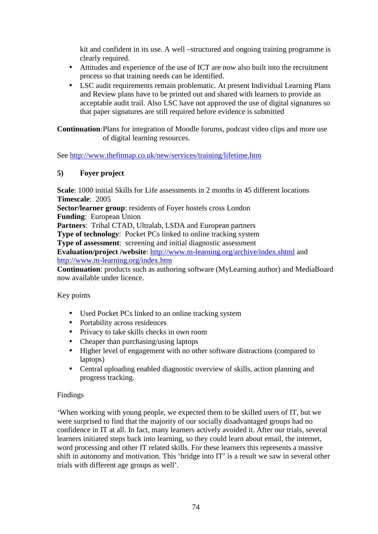kit and confident in its use. A well –structured and ongoing training programme is clearly required.

- Attitudes and experience of the use of ICT are now also built into the recruitment process so that training needs can be identified.
- LSC audit requirements remain problematic. At present Individual Learning Plans and Review plans have to be printed out and shared with learners to provide an acceptable audit trail. Also LSC have not approved the use of digital signatures so that paper signatures are still required before evidence is submitted

**Continuation**: Plans for integration of Moodle forums, podcast video clips and more use of digital learning resources.

See http://www.thefitmap.co.uk/new/services/training/lifetime.htm

## **5) Foyer project**

**Scale**: 1000 initial Skills for Life assessments in 2 months in 45 different locations **Timescale**: 2005

**Sector/learner group**: residents of Foyer hostels cross London **Funding**: European Union

**Partners**: Tribal CTAD, Ultralab, LSDA and European partners

**Type of technology:** Pocket PCs linked to online tracking system

**Type of assessment**: screening and initial diagnostic assessment

**Evaluation/project /website**: http://www.m-learning.org/archive/index.shtml and http://www.m-learning.org/index.htm

**Continuation**: products such as authoring software (MyLearning author) and MediaBoard now available under licence.

## Key points

- Used Pocket PCs linked to an online tracking system
- Portability across residences
- Privacy to take skills checks in own room
- Cheaper than purchasing/using laptops
- Higher level of engagement with no other software distractions (compared to laptops)
- Central uploading enabled diagnostic overview of skills, action planning and progress tracking.

## Findings

'When working with young people, we expected them to be skilled users of IT, but we were surprised to find that the majority of our socially disadvantaged groups had no confidence in IT at all. In fact, many learners actively avoided it. After our trials, several learners initiated steps back into learning, so they could learn about email, the internet, word processing and other IT related skills. For these learners this represents a massive shift in autonomy and motivation. This 'bridge into IT' is a result we saw in several other trials with different age groups as well'.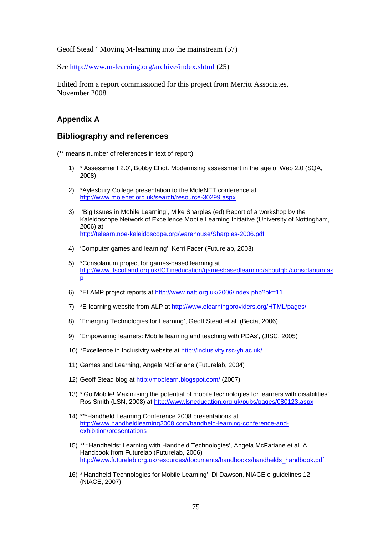Geoff Stead ' Moving M-learning into the mainstream (57)

See http://www.m-learning.org/archive/index.shtml (25)

Edited from a report commissioned for this project from Merritt Associates, November 2008

#### **Appendix A**

#### **Bibliography and references**

(\*\* means number of references in text of report)

- 1) \*'Assessment 2.0', Bobby Elliot. Modernising assessment in the age of Web 2.0 (SQA, 2008)
- 2) \*Aylesbury College presentation to the MoleNET conference at http://www.molenet.org.uk/search/resource-30299.aspx
- 3) 'Big Issues in Mobile Learning', Mike Sharples (ed) Report of a workshop by the Kaleidoscope Network of Excellence Mobile Learning Initiative (University of Nottingham, 2006) at http://telearn.noe-kaleidoscope.org/warehouse/Sharples-2006.pdf
- 4) 'Computer games and learning', Kerri Facer (Futurelab, 2003)
- 5) \*Consolarium project for games-based learning at http://www.ltscotland.org.uk/ICTineducation/gamesbasedlearning/aboutgbl/consolarium.as p
- 6) \*ELAMP project reports at http://www.natt.org.uk/2006/index.php?pk=11
- 7) \*E-learning website from ALP at http://www.elearningproviders.org/HTML/pages/
- 8) 'Emerging Technologies for Learning', Geoff Stead et al. (Becta, 2006)
- 9) 'Empowering learners: Mobile learning and teaching with PDAs', (JISC, 2005)
- 10) \*Excellence in Inclusivity website at http://inclusivity.rsc-yh.ac.uk/
- 11) Games and Learning, Angela McFarlane (Futurelab, 2004)
- 12) Geoff Stead blog at http://moblearn.blogspot.com/ (2007)
- 13) \*'Go Mobile! Maximising the potential of mobile technologies for learners with disabilities', Ros Smith (LSN, 2008) at http://www.lsneducation.org.uk/pubs/pages/080123.aspx
- 14) \*\*\*Handheld Learning Conference 2008 presentations at http://www.handheldlearning2008.com/handheld-learning-conference-andexhibition/presentations
- 15) \*\*\*'Handhelds: Learning with Handheld Technologies', Angela McFarlane et al. A Handbook from Futurelab (Futurelab, 2006) http://www.futurelab.org.uk/resources/documents/handbooks/handhelds\_handbook.pdf
- 16) \*'Handheld Technologies for Mobile Learning', Di Dawson, NIACE e-guidelines 12 (NIACE, 2007)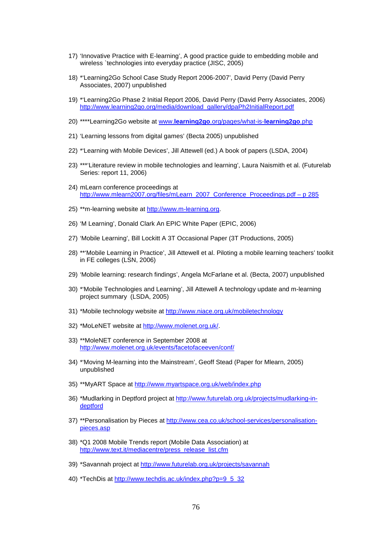- 17) 'Innovative Practice with E-learning', A good practice guide to embedding mobile and wireless `technologies into everyday practice (JISC, 2005)
- 18) \*'Learning2Go School Case Study Report 2006-2007', David Perry (David Perry Associates, 2007) unpublished
- 19) \*'Learning2Go Phase 2 Initial Report 2006, David Perry (David Perry Associates, 2006) http://www.learning2go.org/media/download\_gallery/dpaPh2InitialReport.pdf
- 20) \*\*\*\*Learning2Go website at www.**learning2go**.org/pages/what-is-**learning2go**.php
- 21) 'Learning lessons from digital games' (Becta 2005) unpublished
- 22) \*'Learning with Mobile Devices', Jill Attewell (ed.) A book of papers (LSDA, 2004)
- 23) \*\*\*'Literature review in mobile technologies and learning', Laura Naismith et al. (Futurelab Series: report 11, 2006)
- 24) mLearn conference proceedings at http://www.mlearn2007.org/files/mLearn\_2007\_Conference\_Proceedings.pdf – p 285
- 25) \*\*m-learning website at http://www.m-learning.org.
- 26) 'M Learning', Donald Clark An EPIC White Paper (EPIC, 2006)
- 27) 'Mobile Learning', Bill Lockitt A 3T Occasional Paper (3T Productions, 2005)
- 28) \*\*'Mobile Learning in Practice', Jill Attewell et al. Piloting a mobile learning teachers' toolkit in FE colleges (LSN, 2006)
- 29) 'Mobile learning: research findings', Angela McFarlane et al. (Becta, 2007) unpublished
- 30) \*'Mobile Technologies and Learning', Jill Attewell A technology update and m-learning project summary (LSDA, 2005)
- 31) \*Mobile technology website at http://www.niace.org.uk/mobiletechnology
- 32) \*MoLeNET website at http://www.molenet.org.uk/.
- 33) \*\*MoleNET conference in September 2008 at http://www.molenet.org.uk/events/facetofaceeven/conf/
- 34) \*'Moving M-learning into the Mainstream', Geoff Stead (Paper for Mlearn, 2005) unpublished
- 35) \*\*MyART Space at http://www.myartspace.org.uk/web/index.php
- 36) \*Mudlarking in Deptford project at http://www.futurelab.org.uk/projects/mudlarking-indeptford
- 37) \*\*Personalisation by Pieces at http://www.cea.co.uk/school-services/personalisationpieces.asp
- 38) \*Q1 2008 Mobile Trends report (Mobile Data Association) at http://www.text.it/mediacentre/press\_release\_list.cfm
- 39) \*Savannah project at http://www.futurelab.org.uk/projects/savannah
- 40) \*TechDis at http://www.techdis.ac.uk/index.php?p=9\_5\_32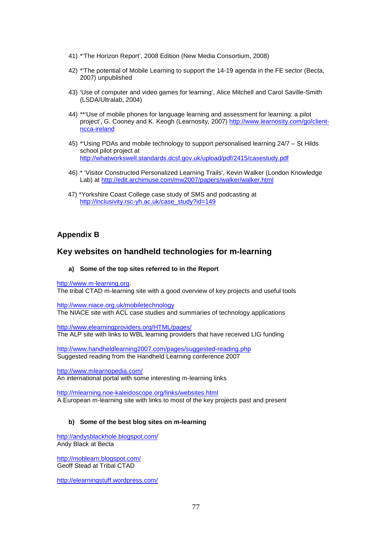- 41) \*'The Horizon Report', 2008 Edition (New Media Consortium, 2008)
- 42) \*'The potential of Mobile Learning to support the 14-19 agenda in the FE sector (Becta, 2007) unpublished
- 43) 'Use of computer and video games for learning', Alice Mitchell and Carol Saville-Smith (LSDA/Ultralab, 2004)
- 44) \*\*'Use of mobile phones for language learning and assessment for learning: a pilot project', G. Cooney and K. Keogh (Learnosity, 2007) http://www.learnosity.com/go/clientncca-ireland
- 45) \*'Using PDAs and mobile technology to support personalised learning 24/7 St Hilds school pilot project at http://whatworkswell.standards.dcsf.gov.uk/upload/pdf/2415/casestudy.pdf
- 46) \* 'Visitor Constructed Personalized Learning Trails', Kevin Walker (London Knowledge Lab) at http://edit.archimuse.com/mw2007/papers/walker/walker.html
- 47) \*Yorkshire Coast College case study of SMS and podcasting at http://inclusivity.rsc-yh.ac.uk/case\_study?id=149

#### **Appendix B**

## **Key websites on handheld technologies for m-learning**

#### **a) Some of the top sites referred to in the Report**

http://www.m-learning.org.

The tribal CTAD m-learning site with a good overview of key projects and useful tools

http://www.niace.org.uk/mobiletechnology The NIACE site with ACL case studies and summaries of technology applications

http://www.elearningproviders.org/HTML/pages/ The ALP site with links to WBL learning providers that have received LIG funding

http://www.handheldlearning2007.com/pages/suggested-reading.php Suggested reading from the Handheld Learning conference 2007

http://www.mlearnopedia.com/ An international portal with some interesting m-learning links

http://mlearning.noe-kaleidoscope.org/links/websites.html A European m-learning site with links to most of the key projects past and present

#### **b) Some of the best blog sites on m-learning**

http://andysblackhole.blogspot.com/ Andy Black at Becta

http://moblearn.blogspot.com/ Geoff Stead at Tribal CTAD

http://elearningstuff.wordpress.com/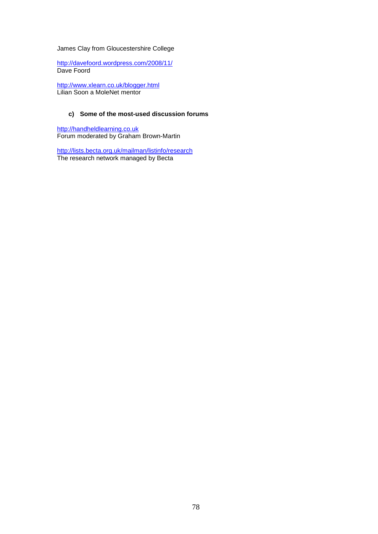#### James Clay from Gloucestershire College

http://davefoord.wordpress.com/2008/11/ Dave Foord

http://www.xlearn.co.uk/blogger.html Lilian Soon a MoleNet mentor

#### **c) Some of the most-used discussion forums**

http://handheldlearning.co.uk Forum moderated by Graham Brown-Martin

http://lists.becta.org.uk/mailman/listinfo/research The research network managed by Becta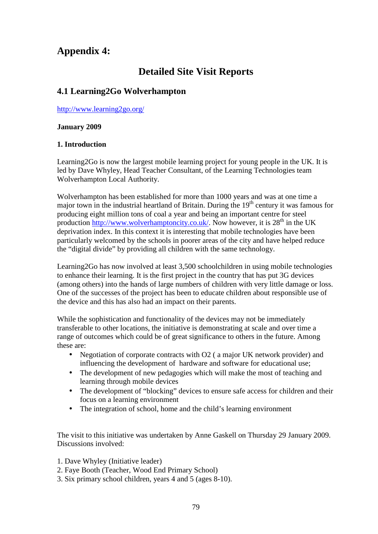# **Appendix 4:**

# **Detailed Site Visit Reports**

## **4.1 Learning2Go Wolverhampton**

http://www.learning2go.org/

#### **January 2009**

#### **1. Introduction**

Learning2Go is now the largest mobile learning project for young people in the UK. It is led by Dave Whyley, Head Teacher Consultant, of the Learning Technologies team Wolverhampton Local Authority.

Wolverhampton has been established for more than 1000 years and was at one time a major town in the industrial heartland of Britain. During the  $19<sup>th</sup>$  century it was famous for producing eight million tons of coal a year and being an important centre for steel production http://www.wolverhamptoncity.co.uk/. Now however, it is  $28<sup>th</sup>$  in the UK deprivation index. In this context it is interesting that mobile technologies have been particularly welcomed by the schools in poorer areas of the city and have helped reduce the "digital divide" by providing all children with the same technology.

Learning2Go has now involved at least 3,500 schoolchildren in using mobile technologies to enhance their learning. It is the first project in the country that has put 3G devices (among others) into the hands of large numbers of children with very little damage or loss. One of the successes of the project has been to educate children about responsible use of the device and this has also had an impact on their parents.

While the sophistication and functionality of the devices may not be immediately transferable to other locations, the initiative is demonstrating at scale and over time a range of outcomes which could be of great significance to others in the future. Among these are:

- Negotiation of corporate contracts with O2 (a major UK network provider) and influencing the development of hardware and software for educational use;
- The development of new pedagogies which will make the most of teaching and learning through mobile devices
- The development of "blocking" devices to ensure safe access for children and their focus on a learning environment
- The integration of school, home and the child's learning environment

The visit to this initiative was undertaken by Anne Gaskell on Thursday 29 January 2009. Discussions involved:

- 1. Dave Whyley (Initiative leader)
- 2. Faye Booth (Teacher, Wood End Primary School)
- 3. Six primary school children, years 4 and 5 (ages 8-10).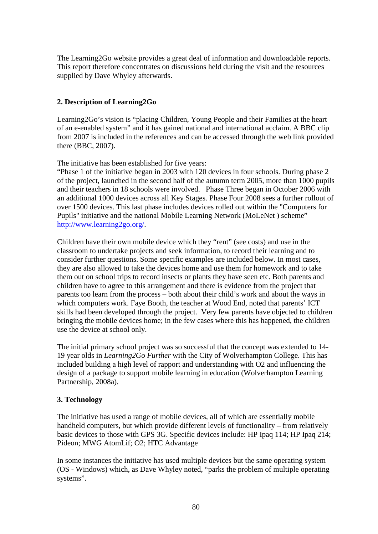The Learning2Go website provides a great deal of information and downloadable reports. This report therefore concentrates on discussions held during the visit and the resources supplied by Dave Whyley afterwards.

## **2. Description of Learning2Go**

Learning2Go's vision is "placing Children, Young People and their Families at the heart of an e-enabled system" and it has gained national and international acclaim. A BBC clip from 2007 is included in the references and can be accessed through the web link provided there (BBC, 2007).

The initiative has been established for five years:

"Phase 1 of the initiative began in 2003 with 120 devices in four schools. During phase 2 of the project, launched in the second half of the autumn term 2005, more than 1000 pupils and their teachers in 18 schools were involved. Phase Three began in October 2006 with an additional 1000 devices across all Key Stages. Phase Four 2008 sees a further rollout of over 1500 devices. This last phase includes devices rolled out within the "Computers for Pupils" initiative and the national Mobile Learning Network (MoLeNet ) scheme" http://www.learning2go.org/.

Children have their own mobile device which they "rent" (see costs) and use in the classroom to undertake projects and seek information, to record their learning and to consider further questions. Some specific examples are included below. In most cases, they are also allowed to take the devices home and use them for homework and to take them out on school trips to record insects or plants they have seen etc. Both parents and children have to agree to this arrangement and there is evidence from the project that parents too learn from the process – both about their child's work and about the ways in which computers work. Faye Booth, the teacher at Wood End, noted that parents' ICT skills had been developed through the project. Very few parents have objected to children bringing the mobile devices home; in the few cases where this has happened, the children use the device at school only.

The initial primary school project was so successful that the concept was extended to 14- 19 year olds in *Learning2Go Further* with the City of Wolverhampton College. This has included building a high level of rapport and understanding with O2 and influencing the design of a package to support mobile learning in education (Wolverhampton Learning Partnership, 2008a).

## **3. Technology**

The initiative has used a range of mobile devices, all of which are essentially mobile handheld computers, but which provide different levels of functionality – from relatively basic devices to those with GPS 3G. Specific devices include: HP Ipaq 114; HP Ipaq 214; Pideon; MWG AtomLif; O2; HTC Advantage

In some instances the initiative has used multiple devices but the same operating system (OS - Windows) which, as Dave Whyley noted, "parks the problem of multiple operating systems".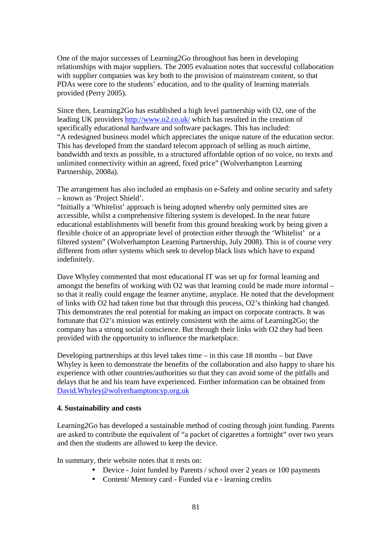One of the major successes of Learning2Go throughout has been in developing relationships with major suppliers. The 2005 evaluation notes that successful collaboration with supplier companies was key both to the provision of mainstream content, so that PDAs were core to the students' education, and to the quality of learning materials provided (Perry 2005).

Since then, Learning2Go has established a high level partnership with O2, one of the leading UK providers http://www.o2.co.uk/ which has resulted in the creation of specifically educational hardware and software packages. This has included: "A redesigned business model which appreciates the unique nature of the education sector. This has developed from the standard telecom approach of selling as much airtime, bandwidth and texts as possible, to a structured affordable option of no voice, no texts and unlimited connectivity within an agreed, fixed price" (Wolverhampton Learning Partnership, 2008a).

The arrangement has also included an emphasis on e-Safety and online security and safety – known as 'Project Shield'.

"Initially a 'Whitelist' approach is being adopted whereby only permitted sites are accessible, whilst a comprehensive filtering system is developed. In the near future educational establishments will benefit from this ground breaking work by being given a flexible choice of an appropriate level of protection either through the 'Whitelist' or a filtered system" (Wolverhampton Learning Partnership, July 2008). This is of course very different from other systems which seek to develop black lists which have to expand indefinitely.

Dave Whyley commented that most educational IT was set up for formal learning and amongst the benefits of working with O2 was that learning could be made more informal – so that it really could engage the learner anytime, anyplace. He noted that the development of links with O2 had taken time but that through this process, O2's thinking had changed. This demonstrates the real potential for making an impact on corporate contracts. It was fortunate that O2's mission was entirely consistent with the aims of Learning2Go; the company has a strong social conscience. But through their links with O2 they had been provided with the opportunity to influence the marketplace.

Developing partnerships at this level takes time – in this case 18 months – but Dave Whyley is keen to demonstrate the benefits of the collaboration and also happy to share his experience with other countries/authorities so that they can avoid some of the pitfalls and delays that he and his team have experienced. Further information can be obtained from David.Whyley@wolverhamptoncyp.org.uk

## **4. Sustainability and costs**

Learning2Go has developed a sustainable method of costing through joint funding. Parents are asked to contribute the equivalent of "a packet of cigarettes a fortnight" over two years and then the students are allowed to keep the device.

In summary, their website notes that it rests on:

- Device Joint funded by Parents / school over 2 years or 100 payments
- Content/ Memory card Funded via e learning credits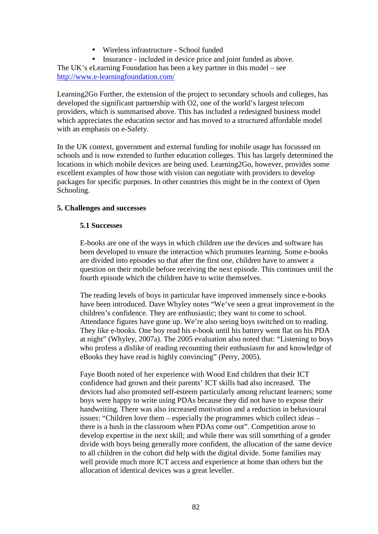• Wireless infrastructure - School funded

• Insurance - included in device price and joint funded as above. The UK's eLearning Foundation has been a key partner in this model – see http://www.e-learningfoundation.com/

Learning2Go Further, the extension of the project to secondary schools and colleges, has developed the significant partnership with O2, one of the world's largest telecom providers, which is summarised above. This has included a redesigned business model which appreciates the education sector and has moved to a structured affordable model with an emphasis on e-Safety.

In the UK context, government and external funding for mobile usage has focussed on schools and is now extended to further education colleges. This has largely determined the locations in which mobile devices are being used. Learning2Go, however, provides some excellent examples of how those with vision can negotiate with providers to develop packages for specific purposes. In other countries this might be in the context of Open Schooling.

## **5. Challenges and successes**

#### **5.1 Successes**

E-books are one of the ways in which children use the devices and software has been developed to ensure the interaction which promotes learning. Some e-books are divided into episodes so that after the first one, children have to answer a question on their mobile before receiving the next episode. This continues until the fourth episode which the children have to write themselves.

The reading levels of boys in particular have improved immensely since e-books have been introduced. Dave Whyley notes "We've seen a great improvement in the children's confidence. They are enthusiastic; they want to come to school. Attendance figures have gone up. We're also seeing boys switched on to reading. They like e-books. One boy read his e-book until his battery went flat on his PDA at night" (Whyley, 2007a). The 2005 evaluation also noted that: "Listening to boys who profess a dislike of reading recounting their enthusiasm for and knowledge of eBooks they have read is highly convincing" (Perry, 2005).

Faye Booth noted of her experience with Wood End children that their ICT confidence had grown and their parents' ICT skills had also increased. The devices had also promoted self-esteem particularly among reluctant learners; some boys were happy to write using PDAs because they did not have to expose their handwriting. There was also increased motivation and a reduction in behavioural issues: "Children love them – especially the programmes which collect ideas – there is a hush in the classroom when PDAs come out". Competition arose to develop expertise in the next skill; and while there was still something of a gender divide with boys being generally more confident, the allocation of the same device to all children in the cohort did help with the digital divide. Some families may well provide much more ICT access and experience at home than others but the allocation of identical devices was a great leveller.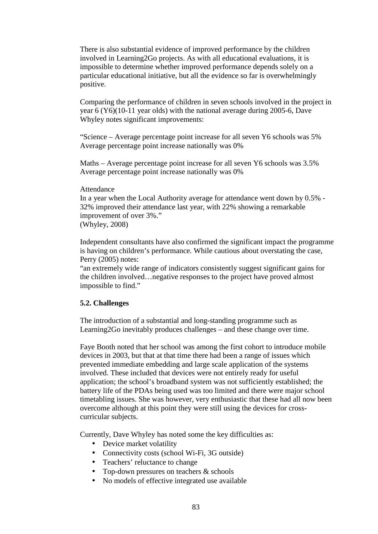There is also substantial evidence of improved performance by the children involved in Learning2Go projects. As with all educational evaluations, it is impossible to determine whether improved performance depends solely on a particular educational initiative, but all the evidence so far is overwhelmingly positive.

Comparing the performance of children in seven schools involved in the project in year 6 (Y6)(10-11 year olds) with the national average during 2005-6, Dave Whyley notes significant improvements:

"Science – Average percentage point increase for all seven Y6 schools was 5% Average percentage point increase nationally was 0%

Maths – Average percentage point increase for all seven Y6 schools was 3.5% Average percentage point increase nationally was 0%

#### Attendance

In a year when the Local Authority average for attendance went down by 0.5% - 32% improved their attendance last year, with 22% showing a remarkable improvement of over 3%." (Whyley, 2008)

Independent consultants have also confirmed the significant impact the programme is having on children's performance. While cautious about overstating the case, Perry (2005) notes:

"an extremely wide range of indicators consistently suggest significant gains for the children involved…negative responses to the project have proved almost impossible to find."

#### **5.2. Challenges**

The introduction of a substantial and long-standing programme such as Learning2Go inevitably produces challenges – and these change over time.

Faye Booth noted that her school was among the first cohort to introduce mobile devices in 2003, but that at that time there had been a range of issues which prevented immediate embedding and large scale application of the systems involved. These included that devices were not entirely ready for useful application; the school's broadband system was not sufficiently established; the battery life of the PDAs being used was too limited and there were major school timetabling issues. She was however, very enthusiastic that these had all now been overcome although at this point they were still using the devices for crosscurricular subjects.

Currently, Dave Whyley has noted some the key difficulties as:

- Device market volatility
- Connectivity costs (school Wi-Fi, 3G outside)
- Teachers' reluctance to change
- Top-down pressures on teachers & schools
- No models of effective integrated use available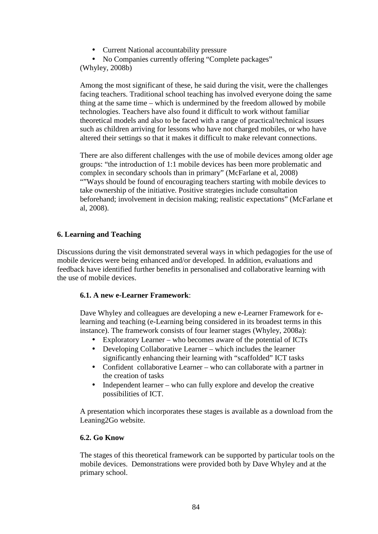• Current National accountability pressure

• No Companies currently offering "Complete packages" (Whyley, 2008b)

Among the most significant of these, he said during the visit, were the challenges facing teachers. Traditional school teaching has involved everyone doing the same thing at the same time – which is undermined by the freedom allowed by mobile technologies. Teachers have also found it difficult to work without familiar theoretical models and also to be faced with a range of practical/technical issues such as children arriving for lessons who have not charged mobiles, or who have altered their settings so that it makes it difficult to make relevant connections.

There are also different challenges with the use of mobile devices among older age groups: "the introduction of 1:1 mobile devices has been more problematic and complex in secondary schools than in primary" (McFarlane et al, 2008) ""Ways should be found of encouraging teachers starting with mobile devices to take ownership of the initiative. Positive strategies include consultation beforehand; involvement in decision making; realistic expectations" (McFarlane et al, 2008).

## **6. Learning and Teaching**

Discussions during the visit demonstrated several ways in which pedagogies for the use of mobile devices were being enhanced and/or developed. In addition, evaluations and feedback have identified further benefits in personalised and collaborative learning with the use of mobile devices.

## **6.1. A new e-Learner Framework**:

Dave Whyley and colleagues are developing a new e-Learner Framework for elearning and teaching (e-Learning being considered in its broadest terms in this instance). The framework consists of four learner stages (Whyley, 2008a):

- Exploratory Learner who becomes aware of the potential of ICTs
- Developing Collaborative Learner which includes the learner significantly enhancing their learning with "scaffolded" ICT tasks
- Confident collaborative Learner who can collaborate with a partner in the creation of tasks
- Independent learner who can fully explore and develop the creative possibilities of ICT.

A presentation which incorporates these stages is available as a download from the Leaning2Go website.

## **6.2. Go Know**

The stages of this theoretical framework can be supported by particular tools on the mobile devices. Demonstrations were provided both by Dave Whyley and at the primary school.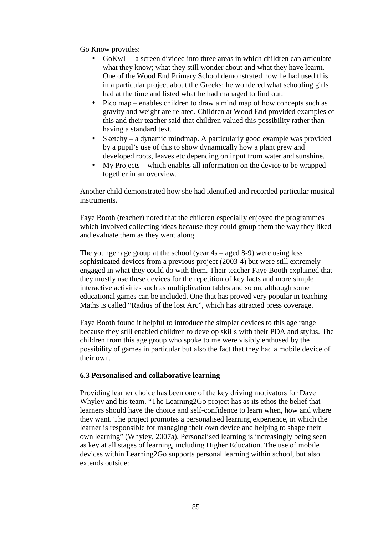Go Know provides:

- GoKwL a screen divided into three areas in which children can articulate what they know; what they still wonder about and what they have learnt. One of the Wood End Primary School demonstrated how he had used this in a particular project about the Greeks; he wondered what schooling girls had at the time and listed what he had managed to find out.
- Pico map enables children to draw a mind map of how concepts such as gravity and weight are related. Children at Wood End provided examples of this and their teacher said that children valued this possibility rather than having a standard text.
- Sketchy a dynamic mindmap. A particularly good example was provided by a pupil's use of this to show dynamically how a plant grew and developed roots, leaves etc depending on input from water and sunshine.
- My Projects which enables all information on the device to be wrapped together in an overview.

Another child demonstrated how she had identified and recorded particular musical instruments.

Faye Booth (teacher) noted that the children especially enjoyed the programmes which involved collecting ideas because they could group them the way they liked and evaluate them as they went along.

The younger age group at the school (year 4s – aged 8-9) were using less sophisticated devices from a previous project (2003-4) but were still extremely engaged in what they could do with them. Their teacher Faye Booth explained that they mostly use these devices for the repetition of key facts and more simple interactive activities such as multiplication tables and so on, although some educational games can be included. One that has proved very popular in teaching Maths is called "Radius of the lost Arc", which has attracted press coverage.

Faye Booth found it helpful to introduce the simpler devices to this age range because they still enabled children to develop skills with their PDA and stylus. The children from this age group who spoke to me were visibly enthused by the possibility of games in particular but also the fact that they had a mobile device of their own.

## **6.3 Personalised and collaborative learning**

Providing learner choice has been one of the key driving motivators for Dave Whyley and his team. "The Learning2Go project has as its ethos the belief that learners should have the choice and self-confidence to learn when, how and where they want. The project promotes a personalised learning experience, in which the learner is responsible for managing their own device and helping to shape their own learning" (Whyley, 2007a). Personalised learning is increasingly being seen as key at all stages of learning, including Higher Education. The use of mobile devices within Learning2Go supports personal learning within school, but also extends outside: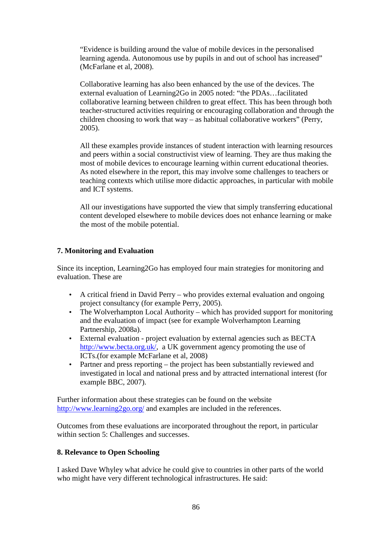"Evidence is building around the value of mobile devices in the personalised learning agenda. Autonomous use by pupils in and out of school has increased" (McFarlane et al, 2008).

Collaborative learning has also been enhanced by the use of the devices. The external evaluation of Learning2Go in 2005 noted: "the PDAs…facilitated collaborative learning between children to great effect. This has been through both teacher-structured activities requiring or encouraging collaboration and through the children choosing to work that way – as habitual collaborative workers" (Perry, 2005).

All these examples provide instances of student interaction with learning resources and peers within a social constructivist view of learning. They are thus making the most of mobile devices to encourage learning within current educational theories. As noted elsewhere in the report, this may involve some challenges to teachers or teaching contexts which utilise more didactic approaches, in particular with mobile and ICT systems.

All our investigations have supported the view that simply transferring educational content developed elsewhere to mobile devices does not enhance learning or make the most of the mobile potential.

## **7. Monitoring and Evaluation**

Since its inception, Learning2Go has employed four main strategies for monitoring and evaluation. These are

- A critical friend in David Perry who provides external evaluation and ongoing project consultancy (for example Perry, 2005).
- The Wolverhampton Local Authority which has provided support for monitoring and the evaluation of impact (see for example Wolverhampton Learning Partnership, 2008a).
- External evaluation project evaluation by external agencies such as BECTA http://www.becta.org.uk/, a UK government agency promoting the use of ICTs.(for example McFarlane et al, 2008)
- Partner and press reporting the project has been substantially reviewed and investigated in local and national press and by attracted international interest (for example BBC, 2007).

Further information about these strategies can be found on the website http://www.learning2go.org/ and examples are included in the references.

Outcomes from these evaluations are incorporated throughout the report, in particular within section 5: Challenges and successes.

## **8. Relevance to Open Schooling**

I asked Dave Whyley what advice he could give to countries in other parts of the world who might have very different technological infrastructures. He said: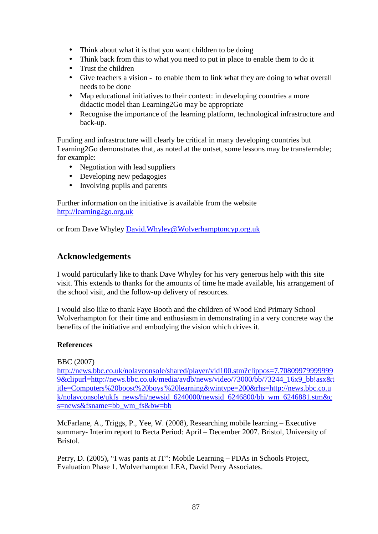- Think about what it is that you want children to be doing
- Think back from this to what you need to put in place to enable them to do it
- Trust the children
- Give teachers a vision to enable them to link what they are doing to what overall needs to be done
- Map educational initiatives to their context: in developing countries a more didactic model than Learning2Go may be appropriate
- Recognise the importance of the learning platform, technological infrastructure and back-up.

Funding and infrastructure will clearly be critical in many developing countries but Learning2Go demonstrates that, as noted at the outset, some lessons may be transferrable; for example:

- Negotiation with lead suppliers
- Developing new pedagogies
- Involving pupils and parents

Further information on the initiative is available from the website http://learning2go.org.uk

or from Dave Whyley David.Whyley@Wolverhamptoncyp.org.uk

## **Acknowledgements**

I would particularly like to thank Dave Whyley for his very generous help with this site visit. This extends to thanks for the amounts of time he made available, his arrangement of the school visit, and the follow-up delivery of resources.

I would also like to thank Faye Booth and the children of Wood End Primary School Wolverhampton for their time and enthusiasm in demonstrating in a very concrete way the benefits of the initiative and embodying the vision which drives it.

#### **References**

#### BBC (2007)

http://news.bbc.co.uk/nolavconsole/shared/player/vid100.stm?clippos=7.70809979999999 9&clipurl=http://news.bbc.co.uk/media/avdb/news/video/73000/bb/73244\_16x9\_bb!asx&t itle=Computers%20boost%20boys'%20learning&wintype=200&rhs=http://news.bbc.co.u k/nolavconsole/ukfs\_news/hi/newsid\_6240000/newsid\_6246800/bb\_wm\_6246881.stm&c s=news&fsname=bb\_wm\_fs&bw=bb

McFarlane, A., Triggs, P., Yee, W. (2008), Researching mobile learning – Executive summary- Interim report to Becta Period: April – December 2007. Bristol, University of Bristol.

Perry, D. (2005), "I was pants at IT": Mobile Learning – PDAs in Schools Project, Evaluation Phase 1. Wolverhampton LEA, David Perry Associates.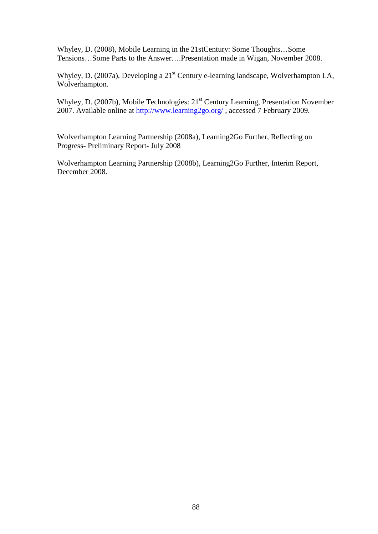Whyley, D. (2008), Mobile Learning in the 21stCentury: Some Thoughts…Some Tensions…Some Parts to the Answer….Presentation made in Wigan, November 2008.

Whyley, D. (2007a), Developing a 21<sup>st</sup> Century e-learning landscape, Wolverhampton LA, Wolverhampton.

Whyley, D. (2007b), Mobile Technologies: 21<sup>st</sup> Century Learning, Presentation November 2007. Available online at http://www.learning2go.org/ , accessed 7 February 2009.

Wolverhampton Learning Partnership (2008a), Learning2Go Further, Reflecting on Progress- Preliminary Report- July 2008

Wolverhampton Learning Partnership (2008b), Learning2Go Further, Interim Report, December 2008.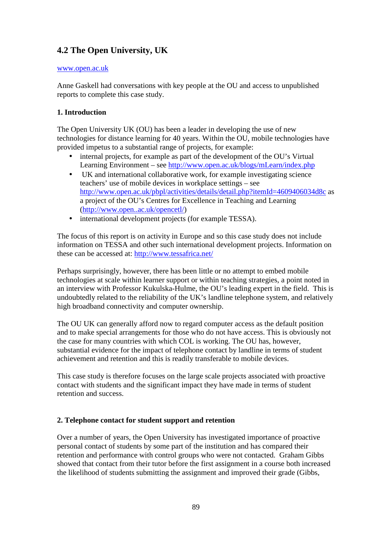## **4.2 The Open University, UK**

#### www.open.ac.uk

Anne Gaskell had conversations with key people at the OU and access to unpublished reports to complete this case study.

## **1. Introduction**

The Open University UK (OU) has been a leader in developing the use of new technologies for distance learning for 40 years. Within the OU, mobile technologies have provided impetus to a substantial range of projects, for example:

- internal projects, for example as part of the development of the OU's Virtual Learning Environment – see http://www.open.ac.uk/blogs/mLearn/index.php
- UK and international collaborative work, for example investigating science teachers' use of mobile devices in workplace settings – see http://www.open.ac.uk/pbpl/activities/details/detail.php?itemId=4609406034d8c as a project of the OU's Centres for Excellence in Teaching and Learning (http://www.open..ac.uk/opencetl/)
- international development projects (for example TESSA).

The focus of this report is on activity in Europe and so this case study does not include information on TESSA and other such international development projects. Information on these can be accessed at: http://www.tessafrica.net/

Perhaps surprisingly, however, there has been little or no attempt to embed mobile technologies at scale within learner support or within teaching strategies, a point noted in an interview with Professor Kukulska-Hulme, the OU's leading expert in the field. This is undoubtedly related to the reliability of the UK's landline telephone system, and relatively high broadband connectivity and computer ownership.

The OU UK can generally afford now to regard computer access as the default position and to make special arrangements for those who do not have access. This is obviously not the case for many countries with which COL is working. The OU has, however, substantial evidence for the impact of telephone contact by landline in terms of student achievement and retention and this is readily transferable to mobile devices.

This case study is therefore focuses on the large scale projects associated with proactive contact with students and the significant impact they have made in terms of student retention and success.

## **2. Telephone contact for student support and retention**

Over a number of years, the Open University has investigated importance of proactive personal contact of students by some part of the institution and has compared their retention and performance with control groups who were not contacted. Graham Gibbs showed that contact from their tutor before the first assignment in a course both increased the likelihood of students submitting the assignment and improved their grade (Gibbs,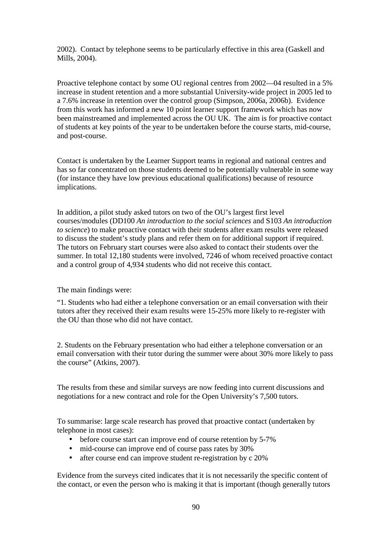2002). Contact by telephone seems to be particularly effective in this area (Gaskell and Mills, 2004).

Proactive telephone contact by some OU regional centres from 2002—04 resulted in a 5% increase in student retention and a more substantial University-wide project in 2005 led to a 7.6% increase in retention over the control group (Simpson, 2006a, 2006b). Evidence from this work has informed a new 10 point learner support framework which has now been mainstreamed and implemented across the OU UK. The aim is for proactive contact of students at key points of the year to be undertaken before the course starts, mid-course, and post-course.

Contact is undertaken by the Learner Support teams in regional and national centres and has so far concentrated on those students deemed to be potentially vulnerable in some way (for instance they have low previous educational qualifications) because of resource implications.

In addition, a pilot study asked tutors on two of the OU's largest first level courses/modules (DD100 *An introduction to the social sciences* and S103 *An introduction to science*) to make proactive contact with their students after exam results were released to discuss the student's study plans and refer them on for additional support if required. The tutors on February start courses were also asked to contact their students over the summer. In total 12,180 students were involved, 7246 of whom received proactive contact and a control group of 4,934 students who did not receive this contact.

The main findings were:

"1. Students who had either a telephone conversation or an email conversation with their tutors after they received their exam results were 15-25% more likely to re-register with the OU than those who did not have contact.

2. Students on the February presentation who had either a telephone conversation or an email conversation with their tutor during the summer were about 30% more likely to pass the course" (Atkins, 2007).

The results from these and similar surveys are now feeding into current discussions and negotiations for a new contract and role for the Open University's 7,500 tutors.

To summarise: large scale research has proved that proactive contact (undertaken by telephone in most cases):

- before course start can improve end of course retention by 5-7%
- mid-course can improve end of course pass rates by 30%
- after course end can improve student re-registration by c 20%

Evidence from the surveys cited indicates that it is not necessarily the specific content of the contact, or even the person who is making it that is important (though generally tutors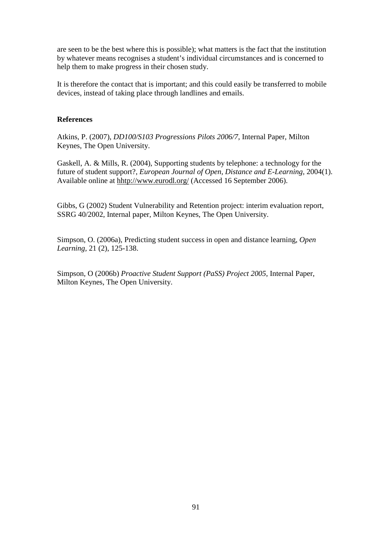are seen to be the best where this is possible); what matters is the fact that the institution by whatever means recognises a student's individual circumstances and is concerned to help them to make progress in their chosen study.

It is therefore the contact that is important; and this could easily be transferred to mobile devices, instead of taking place through landlines and emails.

#### **References**

Atkins, P. (2007), *DD100/S103 Progressions Pilots 2006/7*, Internal Paper, Milton Keynes, The Open University.

Gaskell, A. & Mills, R. (2004), Supporting students by telephone: a technology for the future of student support?, *European Journal of Open, Distance and E-Learning,* 2004(1). Available online at hhtp://www.eurodl.org/ (Accessed 16 September 2006).

Gibbs, G (2002) Student Vulnerability and Retention project: interim evaluation report, SSRG 40/2002, Internal paper, Milton Keynes, The Open University.

Simpson, O. (2006a), Predicting student success in open and distance learning, *Open Learning,* 21 (2), 125-138.

Simpson, O (2006b) *Proactive Student Support (PaSS) Project 2005*, Internal Paper, Milton Keynes, The Open University.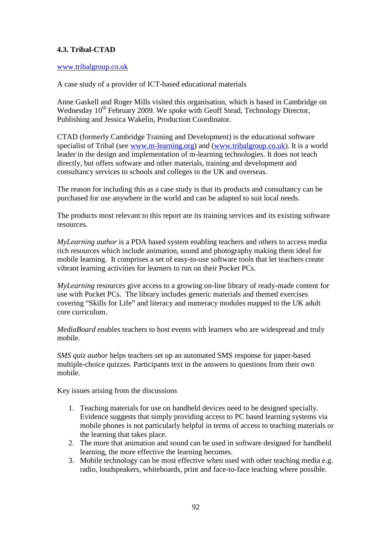## **4.3. Tribal-CTAD**

#### www.tribalgroup.co.uk

A case study of a provider of ICT-based educational materials

Anne Gaskell and Roger Mills visited this organisation, which is based in Cambridge on Wednesday 10<sup>th</sup> February 2009. We spoke with Geoff Stead, Technology Director, Publishing and Jessica Wakelin, Production Coordinator.

CTAD (formerly Cambridge Training and Development) is the educational software specialist of Tribal (see www.m-learning.org) and (www.tribalgroup.co.uk). It is a world leader in the design and implementation of m-learning technologies. It does not teach directly, but offers software and other materials, training and development and consultancy services to schools and colleges in the UK and overseas.

The reason for including this as a case study is that its products and consultancy can be purchased for use anywhere in the world and can be adapted to suit local needs.

The products most relevant to this report are its training services and its existing software resources.

*MyLearning author* is a PDA based system enabling teachers and others to access media rich resources which include animation, sound and photography making them ideal for mobile learning. It comprises a set of easy-to-use software tools that let teachers create vibrant learning activities for learners to run on their Pocket PCs.

*MyLearning* resources give access to a growing on-line library of ready-made content for use with Pocket PCs. The library includes generic materials and themed exercises covering "Skills for Life" and literacy and numeracy modules mapped to the UK adult core curriculum.

*MediaBoard* enables teachers to host events with learners who are widespread and truly mobile.

*SMS quiz author* helps teachers set up an automated SMS response for paper-based multiple-choice quizzes. Participants text in the answers to questions from their own mobile.

Key issues arising from the discussions

- 1. Teaching materials for use on handheld devices need to be designed specially. Evidence suggests that simply providing access to PC based learning systems via mobile phones is not particularly helpful in terms of access to teaching materials or the learning that takes place.
- 2. The more that animation and sound can be used in software designed for handheld learning, the more effective the learning becomes.
- 3. Mobile technology can be most effective when used with other teaching media e.g. radio, loudspeakers, whiteboards, print and face-to-face teaching where possible.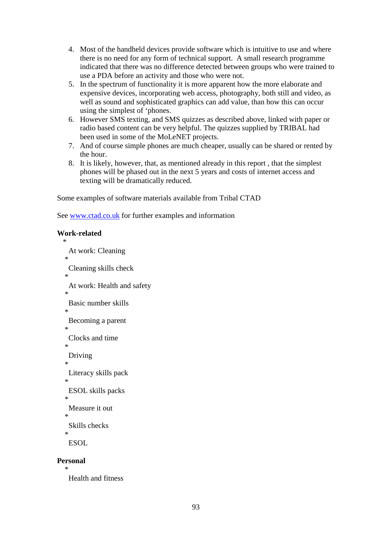- 4. Most of the handheld devices provide software which is intuitive to use and where there is no need for any form of technical support. A small research programme indicated that there was no difference detected between groups who were trained to use a PDA before an activity and those who were not.
- 5. In the spectrum of functionality it is more apparent how the more elaborate and expensive devices, incorporating web access, photography, both still and video, as well as sound and sophisticated graphics can add value, than how this can occur using the simplest of 'phones.
- 6. However SMS texting, and SMS quizzes as described above, linked with paper or radio based content can be very helpful. The quizzes supplied by TRIBAL had been used in some of the MoLeNET projects.
- 7. And of course simple phones are much cheaper, usually can be shared or rented by the hour.
- 8. It is likely, however, that, as mentioned already in this report , that the simplest phones will be phased out in the next 5 years and costs of internet access and texting will be dramatically reduced.

Some examples of software materials available from Tribal CTAD

See www.ctad.co.uk for further examples and information

## **Work-related**

```
 * 
    At work: Cleaning 
* 
    Cleaning skills check 
  * 
    At work: Health and safety 
  * 
    Basic number skills 
  * 
    Becoming a parent 
  * 
    Clocks and time 
* 
    Driving 
  * 
    Literacy skills pack 
  * 
    ESOL skills packs 
  * 
    Measure it out 
* 
    Skills checks 
  * 
   ESOL
```
#### **Personal**

```
 *
```
Health and fitness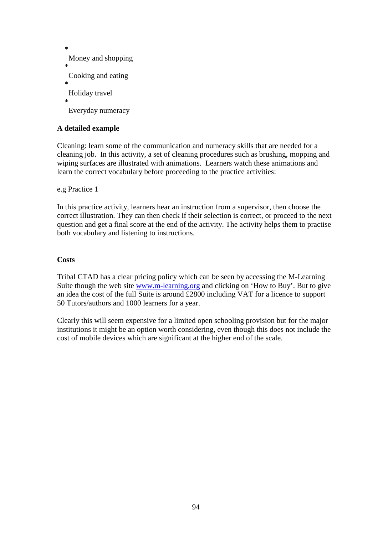```
 * 
   Money and shopping 
* 
   Cooking and eating 
  * 
   Holiday travel 
* 
   Everyday numeracy
```
## **A detailed example**

Cleaning: learn some of the communication and numeracy skills that are needed for a cleaning job. In this activity, a set of cleaning procedures such as brushing, mopping and wiping surfaces are illustrated with animations. Learners watch these animations and learn the correct vocabulary before proceeding to the practice activities:

e.g Practice 1

In this practice activity, learners hear an instruction from a supervisor, then choose the correct illustration. They can then check if their selection is correct, or proceed to the next question and get a final score at the end of the activity. The activity helps them to practise both vocabulary and listening to instructions.

#### **Costs**

Tribal CTAD has a clear pricing policy which can be seen by accessing the M-Learning Suite though the web site www.m-learning.org and clicking on 'How to Buy'. But to give an idea the cost of the full Suite is around £2800 including VAT for a licence to support 50 Tutors/authors and 1000 learners for a year.

Clearly this will seem expensive for a limited open schooling provision but for the major institutions it might be an option worth considering, even though this does not include the cost of mobile devices which are significant at the higher end of the scale.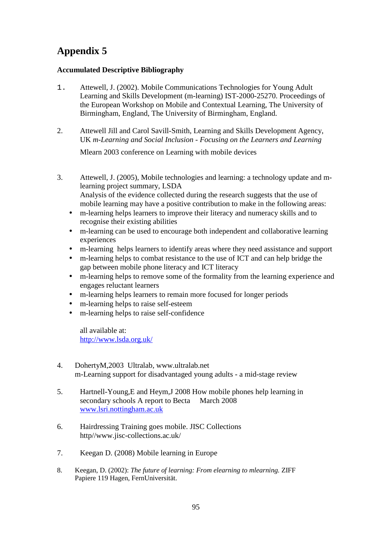# **Appendix 5**

## **Accumulated Descriptive Bibliography**

- 1. Attewell, J. (2002). Mobile Communications Technologies for Young Adult Learning and Skills Development (m-learning) IST-2000-25270. Proceedings of the European Workshop on Mobile and Contextual Learning, The University of Birmingham, England, The University of Birmingham, England.
- 2. Attewell Jill and Carol Savill-Smith, Learning and Skills Development Agency, UK *m-Learning and Social Inclusion - Focusing on the Learners and Learning*

Mlearn 2003 conference on Learning with mobile devices

- 3. Attewell, J. (2005), Mobile technologies and learning: a technology update and mlearning project summary, LSDA Analysis of the evidence collected during the research suggests that the use of mobile learning may have a positive contribution to make in the following areas:
	- m-learning helps learners to improve their literacy and numeracy skills and to recognise their existing abilities
	- m-learning can be used to encourage both independent and collaborative learning experiences
	- m-learning helps learners to identify areas where they need assistance and support
	- m-learning helps to combat resistance to the use of ICT and can help bridge the gap between mobile phone literacy and ICT literacy
	- m-learning helps to remove some of the formality from the learning experience and engages reluctant learners
	- m-learning helps learners to remain more focused for longer periods
	- m-learning helps to raise self-esteem
	- m-learning helps to raise self-confidence

all available at: http://www.lsda.org.uk/

- 4. DohertyM,2003 Ultralab, www.ultralab.net m-Learning support for disadvantaged young adults *-* a mid-stage review
- 5. Hartnell-Young,E and Heym,J 2008 How mobile phones help learning in secondary schools A report to Becta March 2008 www.lsri.nottingham.ac.uk
- 6. Hairdressing Training goes mobile. JISC Collections http//www.jisc-collections.ac.uk/
- 7. Keegan D. (2008) Mobile learning in Europe
- 8. Keegan, D. (2002): *The future of learning: From elearning to mlearning.* ZIFF Papiere 119 Hagen, FernUniversität.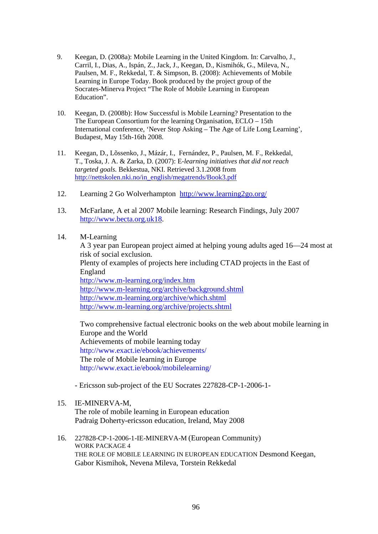- 9. Keegan, D. (2008a): Mobile Learning in the United Kingdom. In: Carvalho, J., Carril, I., Dias, A., Ispán, Z., Jack, J., Keegan, D., Kismihók, G., Mileva, N., Paulsen, M. F., Rekkedal, T. & Simpson, B. (2008): Achievements of Mobile Learning in Europe Today. Book produced by the project group of the Socrates-Minerva Project "The Role of Mobile Learning in European Education".
- 10. Keegan, D. (2008b): How Successful is Mobile Learning? Presentation to the The European Consortium for the learning Organisation, ECLO – 15th International conference, 'Never Stop Asking – The Age of Life Long Learning', Budapest, May 15th-16th 2008.
- 11. Keegan, D., Lõssenko, J., Mázár, I., Fernández, P., Paulsen, M. F., Rekkedal, T., Toska, J. A. & Zarka, D. (2007): E*-learning initiatives that did not reach targeted goals.* Bekkestua, NKI. Retrieved 3.1.2008 from http://nettskolen.nki.no/in\_english/megatrends/Book3.pdf
- 12. Learning 2 Go Wolverhampton http://www.learning2go.org/
- 13. McFarlane, A et al 2007 Mobile learning: Research Findings, July 2007 http://www.becta.org.uk18.
- 14. M-Learning

A 3 year pan European project aimed at helping young adults aged 16—24 most at risk of social exclusion. Plenty of examples of projects here including CTAD projects in the East of England http://www.m-learning.org/index.htm http://www.m-learning.org/archive/background.shtml http://www.m-learning.org/archive/which.shtml http://www.m-learning.org/archive/projects.shtml

 Two comprehensive factual electronic books on the web about mobile learning in Europe and the World Achievements of mobile learning today http://www.exact.ie/ebook/achievements/ The role of Mobile learning in Europe http://www.exact.ie/ebook/mobilelearning/

- Ericsson sub-project of the EU Socrates 227828-CP-1-2006-1-

- 15. IE-MINERVA-M,
	- The role of mobile learning in European education Padraig Doherty-ericsson education, Ireland, May 2008
- 16. 227828-CP-1-2006-1-IE-MINERVA-M (European Community) WORK PACKAGE 4 THE ROLE OF MOBILE LEARNING IN EUROPEAN EDUCATION Desmond Keegan, Gabor Kismihok, Nevena Mileva, Torstein Rekkedal